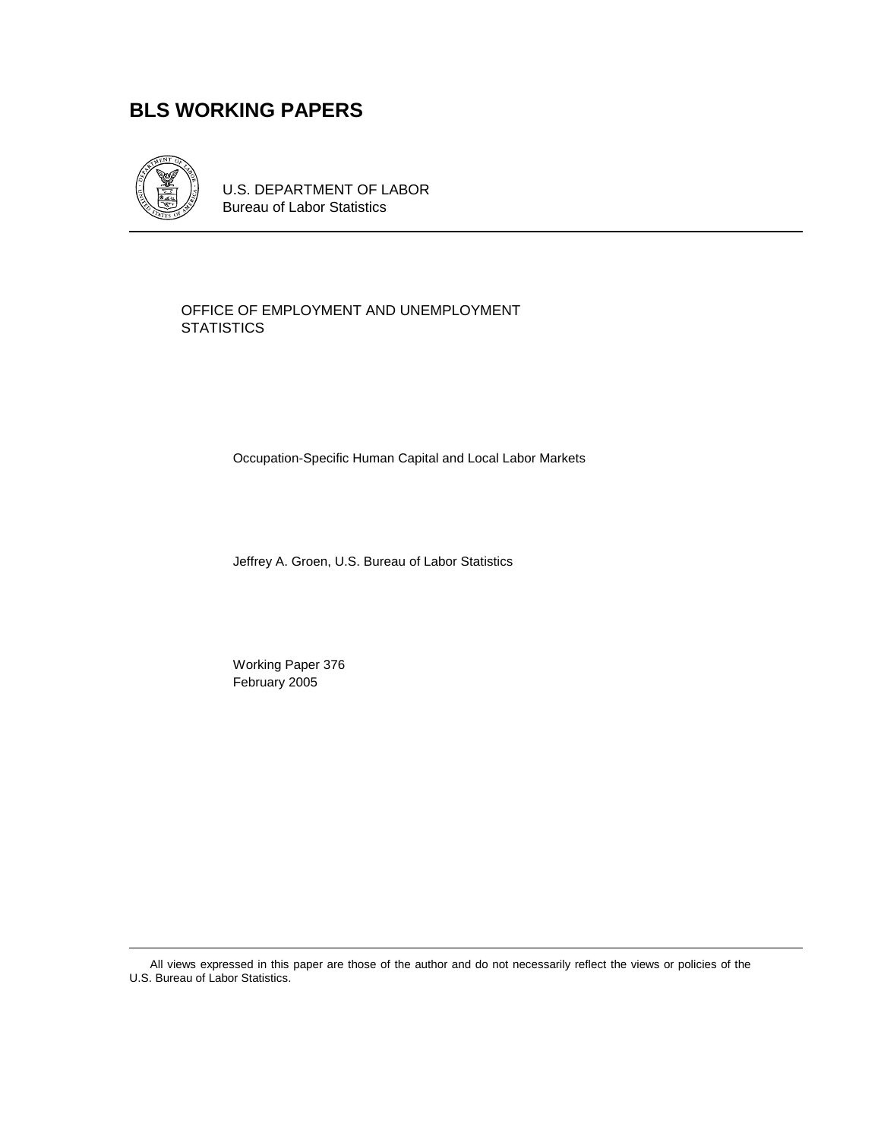# **BLS WORKING PAPERS**



U.S. DEPARTMENT OF LABOR Bureau of Labor Statistics

#### OFFICE OF EMPLOYMENT AND UNEMPLOYMENT **STATISTICS**

Occupation-Specific Human Capital and Local Labor Markets

Jeffrey A. Groen, U.S. Bureau of Labor Statistics

 Working Paper 376 February 2005

All views expressed in this paper are those of the author and do not necessarily reflect the views or policies of the U.S. Bureau of Labor Statistics.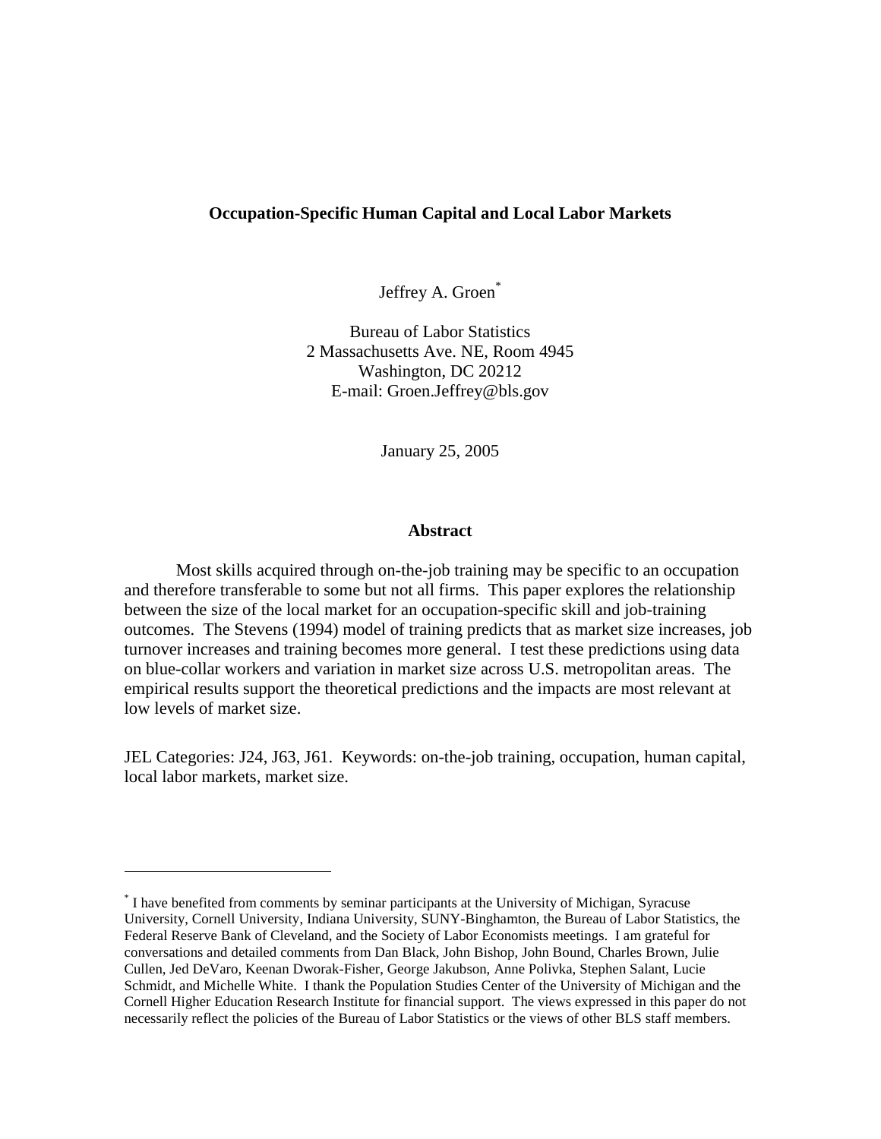#### **Occupation-Specific Human Capital and Local Labor Markets**

Jeffrey A. Groen<sup>\*</sup>

Bureau of Labor Statistics 2 Massachusetts Ave. NE, Room 4945 Washington, DC 20212 E-mail: Groen.Jeffrey@bls.gov

January 25, 2005

#### **Abstract**

Most skills acquired through on-the-job training may be specific to an occupation and therefore transferable to some but not all firms. This paper explores the relationship between the size of the local market for an occupation-specific skill and job-training outcomes. The Stevens (1994) model of training predicts that as market size increases, job turnover increases and training becomes more general. I test these predictions using data on blue-collar workers and variation in market size across U.S. metropolitan areas. The empirical results support the theoretical predictions and the impacts are most relevant at low levels of market size.

JEL Categories: J24, J63, J61. Keywords: on-the-job training, occupation, human capital, local labor markets, market size.

j

<sup>\*</sup> I have benefited from comments by seminar participants at the University of Michigan, Syracuse University, Cornell University, Indiana University, SUNY-Binghamton, the Bureau of Labor Statistics, the Federal Reserve Bank of Cleveland, and the Society of Labor Economists meetings. I am grateful for conversations and detailed comments from Dan Black, John Bishop, John Bound, Charles Brown, Julie Cullen, Jed DeVaro, Keenan Dworak-Fisher, George Jakubson, Anne Polivka, Stephen Salant, Lucie Schmidt, and Michelle White. I thank the Population Studies Center of the University of Michigan and the Cornell Higher Education Research Institute for financial support. The views expressed in this paper do not necessarily reflect the policies of the Bureau of Labor Statistics or the views of other BLS staff members.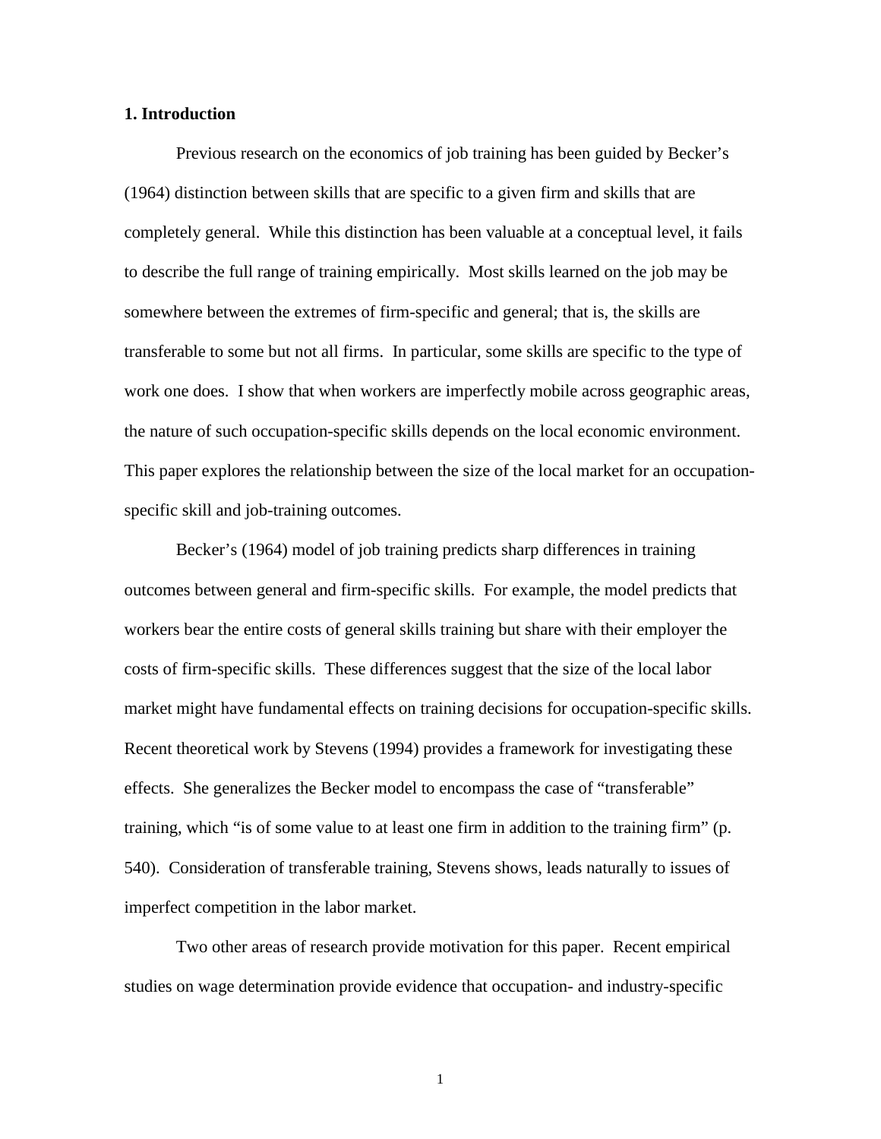#### **1. Introduction**

Previous research on the economics of job training has been guided by Becker's (1964) distinction between skills that are specific to a given firm and skills that are completely general. While this distinction has been valuable at a conceptual level, it fails to describe the full range of training empirically. Most skills learned on the job may be somewhere between the extremes of firm-specific and general; that is, the skills are transferable to some but not all firms. In particular, some skills are specific to the type of work one does. I show that when workers are imperfectly mobile across geographic areas, the nature of such occupation-specific skills depends on the local economic environment. This paper explores the relationship between the size of the local market for an occupationspecific skill and job-training outcomes.

Becker's (1964) model of job training predicts sharp differences in training outcomes between general and firm-specific skills. For example, the model predicts that workers bear the entire costs of general skills training but share with their employer the costs of firm-specific skills. These differences suggest that the size of the local labor market might have fundamental effects on training decisions for occupation-specific skills. Recent theoretical work by Stevens (1994) provides a framework for investigating these effects. She generalizes the Becker model to encompass the case of "transferable" training, which "is of some value to at least one firm in addition to the training firm" (p. 540). Consideration of transferable training, Stevens shows, leads naturally to issues of imperfect competition in the labor market.

Two other areas of research provide motivation for this paper. Recent empirical studies on wage determination provide evidence that occupation- and industry-specific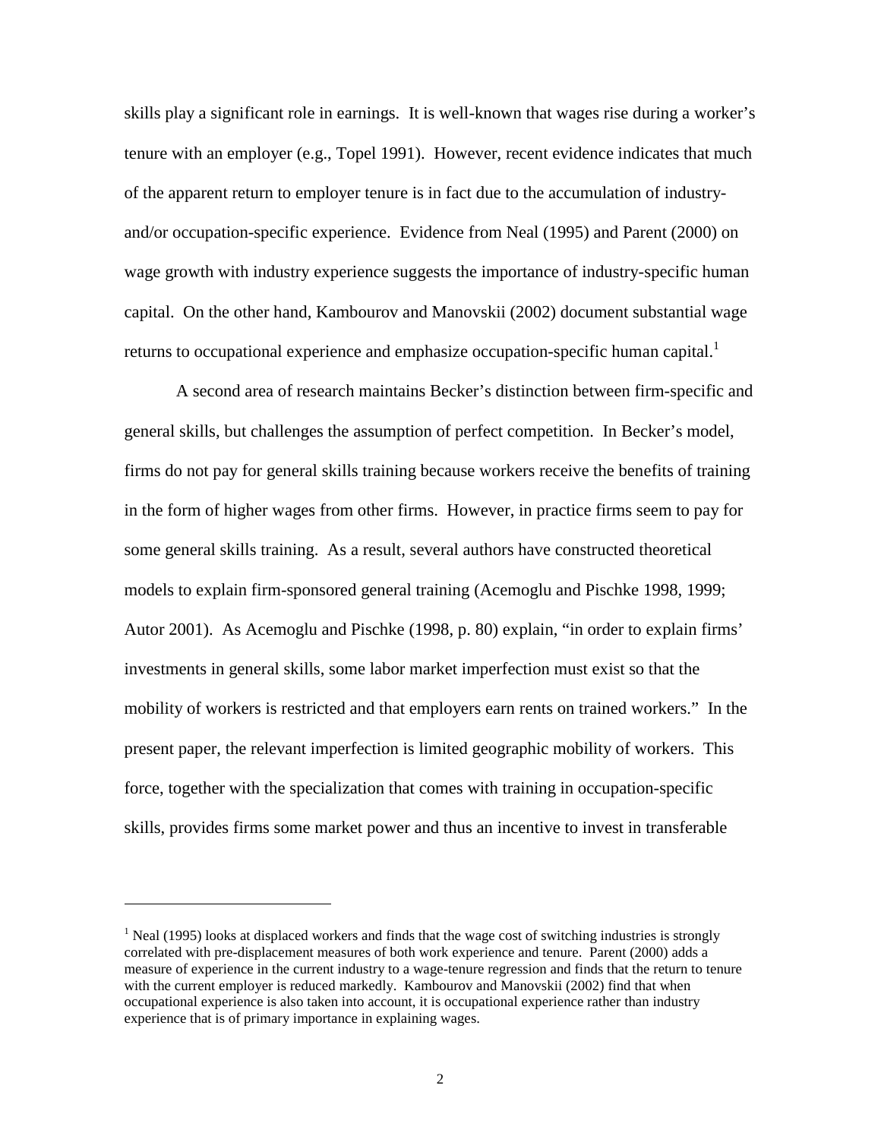skills play a significant role in earnings. It is well-known that wages rise during a worker's tenure with an employer (e.g., Topel 1991). However, recent evidence indicates that much of the apparent return to employer tenure is in fact due to the accumulation of industryand/or occupation-specific experience. Evidence from Neal (1995) and Parent (2000) on wage growth with industry experience suggests the importance of industry-specific human capital. On the other hand, Kambourov and Manovskii (2002) document substantial wage returns to occupational experience and emphasize occupation-specific human capital.<sup>1</sup>

A second area of research maintains Becker's distinction between firm-specific and general skills, but challenges the assumption of perfect competition. In Becker's model, firms do not pay for general skills training because workers receive the benefits of training in the form of higher wages from other firms. However, in practice firms seem to pay for some general skills training. As a result, several authors have constructed theoretical models to explain firm-sponsored general training (Acemoglu and Pischke 1998, 1999; Autor 2001). As Acemoglu and Pischke (1998, p. 80) explain, "in order to explain firms' investments in general skills, some labor market imperfection must exist so that the mobility of workers is restricted and that employers earn rents on trained workers." In the present paper, the relevant imperfection is limited geographic mobility of workers. This force, together with the specialization that comes with training in occupation-specific skills, provides firms some market power and thus an incentive to invest in transferable

l

 $<sup>1</sup>$  Neal (1995) looks at displaced workers and finds that the wage cost of switching industries is strongly</sup> correlated with pre-displacement measures of both work experience and tenure. Parent (2000) adds a measure of experience in the current industry to a wage-tenure regression and finds that the return to tenure with the current employer is reduced markedly. Kambourov and Manovskii (2002) find that when occupational experience is also taken into account, it is occupational experience rather than industry experience that is of primary importance in explaining wages.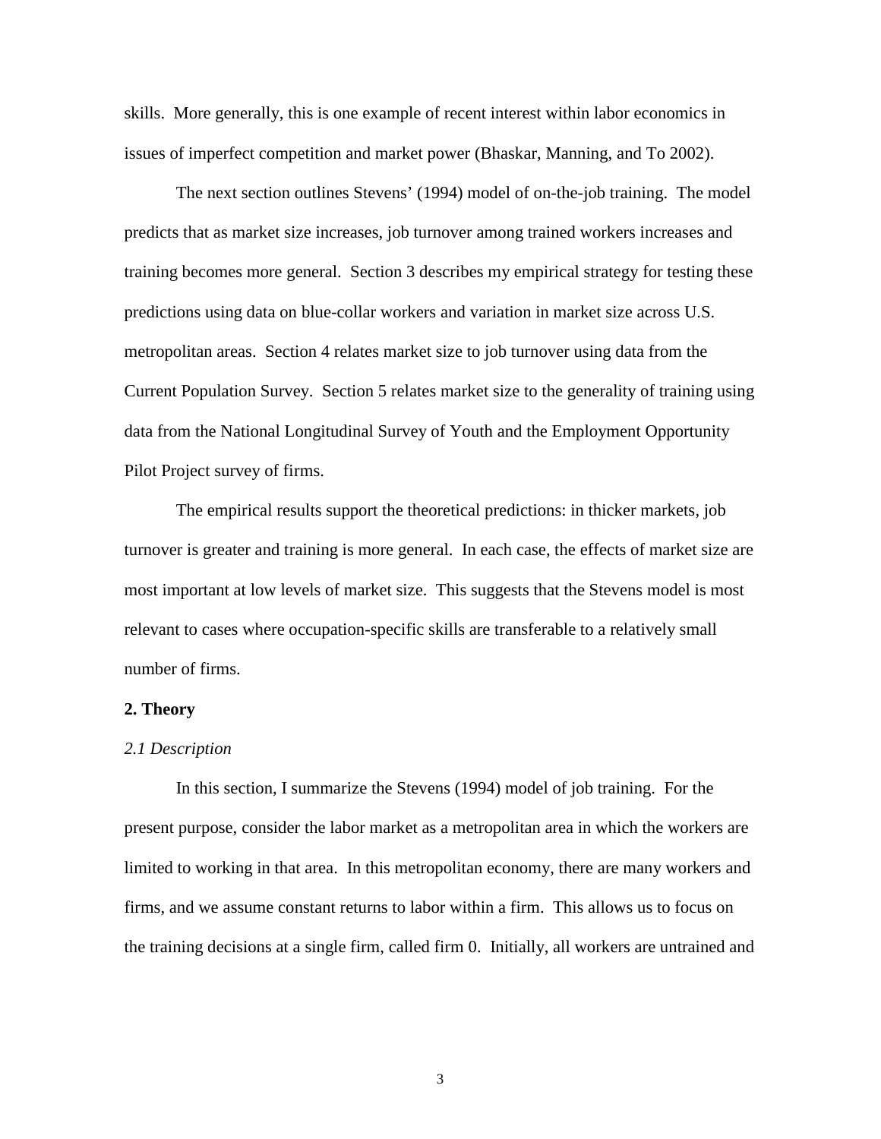skills. More generally, this is one example of recent interest within labor economics in issues of imperfect competition and market power (Bhaskar, Manning, and To 2002).

The next section outlines Stevens' (1994) model of on-the-job training. The model predicts that as market size increases, job turnover among trained workers increases and training becomes more general. Section 3 describes my empirical strategy for testing these predictions using data on blue-collar workers and variation in market size across U.S. metropolitan areas. Section 4 relates market size to job turnover using data from the Current Population Survey. Section 5 relates market size to the generality of training using data from the National Longitudinal Survey of Youth and the Employment Opportunity Pilot Project survey of firms.

The empirical results support the theoretical predictions: in thicker markets, job turnover is greater and training is more general. In each case, the effects of market size are most important at low levels of market size. This suggests that the Stevens model is most relevant to cases where occupation-specific skills are transferable to a relatively small number of firms.

#### **2. Theory**

#### *2.1 Description*

In this section, I summarize the Stevens (1994) model of job training. For the present purpose, consider the labor market as a metropolitan area in which the workers are limited to working in that area. In this metropolitan economy, there are many workers and firms, and we assume constant returns to labor within a firm. This allows us to focus on the training decisions at a single firm, called firm 0. Initially, all workers are untrained and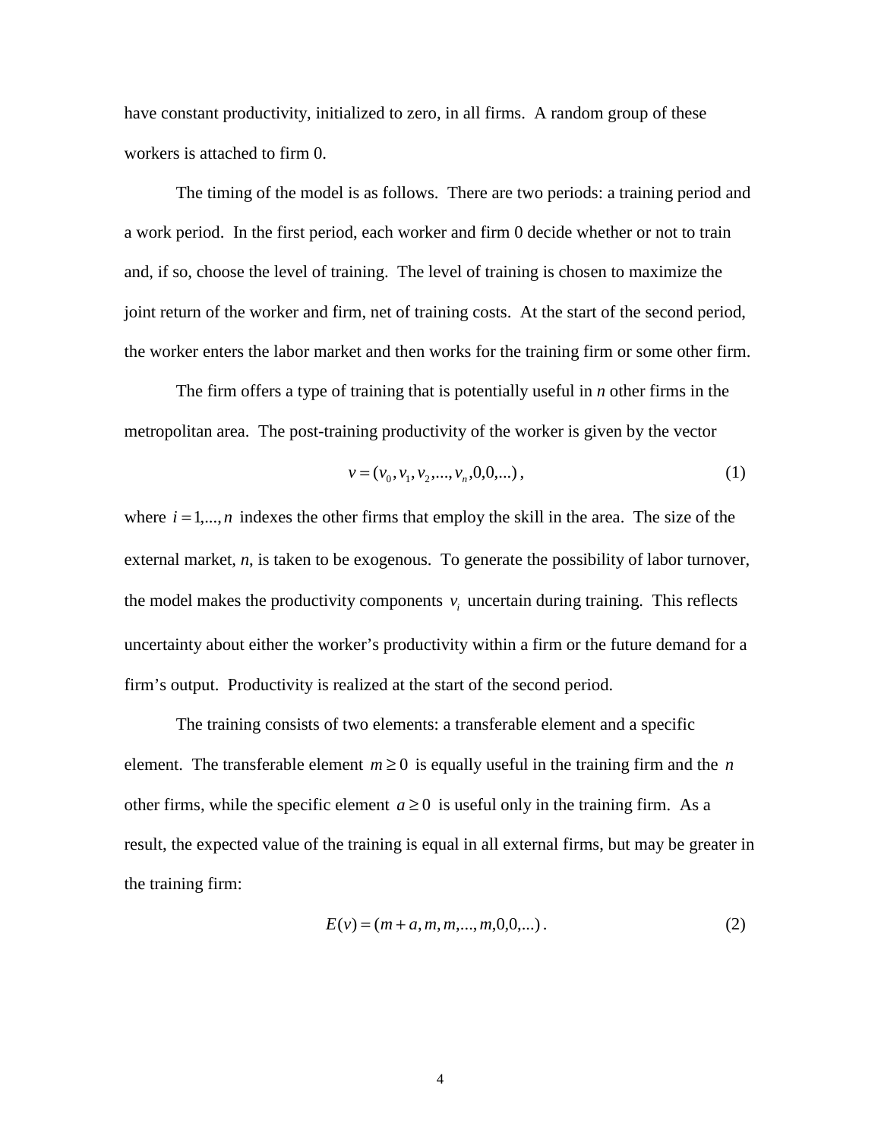have constant productivity, initialized to zero, in all firms. A random group of these workers is attached to firm 0.

The timing of the model is as follows. There are two periods: a training period and a work period. In the first period, each worker and firm 0 decide whether or not to train and, if so, choose the level of training. The level of training is chosen to maximize the joint return of the worker and firm, net of training costs. At the start of the second period, the worker enters the labor market and then works for the training firm or some other firm.

The firm offers a type of training that is potentially useful in *n* other firms in the metropolitan area. The post-training productivity of the worker is given by the vector

$$
v = (v_0, v_1, v_2, \dots, v_n, 0, 0, \dots),
$$
\n<sup>(1)</sup>

where  $i = 1, \ldots, n$  indexes the other firms that employ the skill in the area. The size of the external market, *n*, is taken to be exogenous. To generate the possibility of labor turnover, the model makes the productivity components  $v_i$  uncertain during training. This reflects uncertainty about either the worker's productivity within a firm or the future demand for a firm's output. Productivity is realized at the start of the second period.

The training consists of two elements: a transferable element and a specific element. The transferable element  $m \ge 0$  is equally useful in the training firm and the *n* other firms, while the specific element  $a \ge 0$  is useful only in the training firm. As a result, the expected value of the training is equal in all external firms, but may be greater in the training firm:

$$
E(v) = (m + a, m, m, ..., m, 0, 0, ...).
$$
 (2)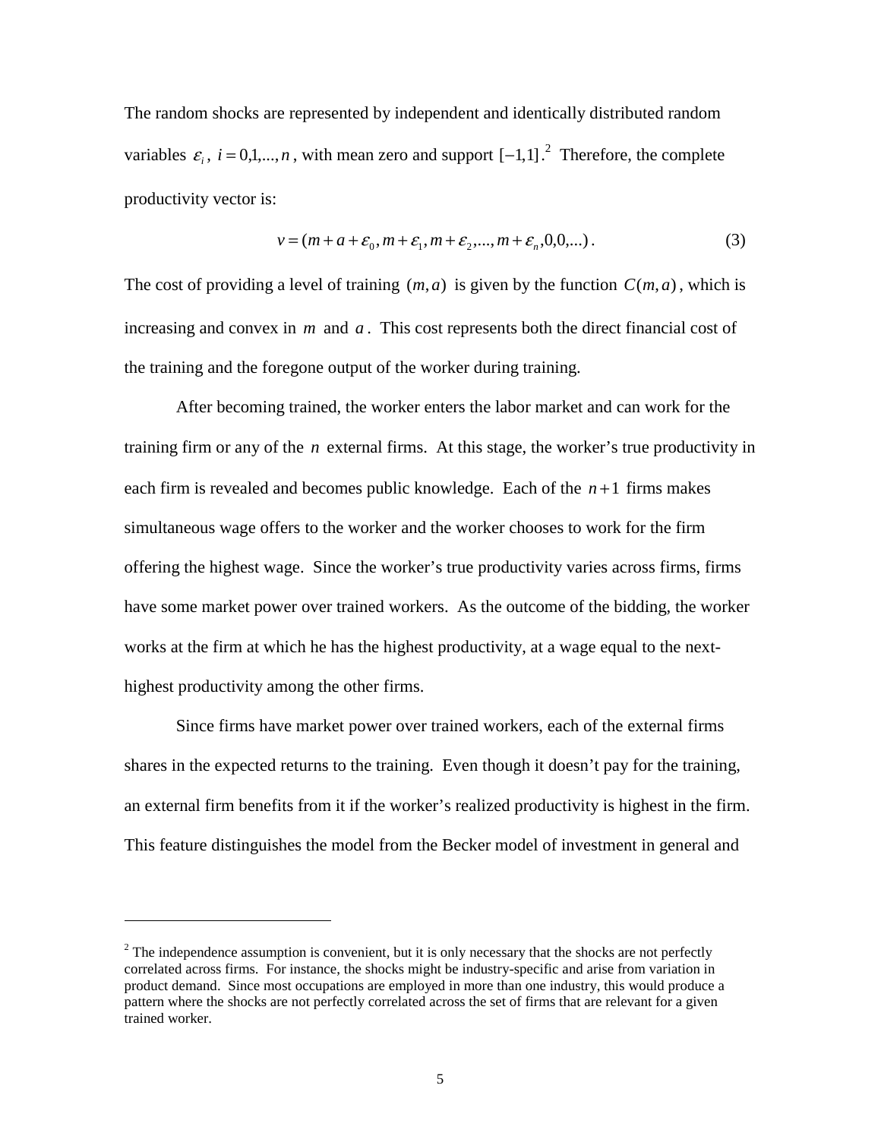The random shocks are represented by independent and identically distributed random variables  $\varepsilon_i$ ,  $i = 0,1,...,n$ , with mean zero and support  $[-1,1]$ .<sup>2</sup> Therefore, the complete productivity vector is:

$$
v = (m + a + \varepsilon_0, m + \varepsilon_1, m + \varepsilon_2, ..., m + \varepsilon_n, 0, 0, ...).
$$
 (3)

The cost of providing a level of training  $(m, a)$  is given by the function  $C(m, a)$ , which is increasing and convex in *m* and *a* . This cost represents both the direct financial cost of the training and the foregone output of the worker during training.

 After becoming trained, the worker enters the labor market and can work for the training firm or any of the *n* external firms. At this stage, the worker's true productivity in each firm is revealed and becomes public knowledge. Each of the *n* +1 firms makes simultaneous wage offers to the worker and the worker chooses to work for the firm offering the highest wage. Since the worker's true productivity varies across firms, firms have some market power over trained workers. As the outcome of the bidding, the worker works at the firm at which he has the highest productivity, at a wage equal to the nexthighest productivity among the other firms.

 Since firms have market power over trained workers, each of the external firms shares in the expected returns to the training. Even though it doesn't pay for the training, an external firm benefits from it if the worker's realized productivity is highest in the firm. This feature distinguishes the model from the Becker model of investment in general and

j

 $2^{2}$  The independence assumption is convenient, but it is only necessary that the shocks are not perfectly correlated across firms. For instance, the shocks might be industry-specific and arise from variation in product demand. Since most occupations are employed in more than one industry, this would produce a pattern where the shocks are not perfectly correlated across the set of firms that are relevant for a given trained worker.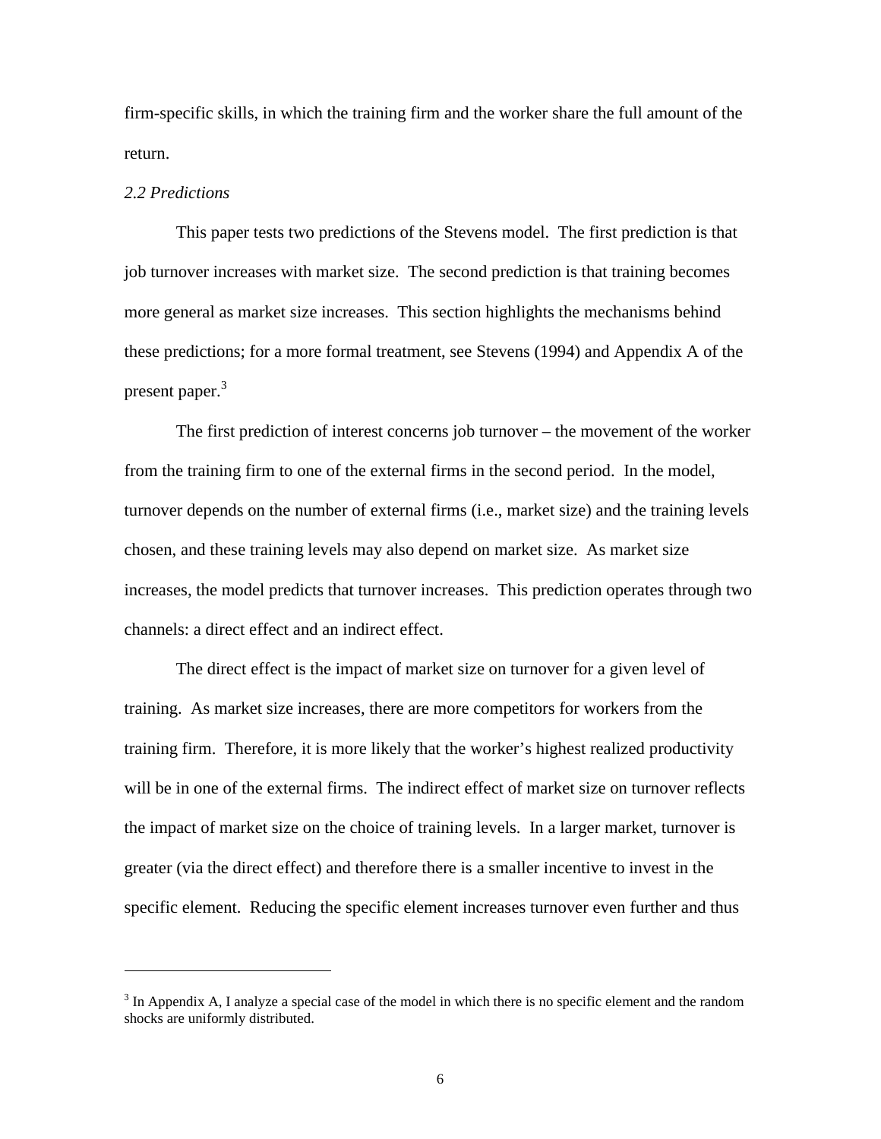firm-specific skills, in which the training firm and the worker share the full amount of the return.

# *2.2 Predictions*

j

 This paper tests two predictions of the Stevens model. The first prediction is that job turnover increases with market size. The second prediction is that training becomes more general as market size increases. This section highlights the mechanisms behind these predictions; for a more formal treatment, see Stevens (1994) and Appendix A of the present paper.<sup>3</sup>

 The first prediction of interest concerns job turnover – the movement of the worker from the training firm to one of the external firms in the second period. In the model, turnover depends on the number of external firms (i.e., market size) and the training levels chosen, and these training levels may also depend on market size. As market size increases, the model predicts that turnover increases. This prediction operates through two channels: a direct effect and an indirect effect.

The direct effect is the impact of market size on turnover for a given level of training. As market size increases, there are more competitors for workers from the training firm. Therefore, it is more likely that the worker's highest realized productivity will be in one of the external firms. The indirect effect of market size on turnover reflects the impact of market size on the choice of training levels. In a larger market, turnover is greater (via the direct effect) and therefore there is a smaller incentive to invest in the specific element. Reducing the specific element increases turnover even further and thus

 $3$  In Appendix A, I analyze a special case of the model in which there is no specific element and the random shocks are uniformly distributed.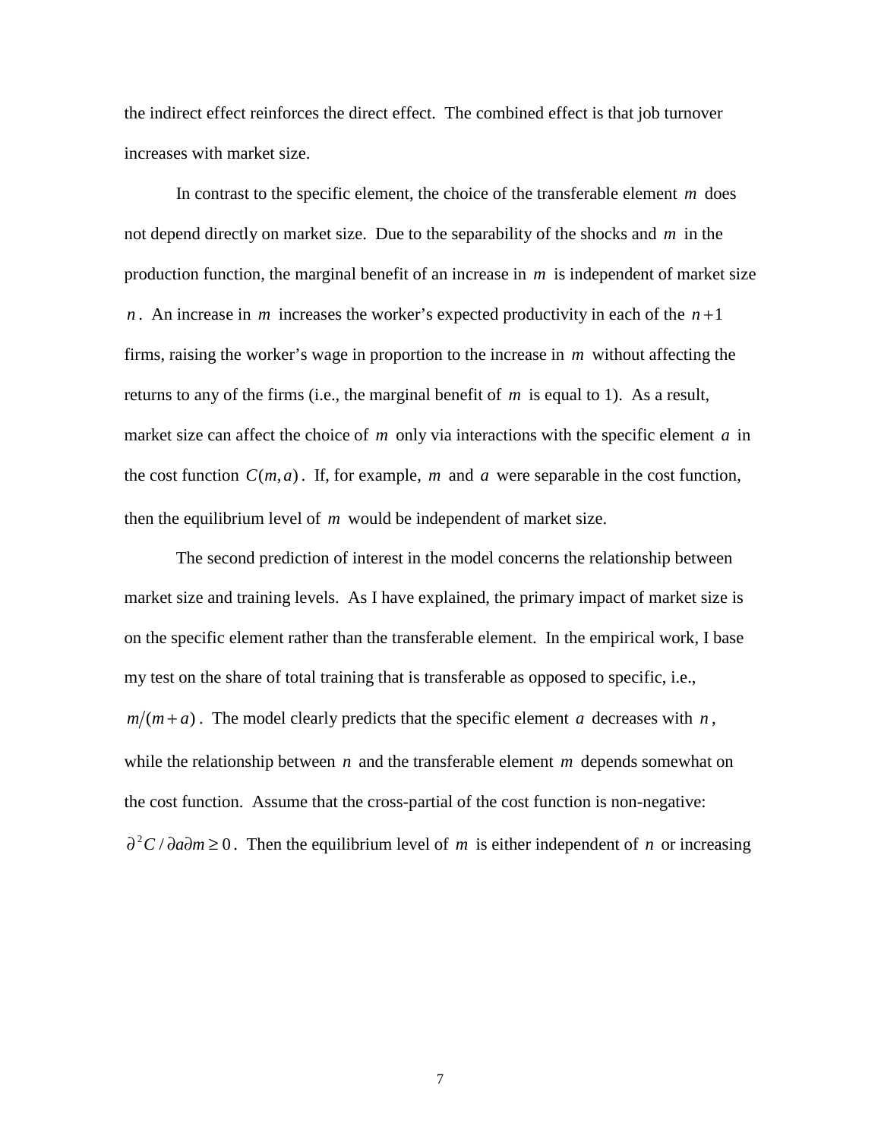the indirect effect reinforces the direct effect. The combined effect is that job turnover increases with market size.

 In contrast to the specific element, the choice of the transferable element *m* does not depend directly on market size. Due to the separability of the shocks and *m* in the production function, the marginal benefit of an increase in *m* is independent of market size *n*. An increase in *m* increases the worker's expected productivity in each of the  $n+1$ firms, raising the worker's wage in proportion to the increase in *m* without affecting the returns to any of the firms (i.e., the marginal benefit of *m* is equal to 1). As a result, market size can affect the choice of *m* only via interactions with the specific element *a* in the cost function  $C(m, a)$ . If, for example, *m* and *a* were separable in the cost function, then the equilibrium level of *m* would be independent of market size.

The second prediction of interest in the model concerns the relationship between market size and training levels. As I have explained, the primary impact of market size is on the specific element rather than the transferable element. In the empirical work, I base my test on the share of total training that is transferable as opposed to specific, i.e.,  $m/(m + a)$ . The model clearly predicts that the specific element *a* decreases with *n*, while the relationship between *n* and the transferable element *m* depends somewhat on the cost function. Assume that the cross-partial of the cost function is non-negative:  $\partial^2 C / \partial a \partial m \ge 0$ *.* Then the equilibrium level of *m* is either independent of *n* or increasing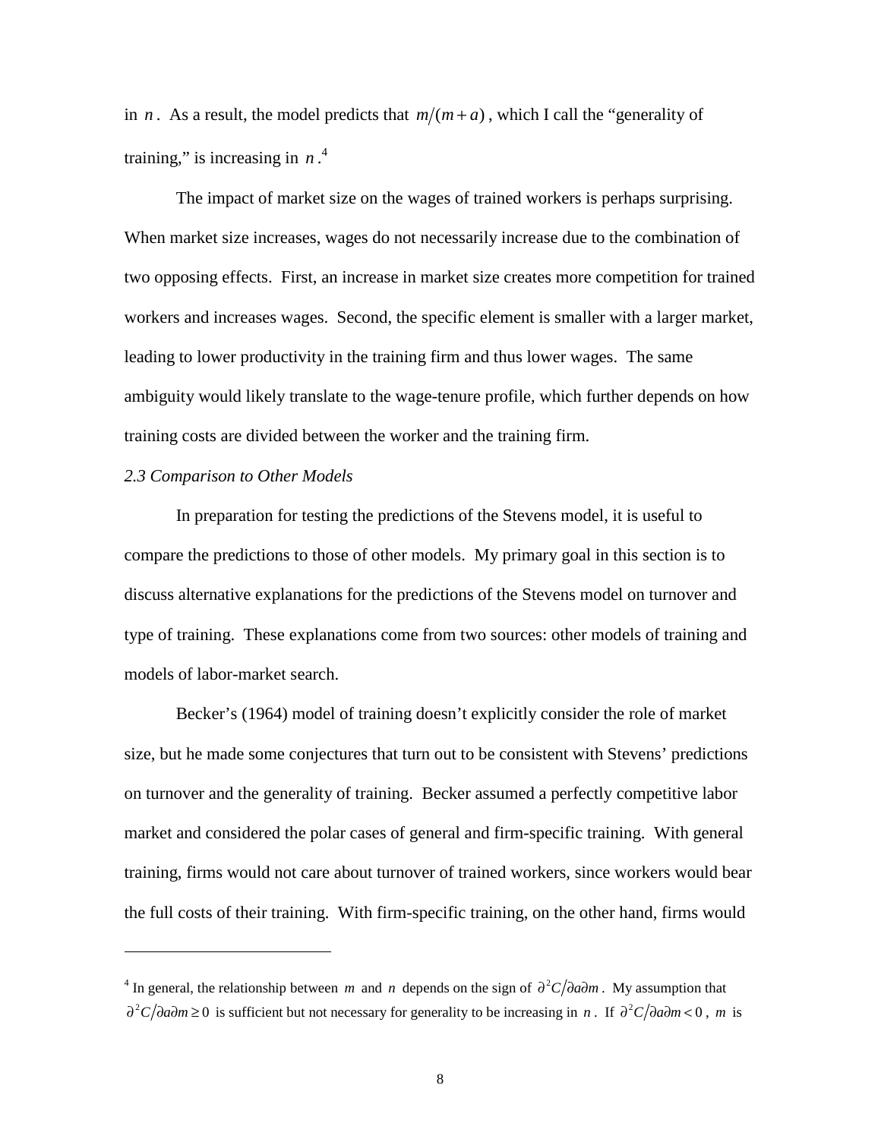in *n*. As a result, the model predicts that  $m/(m + a)$ , which I call the "generality of training," is increasing in *n* . 4

 The impact of market size on the wages of trained workers is perhaps surprising. When market size increases, wages do not necessarily increase due to the combination of two opposing effects. First, an increase in market size creates more competition for trained workers and increases wages. Second, the specific element is smaller with a larger market, leading to lower productivity in the training firm and thus lower wages. The same ambiguity would likely translate to the wage-tenure profile, which further depends on how training costs are divided between the worker and the training firm.

#### *2.3 Comparison to Other Models*

j

 In preparation for testing the predictions of the Stevens model, it is useful to compare the predictions to those of other models. My primary goal in this section is to discuss alternative explanations for the predictions of the Stevens model on turnover and type of training. These explanations come from two sources: other models of training and models of labor-market search.

Becker's (1964) model of training doesn't explicitly consider the role of market size, but he made some conjectures that turn out to be consistent with Stevens' predictions on turnover and the generality of training. Becker assumed a perfectly competitive labor market and considered the polar cases of general and firm-specific training. With general training, firms would not care about turnover of trained workers, since workers would bear the full costs of their training. With firm-specific training, on the other hand, firms would

<sup>&</sup>lt;sup>4</sup> In general, the relationship between *m* and *n* depends on the sign of  $\partial^2 C / \partial a \partial m$ . My assumption that *∂*<sup>2</sup>*C*/∂*a*∂*m* ≥ 0 is sufficient but not necessary for generality to be increasing in *n*. If  $\partial$ <sup>2</sup>*C*/∂*a*∂*m* < 0, *m* is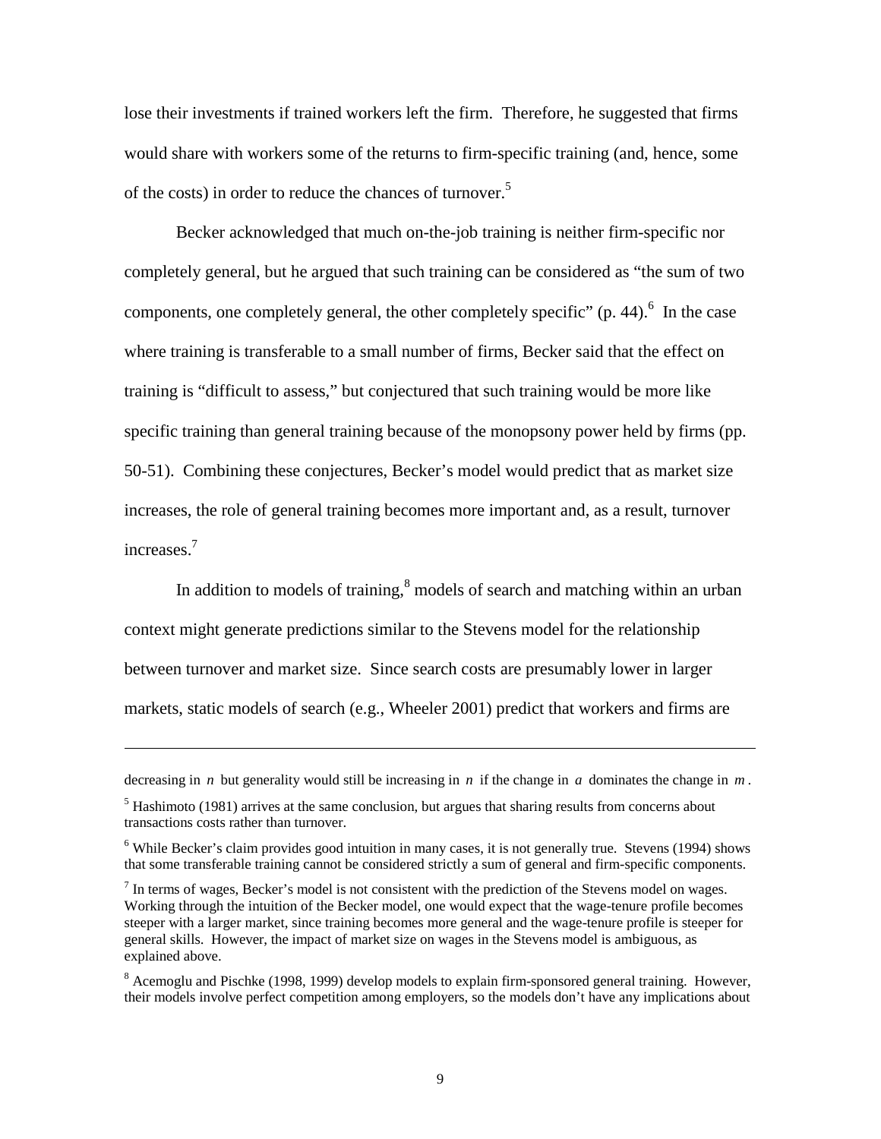lose their investments if trained workers left the firm. Therefore, he suggested that firms would share with workers some of the returns to firm-specific training (and, hence, some of the costs) in order to reduce the chances of turnover.<sup>5</sup>

 Becker acknowledged that much on-the-job training is neither firm-specific nor completely general, but he argued that such training can be considered as "the sum of two components, one completely general, the other completely specific"  $(p. 44)$ . In the case where training is transferable to a small number of firms, Becker said that the effect on training is "difficult to assess," but conjectured that such training would be more like specific training than general training because of the monopsony power held by firms (pp. 50-51). Combining these conjectures, Becker's model would predict that as market size increases, the role of general training becomes more important and, as a result, turnover increases.7

In addition to models of training, $<sup>8</sup>$  models of search and matching within an urban</sup> context might generate predictions similar to the Stevens model for the relationship between turnover and market size. Since search costs are presumably lower in larger markets, static models of search (e.g., Wheeler 2001) predict that workers and firms are

-

decreasing in *n* but generality would still be increasing in *n* if the change in *a* dominates the change in *m* . <sup>5</sup> Hashimoto (1981) arrives at the same conclusion, but argues that sharing results from concerns about

transactions costs rather than turnover.

<sup>&</sup>lt;sup>6</sup> While Becker's claim provides good intuition in many cases, it is not generally true. Stevens (1994) shows that some transferable training cannot be considered strictly a sum of general and firm-specific components.

 $<sup>7</sup>$  In terms of wages, Becker's model is not consistent with the prediction of the Stevens model on wages.</sup> Working through the intuition of the Becker model, one would expect that the wage-tenure profile becomes steeper with a larger market, since training becomes more general and the wage-tenure profile is steeper for general skills. However, the impact of market size on wages in the Stevens model is ambiguous, as explained above.

<sup>&</sup>lt;sup>8</sup> Acemoglu and Pischke (1998, 1999) develop models to explain firm-sponsored general training. However, their models involve perfect competition among employers, so the models don't have any implications about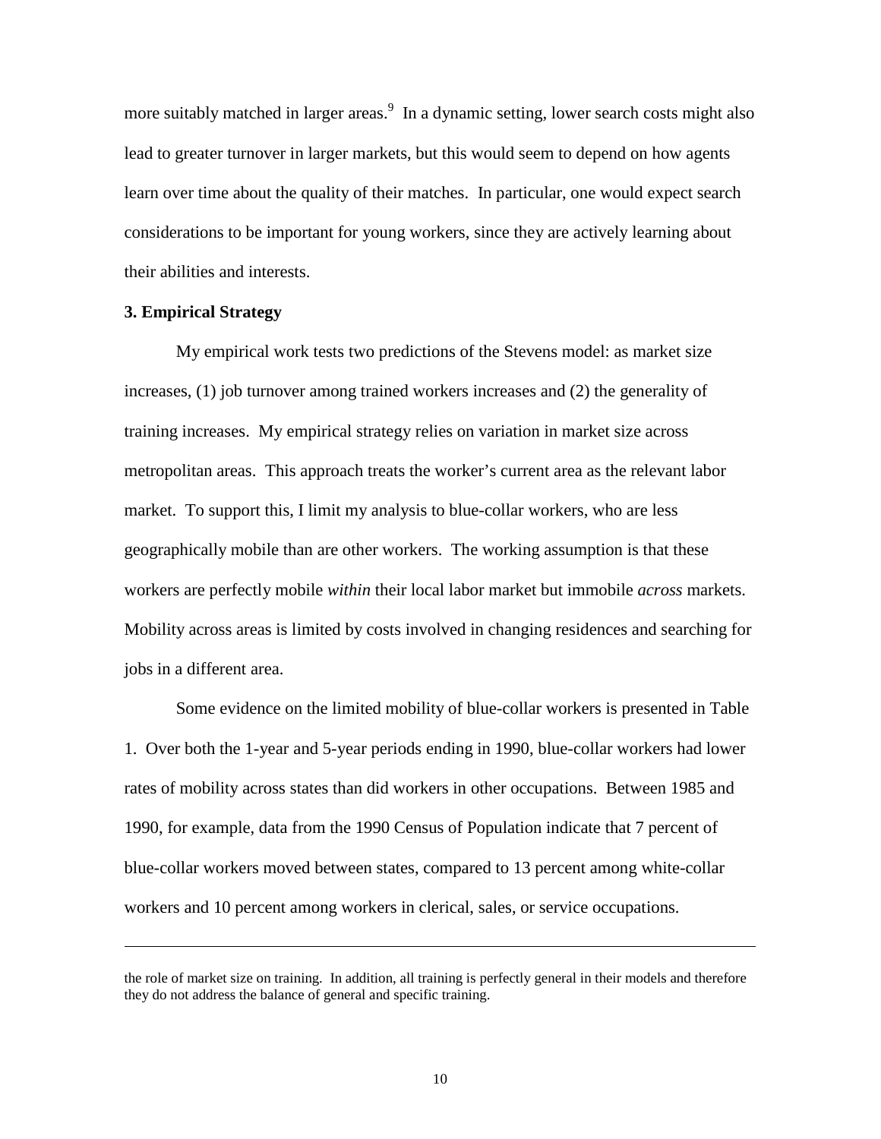more suitably matched in larger areas.<sup>9</sup> In a dynamic setting, lower search costs might also lead to greater turnover in larger markets, but this would seem to depend on how agents learn over time about the quality of their matches. In particular, one would expect search considerations to be important for young workers, since they are actively learning about their abilities and interests.

## **3. Empirical Strategy**

-

My empirical work tests two predictions of the Stevens model: as market size increases, (1) job turnover among trained workers increases and (2) the generality of training increases. My empirical strategy relies on variation in market size across metropolitan areas. This approach treats the worker's current area as the relevant labor market. To support this, I limit my analysis to blue-collar workers, who are less geographically mobile than are other workers. The working assumption is that these workers are perfectly mobile *within* their local labor market but immobile *across* markets. Mobility across areas is limited by costs involved in changing residences and searching for jobs in a different area.

Some evidence on the limited mobility of blue-collar workers is presented in Table 1. Over both the 1-year and 5-year periods ending in 1990, blue-collar workers had lower rates of mobility across states than did workers in other occupations. Between 1985 and 1990, for example, data from the 1990 Census of Population indicate that 7 percent of blue-collar workers moved between states, compared to 13 percent among white-collar workers and 10 percent among workers in clerical, sales, or service occupations.

the role of market size on training. In addition, all training is perfectly general in their models and therefore they do not address the balance of general and specific training.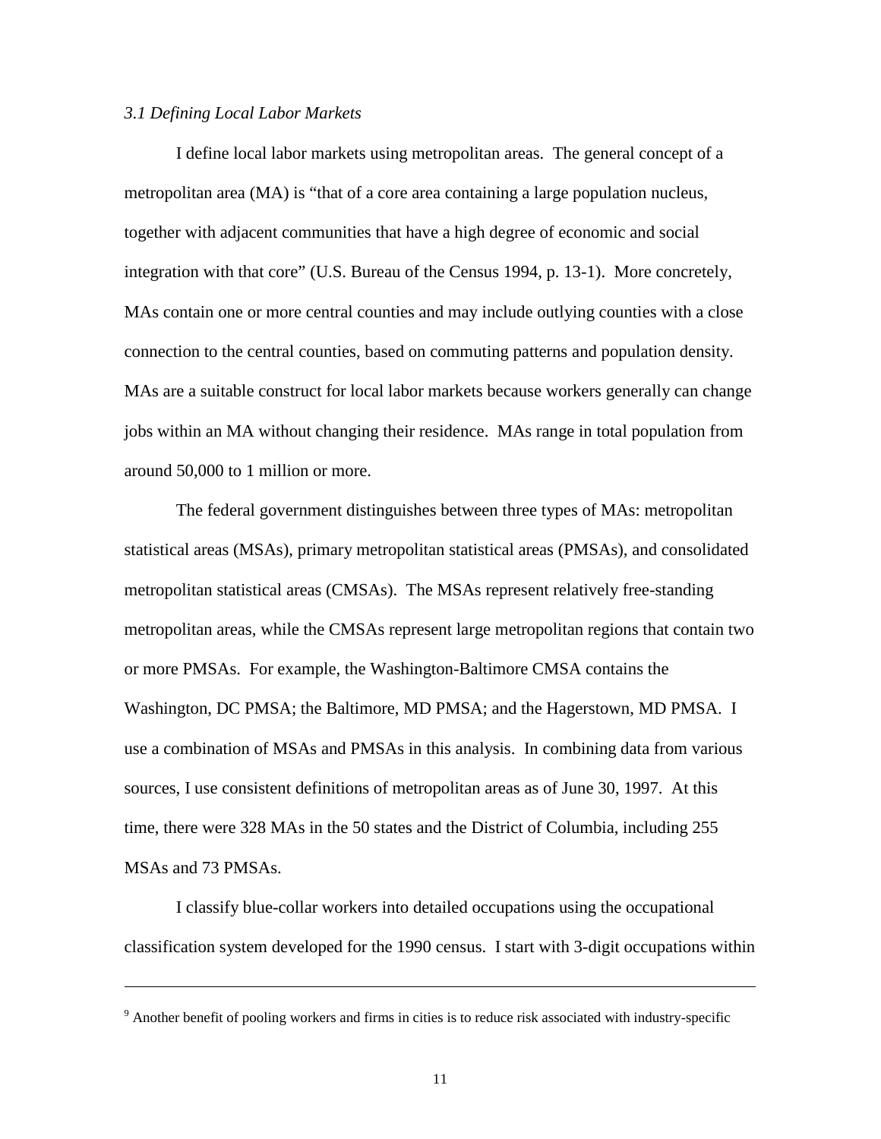#### *3.1 Defining Local Labor Markets*

-

I define local labor markets using metropolitan areas. The general concept of a metropolitan area (MA) is "that of a core area containing a large population nucleus, together with adjacent communities that have a high degree of economic and social integration with that core" (U.S. Bureau of the Census 1994, p. 13-1). More concretely, MAs contain one or more central counties and may include outlying counties with a close connection to the central counties, based on commuting patterns and population density. MAs are a suitable construct for local labor markets because workers generally can change jobs within an MA without changing their residence. MAs range in total population from around 50,000 to 1 million or more.

The federal government distinguishes between three types of MAs: metropolitan statistical areas (MSAs), primary metropolitan statistical areas (PMSAs), and consolidated metropolitan statistical areas (CMSAs). The MSAs represent relatively free-standing metropolitan areas, while the CMSAs represent large metropolitan regions that contain two or more PMSAs. For example, the Washington-Baltimore CMSA contains the Washington, DC PMSA; the Baltimore, MD PMSA; and the Hagerstown, MD PMSA. I use a combination of MSAs and PMSAs in this analysis. In combining data from various sources, I use consistent definitions of metropolitan areas as of June 30, 1997. At this time, there were 328 MAs in the 50 states and the District of Columbia, including 255 MSAs and 73 PMSAs.

I classify blue-collar workers into detailed occupations using the occupational classification system developed for the 1990 census. I start with 3-digit occupations within

<sup>&</sup>lt;sup>9</sup> Another benefit of pooling workers and firms in cities is to reduce risk associated with industry-specific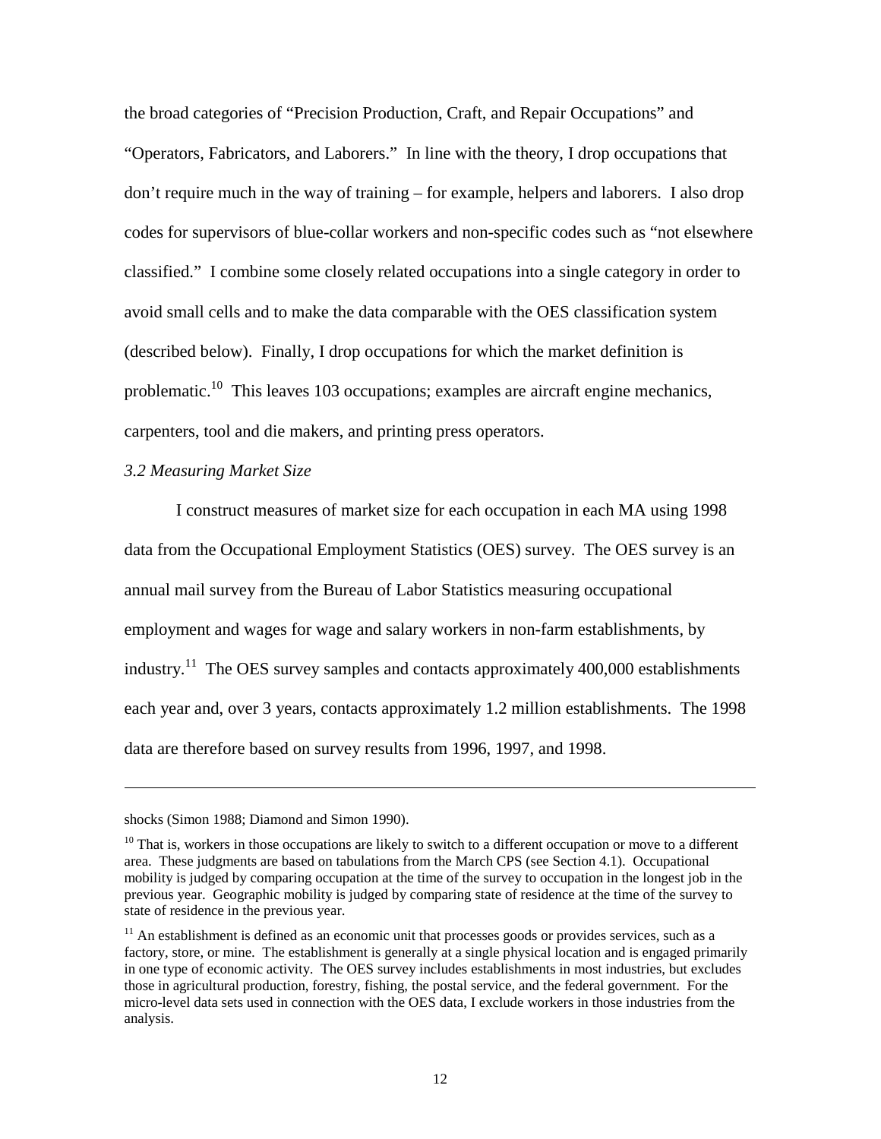the broad categories of "Precision Production, Craft, and Repair Occupations" and "Operators, Fabricators, and Laborers." In line with the theory, I drop occupations that don't require much in the way of training – for example, helpers and laborers. I also drop codes for supervisors of blue-collar workers and non-specific codes such as "not elsewhere classified." I combine some closely related occupations into a single category in order to avoid small cells and to make the data comparable with the OES classification system (described below). Finally, I drop occupations for which the market definition is problematic.<sup>10</sup> This leaves 103 occupations; examples are aircraft engine mechanics, carpenters, tool and die makers, and printing press operators.

## *3.2 Measuring Market Size*

 I construct measures of market size for each occupation in each MA using 1998 data from the Occupational Employment Statistics (OES) survey. The OES survey is an annual mail survey from the Bureau of Labor Statistics measuring occupational employment and wages for wage and salary workers in non-farm establishments, by industry.<sup>11</sup> The OES survey samples and contacts approximately  $400,000$  establishments each year and, over 3 years, contacts approximately 1.2 million establishments. The 1998 data are therefore based on survey results from 1996, 1997, and 1998.

-

shocks (Simon 1988; Diamond and Simon 1990).

<sup>&</sup>lt;sup>10</sup> That is, workers in those occupations are likely to switch to a different occupation or move to a different area. These judgments are based on tabulations from the March CPS (see Section 4.1). Occupational mobility is judged by comparing occupation at the time of the survey to occupation in the longest job in the previous year. Geographic mobility is judged by comparing state of residence at the time of the survey to state of residence in the previous year.

 $11$  An establishment is defined as an economic unit that processes goods or provides services, such as a factory, store, or mine. The establishment is generally at a single physical location and is engaged primarily in one type of economic activity. The OES survey includes establishments in most industries, but excludes those in agricultural production, forestry, fishing, the postal service, and the federal government. For the micro-level data sets used in connection with the OES data, I exclude workers in those industries from the analysis.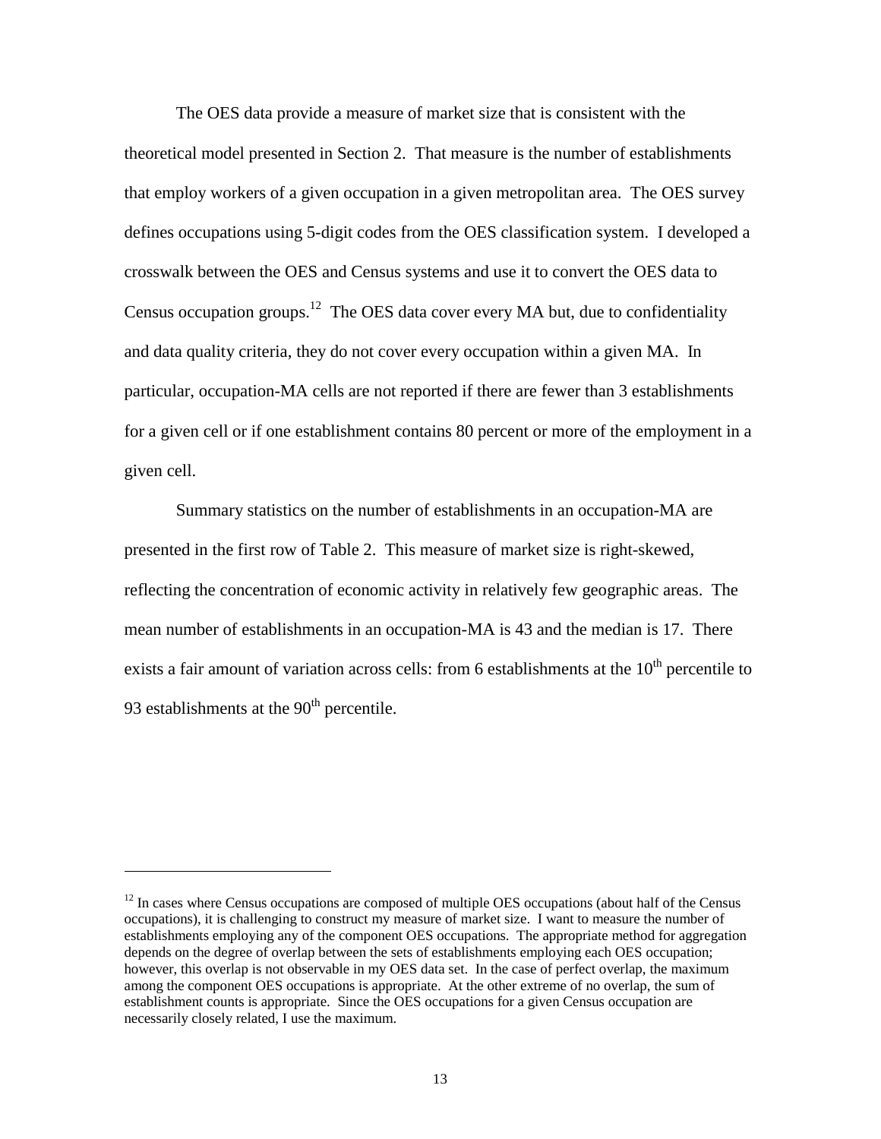The OES data provide a measure of market size that is consistent with the theoretical model presented in Section 2. That measure is the number of establishments that employ workers of a given occupation in a given metropolitan area. The OES survey defines occupations using 5-digit codes from the OES classification system. I developed a crosswalk between the OES and Census systems and use it to convert the OES data to Census occupation groups.<sup>12</sup> The OES data cover every MA but, due to confidentiality and data quality criteria, they do not cover every occupation within a given MA. In particular, occupation-MA cells are not reported if there are fewer than 3 establishments for a given cell or if one establishment contains 80 percent or more of the employment in a given cell.

Summary statistics on the number of establishments in an occupation-MA are presented in the first row of Table 2. This measure of market size is right-skewed, reflecting the concentration of economic activity in relatively few geographic areas. The mean number of establishments in an occupation-MA is 43 and the median is 17. There exists a fair amount of variation across cells: from 6 establishments at the  $10<sup>th</sup>$  percentile to 93 establishments at the  $90<sup>th</sup>$  percentile.

j

 $12$  In cases where Census occupations are composed of multiple OES occupations (about half of the Census occupations), it is challenging to construct my measure of market size. I want to measure the number of establishments employing any of the component OES occupations. The appropriate method for aggregation depends on the degree of overlap between the sets of establishments employing each OES occupation; however, this overlap is not observable in my OES data set. In the case of perfect overlap, the maximum among the component OES occupations is appropriate. At the other extreme of no overlap, the sum of establishment counts is appropriate. Since the OES occupations for a given Census occupation are necessarily closely related, I use the maximum.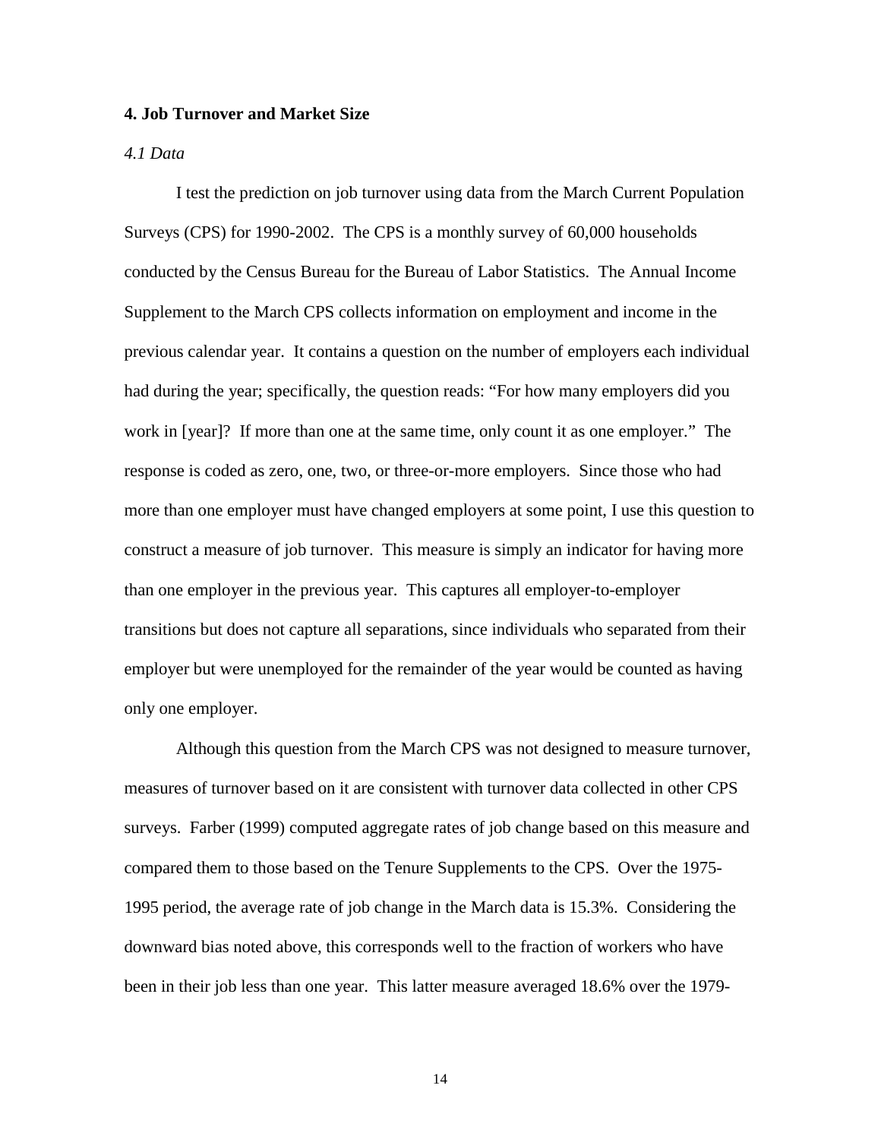#### **4. Job Turnover and Market Size**

#### *4.1 Data*

I test the prediction on job turnover using data from the March Current Population Surveys (CPS) for 1990-2002. The CPS is a monthly survey of 60,000 households conducted by the Census Bureau for the Bureau of Labor Statistics. The Annual Income Supplement to the March CPS collects information on employment and income in the previous calendar year. It contains a question on the number of employers each individual had during the year; specifically, the question reads: "For how many employers did you work in [year]? If more than one at the same time, only count it as one employer." The response is coded as zero, one, two, or three-or-more employers. Since those who had more than one employer must have changed employers at some point, I use this question to construct a measure of job turnover. This measure is simply an indicator for having more than one employer in the previous year. This captures all employer-to-employer transitions but does not capture all separations, since individuals who separated from their employer but were unemployed for the remainder of the year would be counted as having only one employer.

Although this question from the March CPS was not designed to measure turnover, measures of turnover based on it are consistent with turnover data collected in other CPS surveys. Farber (1999) computed aggregate rates of job change based on this measure and compared them to those based on the Tenure Supplements to the CPS. Over the 1975- 1995 period, the average rate of job change in the March data is 15.3%. Considering the downward bias noted above, this corresponds well to the fraction of workers who have been in their job less than one year. This latter measure averaged 18.6% over the 1979-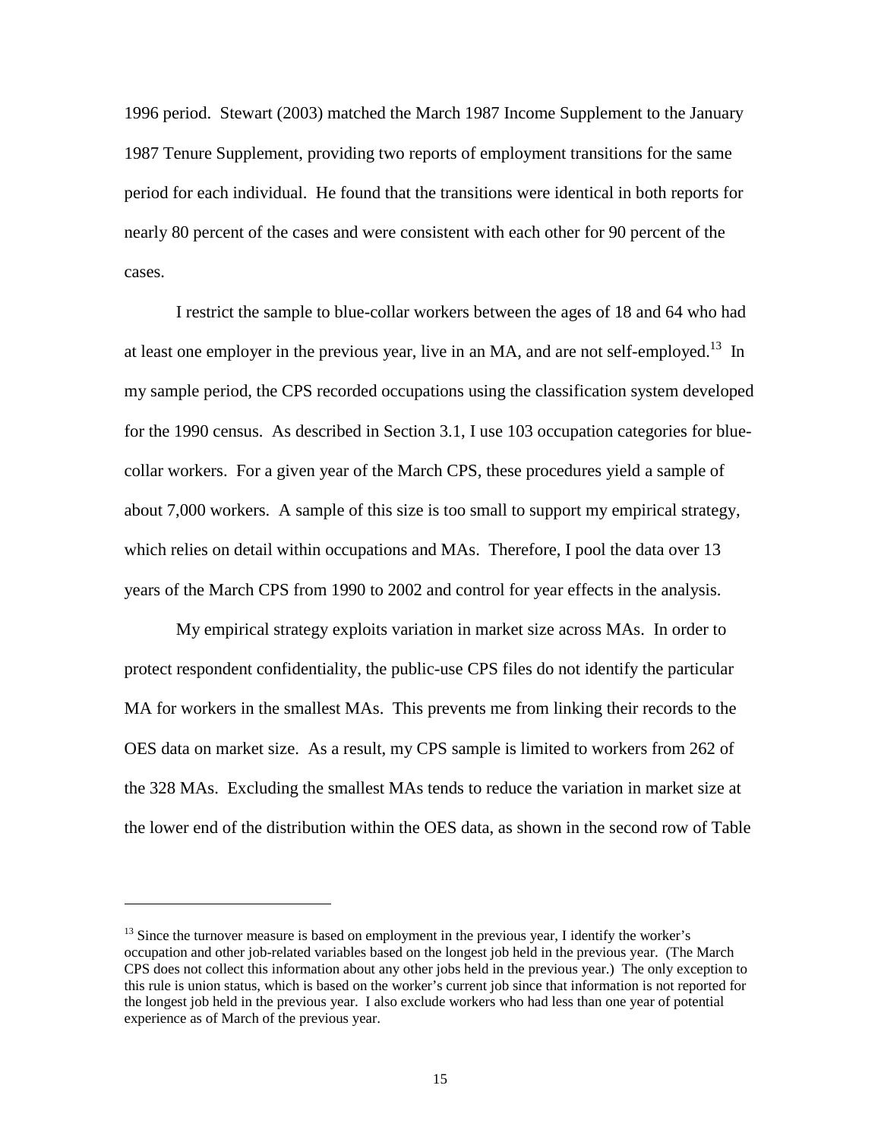1996 period. Stewart (2003) matched the March 1987 Income Supplement to the January 1987 Tenure Supplement, providing two reports of employment transitions for the same period for each individual. He found that the transitions were identical in both reports for nearly 80 percent of the cases and were consistent with each other for 90 percent of the cases.

I restrict the sample to blue-collar workers between the ages of 18 and 64 who had at least one employer in the previous year, live in an MA, and are not self-employed.<sup>13</sup> In my sample period, the CPS recorded occupations using the classification system developed for the 1990 census. As described in Section 3.1, I use 103 occupation categories for bluecollar workers. For a given year of the March CPS, these procedures yield a sample of about 7,000 workers. A sample of this size is too small to support my empirical strategy, which relies on detail within occupations and MAs. Therefore, I pool the data over 13 years of the March CPS from 1990 to 2002 and control for year effects in the analysis.

My empirical strategy exploits variation in market size across MAs. In order to protect respondent confidentiality, the public-use CPS files do not identify the particular MA for workers in the smallest MAs. This prevents me from linking their records to the OES data on market size. As a result, my CPS sample is limited to workers from 262 of the 328 MAs. Excluding the smallest MAs tends to reduce the variation in market size at the lower end of the distribution within the OES data, as shown in the second row of Table

l

 $<sup>13</sup>$  Since the turnover measure is based on employment in the previous year, I identify the worker's</sup> occupation and other job-related variables based on the longest job held in the previous year. (The March CPS does not collect this information about any other jobs held in the previous year.) The only exception to this rule is union status, which is based on the worker's current job since that information is not reported for the longest job held in the previous year. I also exclude workers who had less than one year of potential experience as of March of the previous year.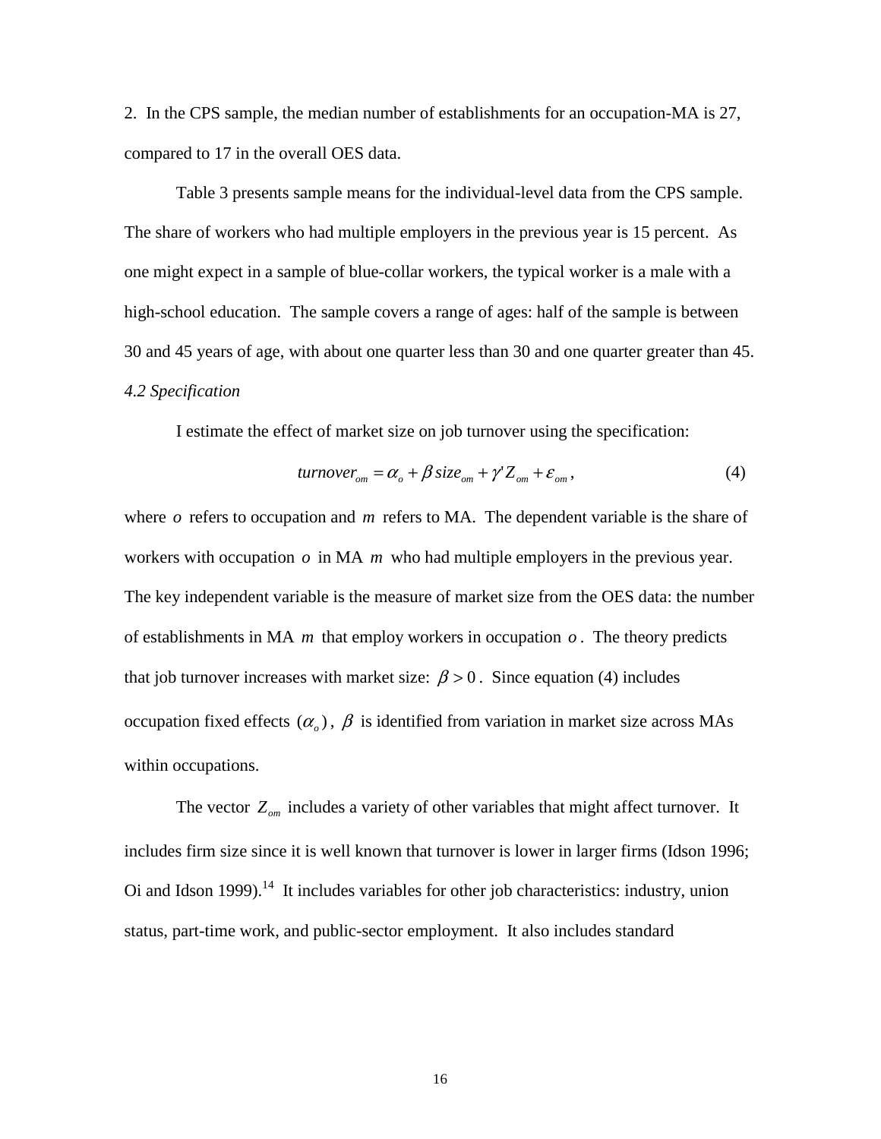2. In the CPS sample, the median number of establishments for an occupation-MA is 27, compared to 17 in the overall OES data.

Table 3 presents sample means for the individual-level data from the CPS sample. The share of workers who had multiple employers in the previous year is 15 percent. As one might expect in a sample of blue-collar workers, the typical worker is a male with a high-school education. The sample covers a range of ages: half of the sample is between 30 and 45 years of age, with about one quarter less than 30 and one quarter greater than 45. *4.2 Specification* 

I estimate the effect of market size on job turnover using the specification:

$$
turnover_{om} = \alpha_o + \beta \, size_{om} + \gamma' Z_{om} + \varepsilon_{om},\tag{4}
$$

where *o* refers to occupation and *m* refers to MA. The dependent variable is the share of workers with occupation  $\sigma$  in MA  $m$  who had multiple employers in the previous year. The key independent variable is the measure of market size from the OES data: the number of establishments in MA *m* that employ workers in occupation *o* . The theory predicts that job turnover increases with market size:  $\beta > 0$ . Since equation (4) includes occupation fixed effects  $(\alpha_a)$ ,  $\beta$  is identified from variation in market size across MAs within occupations.

The vector  $Z_{\text{om}}$  includes a variety of other variables that might affect turnover. It includes firm size since it is well known that turnover is lower in larger firms (Idson 1996; Oi and Idson 1999).<sup>14</sup> It includes variables for other job characteristics: industry, union status, part-time work, and public-sector employment. It also includes standard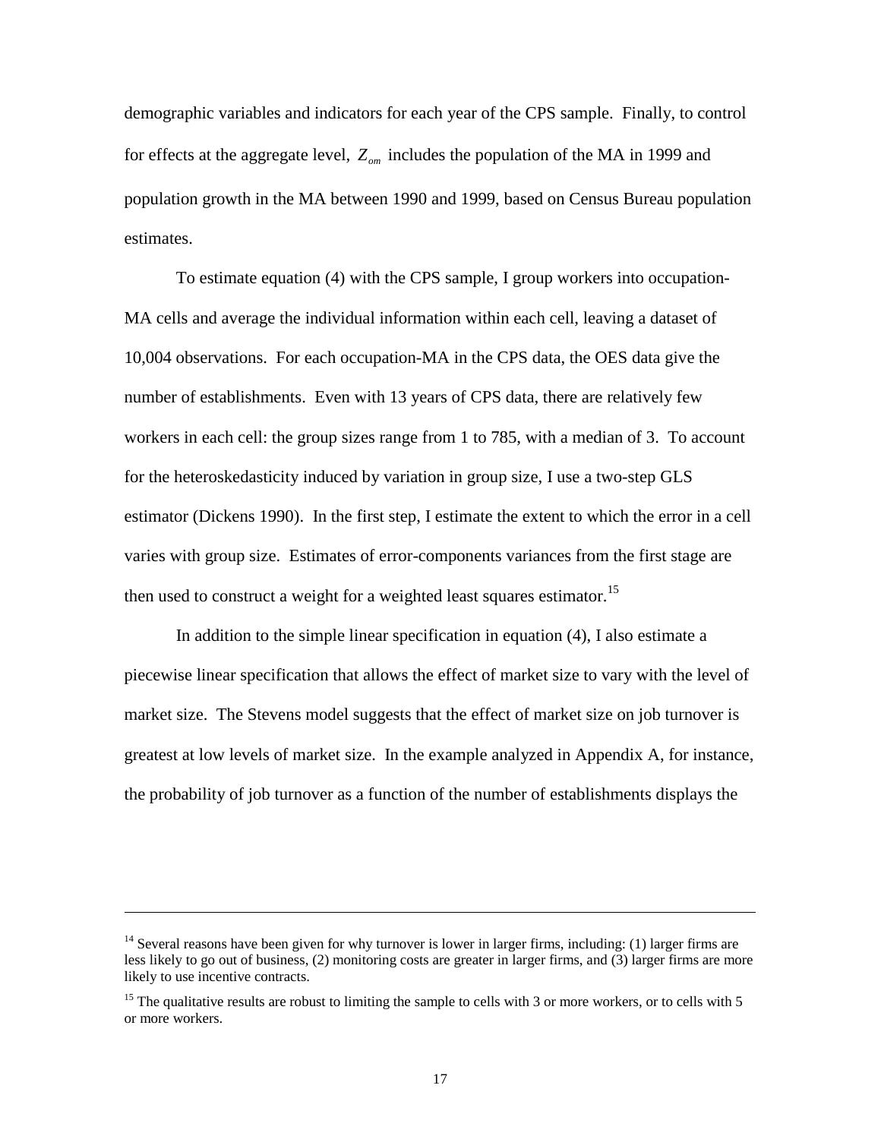demographic variables and indicators for each year of the CPS sample. Finally, to control for effects at the aggregate level,  $Z_{\text{om}}$  includes the population of the MA in 1999 and population growth in the MA between 1990 and 1999, based on Census Bureau population estimates.

 To estimate equation (4) with the CPS sample, I group workers into occupation-MA cells and average the individual information within each cell, leaving a dataset of 10,004 observations. For each occupation-MA in the CPS data, the OES data give the number of establishments. Even with 13 years of CPS data, there are relatively few workers in each cell: the group sizes range from 1 to 785, with a median of 3. To account for the heteroskedasticity induced by variation in group size, I use a two-step GLS estimator (Dickens 1990). In the first step, I estimate the extent to which the error in a cell varies with group size. Estimates of error-components variances from the first stage are then used to construct a weight for a weighted least squares estimator.<sup>15</sup>

 In addition to the simple linear specification in equation (4), I also estimate a piecewise linear specification that allows the effect of market size to vary with the level of market size. The Stevens model suggests that the effect of market size on job turnover is greatest at low levels of market size. In the example analyzed in Appendix A, for instance, the probability of job turnover as a function of the number of establishments displays the

-

<sup>&</sup>lt;sup>14</sup> Several reasons have been given for why turnover is lower in larger firms, including: (1) larger firms are less likely to go out of business, (2) monitoring costs are greater in larger firms, and (3) larger firms are more likely to use incentive contracts.

<sup>&</sup>lt;sup>15</sup> The qualitative results are robust to limiting the sample to cells with 3 or more workers, or to cells with 5 or more workers.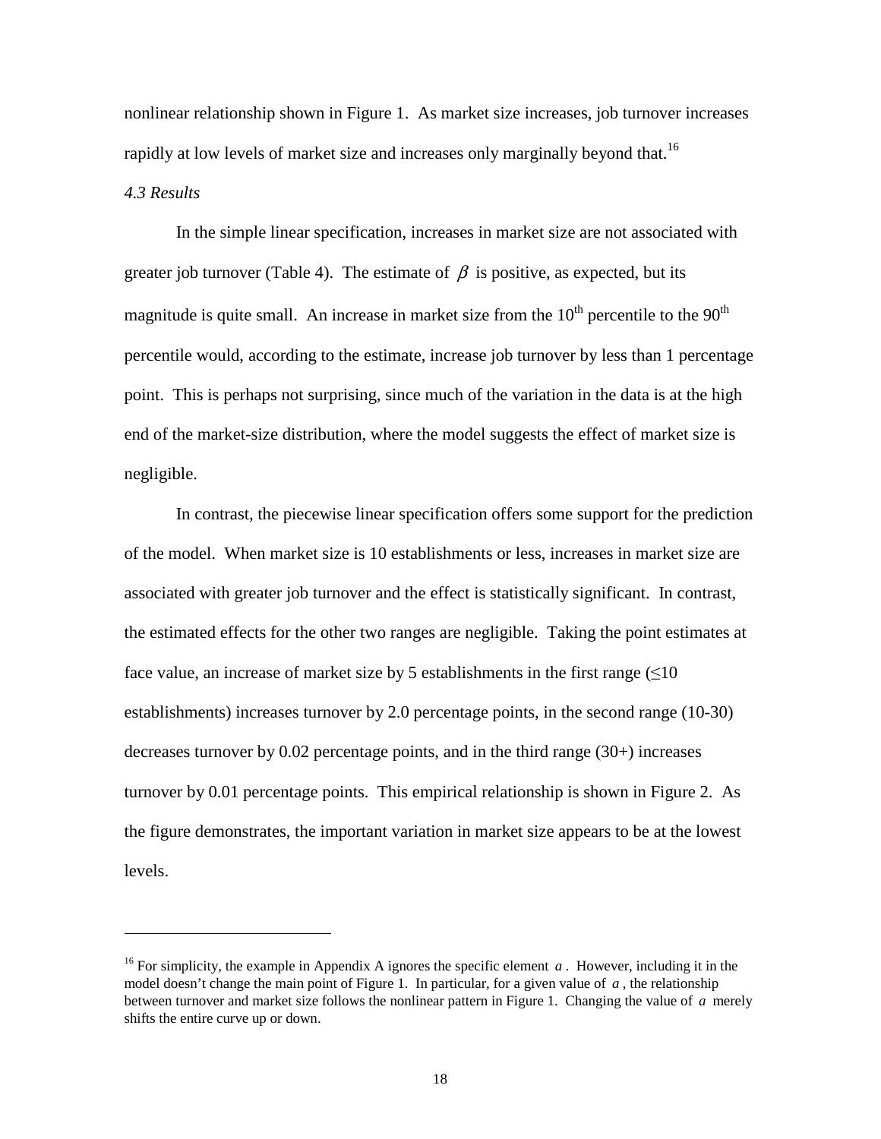nonlinear relationship shown in Figure 1. As market size increases, job turnover increases rapidly at low levels of market size and increases only marginally beyond that.<sup>16</sup> *4.3 Results* 

 In the simple linear specification, increases in market size are not associated with greater job turnover (Table 4). The estimate of  $\beta$  is positive, as expected, but its magnitude is quite small. An increase in market size from the  $10<sup>th</sup>$  percentile to the  $90<sup>th</sup>$ percentile would, according to the estimate, increase job turnover by less than 1 percentage point. This is perhaps not surprising, since much of the variation in the data is at the high end of the market-size distribution, where the model suggests the effect of market size is negligible.

 In contrast, the piecewise linear specification offers some support for the prediction of the model. When market size is 10 establishments or less, increases in market size are associated with greater job turnover and the effect is statistically significant. In contrast, the estimated effects for the other two ranges are negligible. Taking the point estimates at face value, an increase of market size by 5 establishments in the first range  $(\leq 10$ establishments) increases turnover by 2.0 percentage points, in the second range (10-30) decreases turnover by 0.02 percentage points, and in the third range (30+) increases turnover by 0.01 percentage points. This empirical relationship is shown in Figure 2. As the figure demonstrates, the important variation in market size appears to be at the lowest levels.

-

<sup>&</sup>lt;sup>16</sup> For simplicity, the example in Appendix A ignores the specific element  $a$ . However, including it in the model doesn't change the main point of Figure 1. In particular, for a given value of *a* , the relationship between turnover and market size follows the nonlinear pattern in Figure 1. Changing the value of *a* merely shifts the entire curve up or down.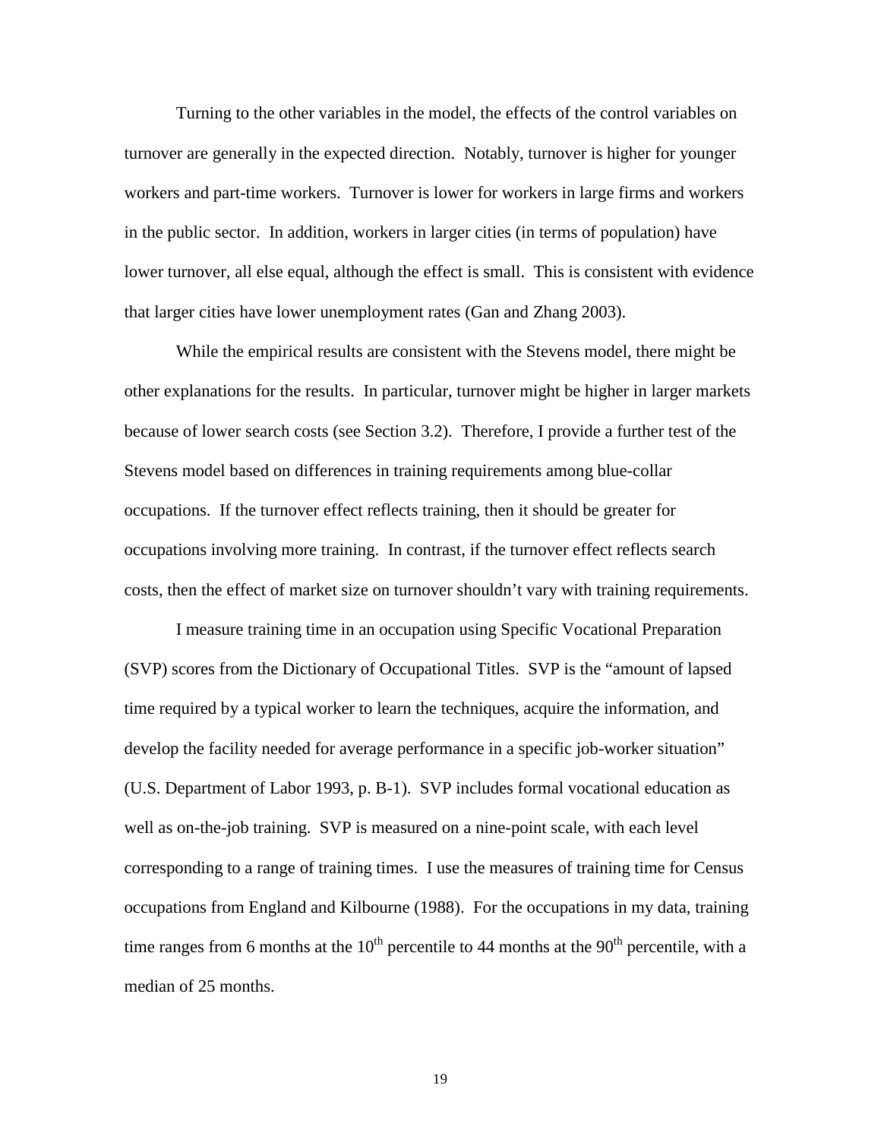Turning to the other variables in the model, the effects of the control variables on turnover are generally in the expected direction. Notably, turnover is higher for younger workers and part-time workers. Turnover is lower for workers in large firms and workers in the public sector. In addition, workers in larger cities (in terms of population) have lower turnover, all else equal, although the effect is small. This is consistent with evidence that larger cities have lower unemployment rates (Gan and Zhang 2003).

 While the empirical results are consistent with the Stevens model, there might be other explanations for the results. In particular, turnover might be higher in larger markets because of lower search costs (see Section 3.2). Therefore, I provide a further test of the Stevens model based on differences in training requirements among blue-collar occupations. If the turnover effect reflects training, then it should be greater for occupations involving more training. In contrast, if the turnover effect reflects search costs, then the effect of market size on turnover shouldn't vary with training requirements.

 I measure training time in an occupation using Specific Vocational Preparation (SVP) scores from the Dictionary of Occupational Titles. SVP is the "amount of lapsed time required by a typical worker to learn the techniques, acquire the information, and develop the facility needed for average performance in a specific job-worker situation" (U.S. Department of Labor 1993, p. B-1). SVP includes formal vocational education as well as on-the-job training. SVP is measured on a nine-point scale, with each level corresponding to a range of training times. I use the measures of training time for Census occupations from England and Kilbourne (1988). For the occupations in my data, training time ranges from 6 months at the  $10<sup>th</sup>$  percentile to 44 months at the  $90<sup>th</sup>$  percentile, with a median of 25 months.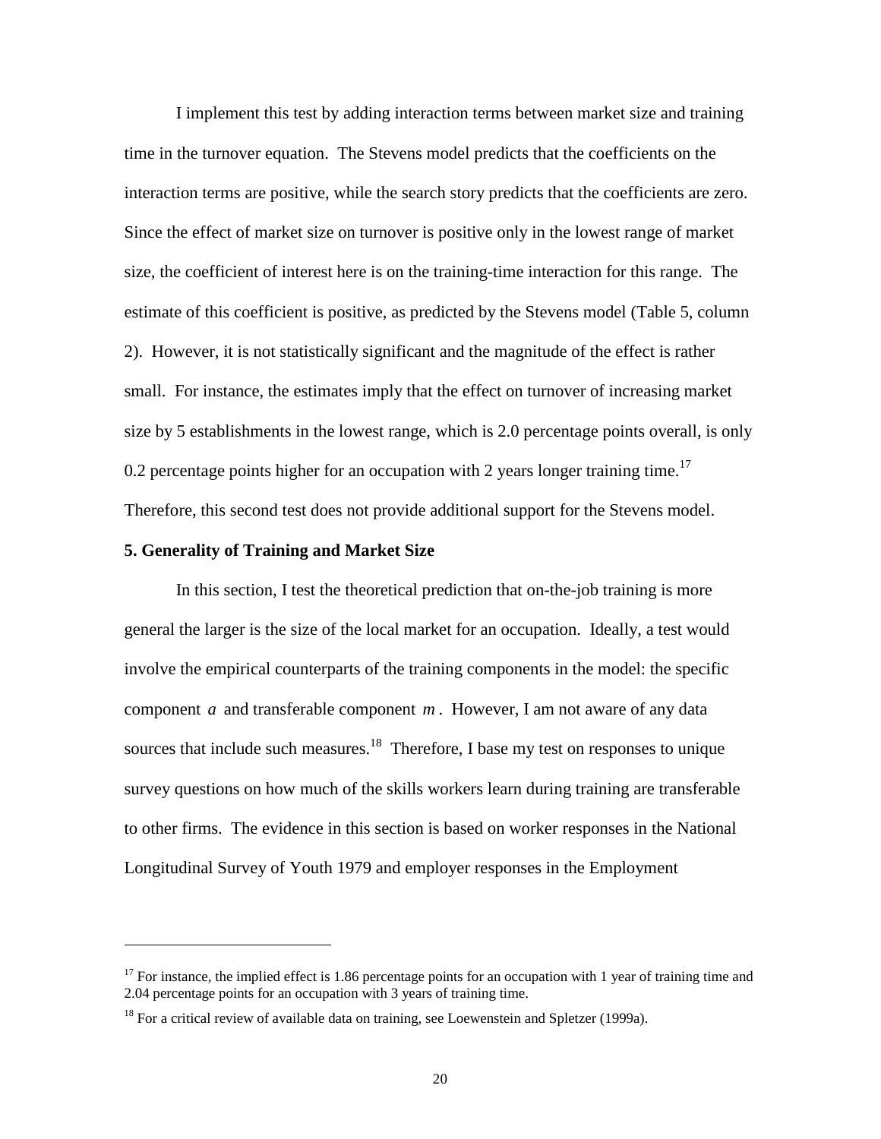I implement this test by adding interaction terms between market size and training time in the turnover equation. The Stevens model predicts that the coefficients on the interaction terms are positive, while the search story predicts that the coefficients are zero. Since the effect of market size on turnover is positive only in the lowest range of market size, the coefficient of interest here is on the training-time interaction for this range. The estimate of this coefficient is positive, as predicted by the Stevens model (Table 5, column 2). However, it is not statistically significant and the magnitude of the effect is rather small. For instance, the estimates imply that the effect on turnover of increasing market size by 5 establishments in the lowest range, which is 2.0 percentage points overall, is only 0.2 percentage points higher for an occupation with 2 years longer training time.<sup>17</sup> Therefore, this second test does not provide additional support for the Stevens model.

#### **5. Generality of Training and Market Size**

-

 In this section, I test the theoretical prediction that on-the-job training is more general the larger is the size of the local market for an occupation. Ideally, a test would involve the empirical counterparts of the training components in the model: the specific component *a* and transferable component *m* . However, I am not aware of any data sources that include such measures.<sup>18</sup> Therefore, I base my test on responses to unique survey questions on how much of the skills workers learn during training are transferable to other firms. The evidence in this section is based on worker responses in the National Longitudinal Survey of Youth 1979 and employer responses in the Employment

<sup>&</sup>lt;sup>17</sup> For instance, the implied effect is 1.86 percentage points for an occupation with 1 year of training time and 2.04 percentage points for an occupation with 3 years of training time.

 $18$  For a critical review of available data on training, see Loewenstein and Spletzer (1999a).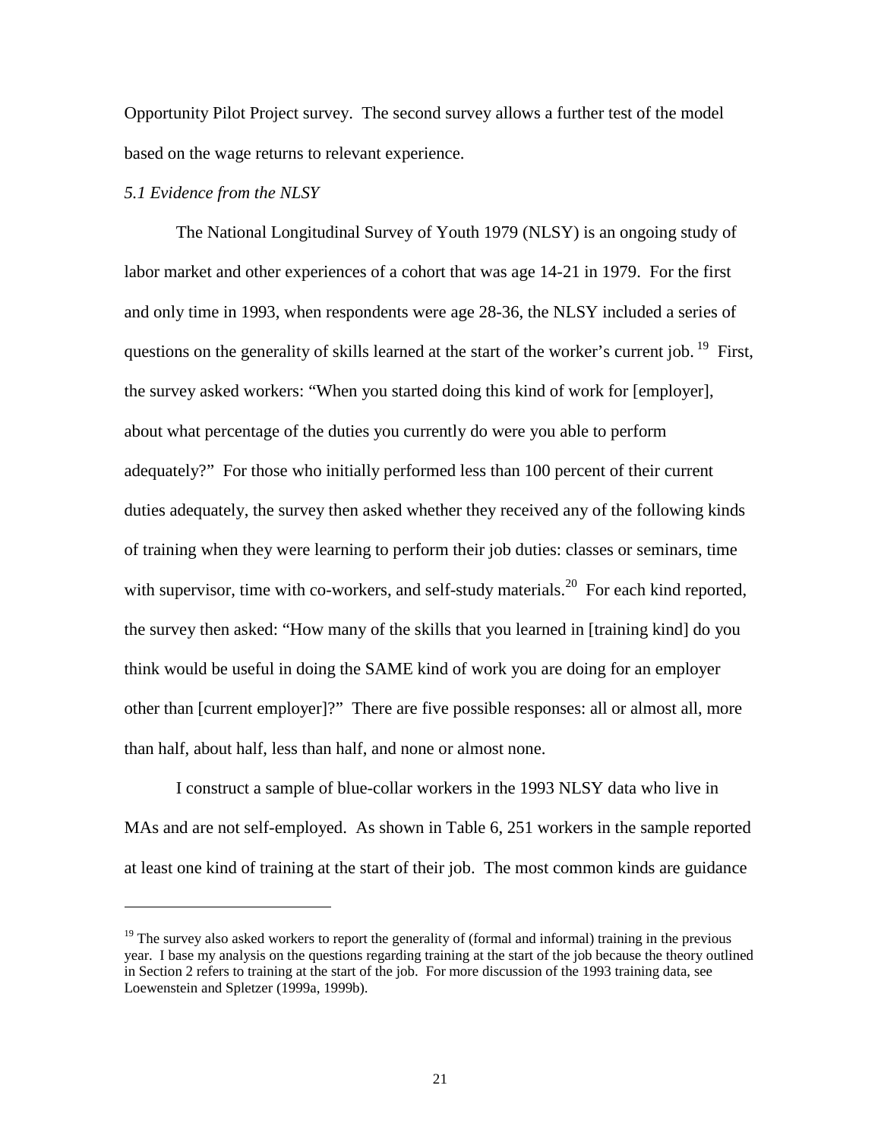Opportunity Pilot Project survey. The second survey allows a further test of the model based on the wage returns to relevant experience.

## *5.1 Evidence from the NLSY*

-

 The National Longitudinal Survey of Youth 1979 (NLSY) is an ongoing study of labor market and other experiences of a cohort that was age 14-21 in 1979. For the first and only time in 1993, when respondents were age 28-36, the NLSY included a series of questions on the generality of skills learned at the start of the worker's current job.  $^{19}$  First, the survey asked workers: "When you started doing this kind of work for [employer], about what percentage of the duties you currently do were you able to perform adequately?" For those who initially performed less than 100 percent of their current duties adequately, the survey then asked whether they received any of the following kinds of training when they were learning to perform their job duties: classes or seminars, time with supervisor, time with co-workers, and self-study materials.<sup>20</sup> For each kind reported, the survey then asked: "How many of the skills that you learned in [training kind] do you think would be useful in doing the SAME kind of work you are doing for an employer other than [current employer]?" There are five possible responses: all or almost all, more than half, about half, less than half, and none or almost none.

 I construct a sample of blue-collar workers in the 1993 NLSY data who live in MAs and are not self-employed. As shown in Table 6, 251 workers in the sample reported at least one kind of training at the start of their job. The most common kinds are guidance

 $19$  The survey also asked workers to report the generality of (formal and informal) training in the previous year. I base my analysis on the questions regarding training at the start of the job because the theory outlined in Section 2 refers to training at the start of the job. For more discussion of the 1993 training data, see Loewenstein and Spletzer (1999a, 1999b).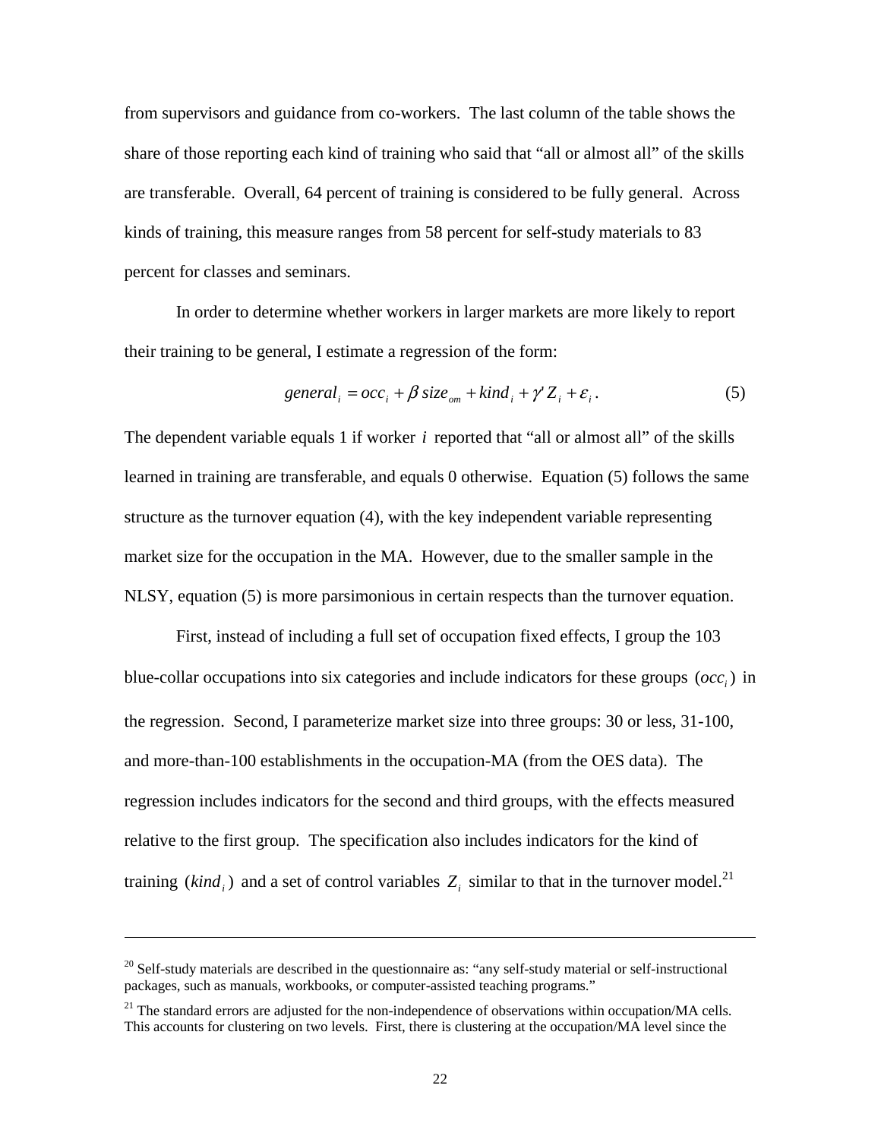from supervisors and guidance from co-workers. The last column of the table shows the share of those reporting each kind of training who said that "all or almost all" of the skills are transferable. Overall, 64 percent of training is considered to be fully general. Across kinds of training, this measure ranges from 58 percent for self-study materials to 83 percent for classes and seminars.

In order to determine whether workers in larger markets are more likely to report their training to be general, I estimate a regression of the form:

$$
general_i = occ_i + \beta \, size_{om} + kind_i + \gamma' Z_i + \varepsilon_i. \tag{5}
$$

The dependent variable equals 1 if worker *i* reported that "all or almost all" of the skills learned in training are transferable, and equals 0 otherwise. Equation (5) follows the same structure as the turnover equation (4), with the key independent variable representing market size for the occupation in the MA. However, due to the smaller sample in the NLSY, equation (5) is more parsimonious in certain respects than the turnover equation.

First, instead of including a full set of occupation fixed effects, I group the 103 blue-collar occupations into six categories and include indicators for these groups  $(occ<sub>i</sub>)$  in the regression. Second, I parameterize market size into three groups: 30 or less, 31-100, and more-than-100 establishments in the occupation-MA (from the OES data). The regression includes indicators for the second and third groups, with the effects measured relative to the first group. The specification also includes indicators for the kind of training ( $\text{kind}_i$ ) and a set of control variables  $Z_i$  similar to that in the turnover model.<sup>21</sup>

-

 $20$  Self-study materials are described in the questionnaire as: "any self-study material or self-instructional packages, such as manuals, workbooks, or computer-assisted teaching programs."

 $^{21}$  The standard errors are adjusted for the non-independence of observations within occupation/MA cells. This accounts for clustering on two levels. First, there is clustering at the occupation/MA level since the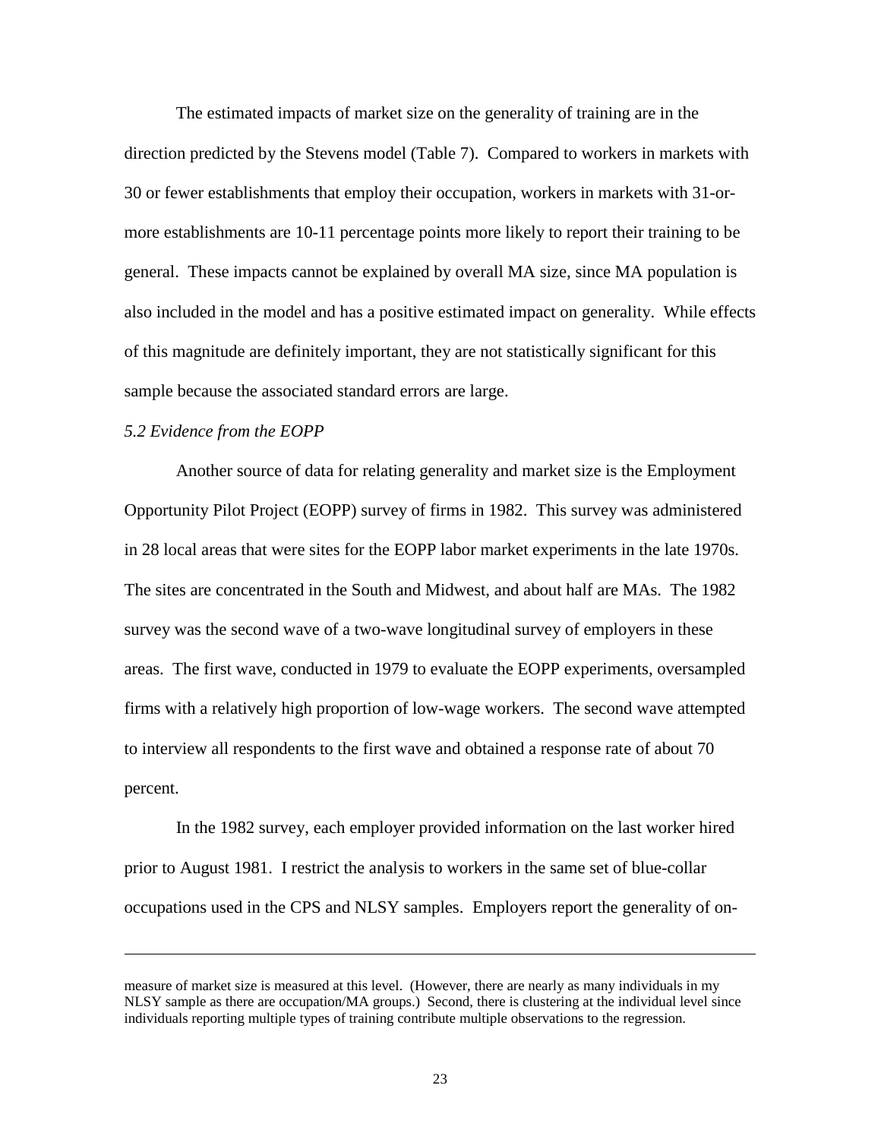The estimated impacts of market size on the generality of training are in the direction predicted by the Stevens model (Table 7). Compared to workers in markets with 30 or fewer establishments that employ their occupation, workers in markets with 31-ormore establishments are 10-11 percentage points more likely to report their training to be general. These impacts cannot be explained by overall MA size, since MA population is also included in the model and has a positive estimated impact on generality. While effects of this magnitude are definitely important, they are not statistically significant for this sample because the associated standard errors are large.

#### *5.2 Evidence from the EOPP*

-

Another source of data for relating generality and market size is the Employment Opportunity Pilot Project (EOPP) survey of firms in 1982. This survey was administered in 28 local areas that were sites for the EOPP labor market experiments in the late 1970s. The sites are concentrated in the South and Midwest, and about half are MAs. The 1982 survey was the second wave of a two-wave longitudinal survey of employers in these areas. The first wave, conducted in 1979 to evaluate the EOPP experiments, oversampled firms with a relatively high proportion of low-wage workers. The second wave attempted to interview all respondents to the first wave and obtained a response rate of about 70 percent.

In the 1982 survey, each employer provided information on the last worker hired prior to August 1981. I restrict the analysis to workers in the same set of blue-collar occupations used in the CPS and NLSY samples. Employers report the generality of on-

measure of market size is measured at this level. (However, there are nearly as many individuals in my NLSY sample as there are occupation/MA groups.) Second, there is clustering at the individual level since individuals reporting multiple types of training contribute multiple observations to the regression.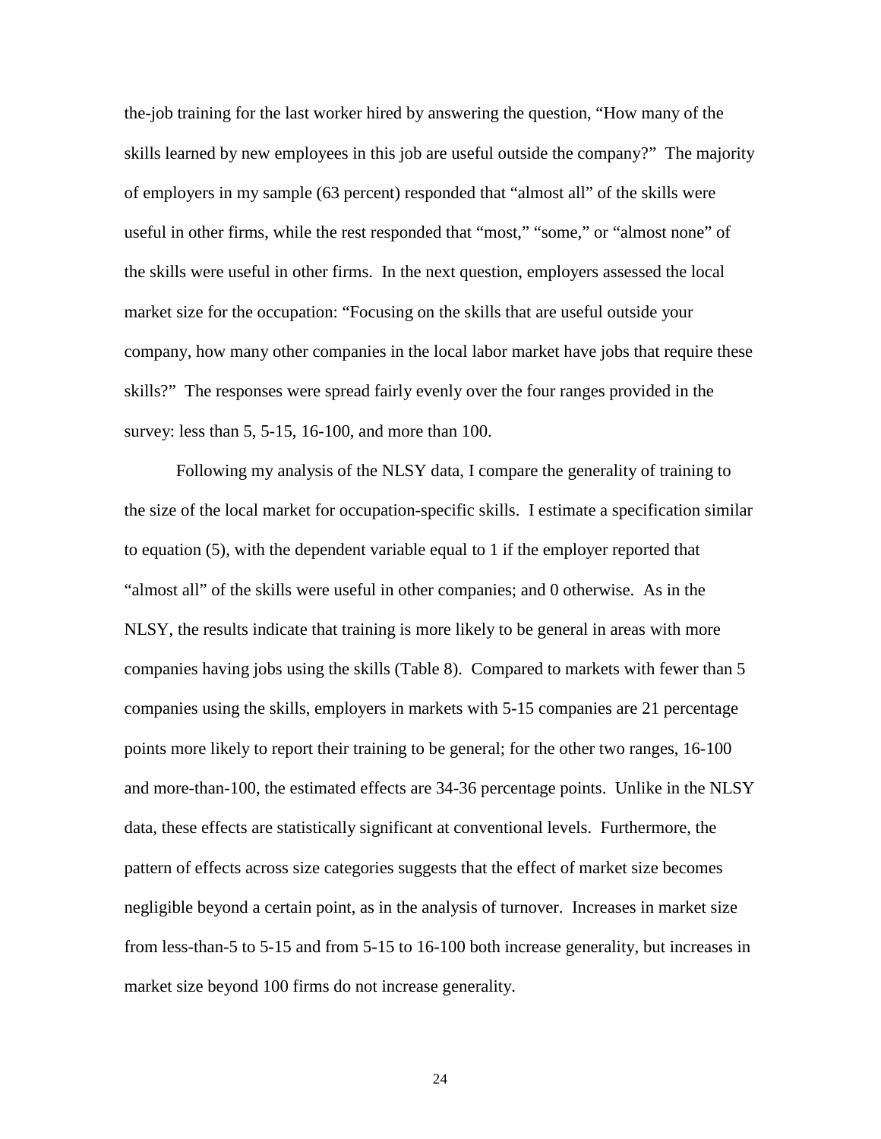the-job training for the last worker hired by answering the question, "How many of the skills learned by new employees in this job are useful outside the company?" The majority of employers in my sample (63 percent) responded that "almost all" of the skills were useful in other firms, while the rest responded that "most," "some," or "almost none" of the skills were useful in other firms. In the next question, employers assessed the local market size for the occupation: "Focusing on the skills that are useful outside your company, how many other companies in the local labor market have jobs that require these skills?" The responses were spread fairly evenly over the four ranges provided in the survey: less than 5, 5-15, 16-100, and more than 100.

Following my analysis of the NLSY data, I compare the generality of training to the size of the local market for occupation-specific skills. I estimate a specification similar to equation (5), with the dependent variable equal to 1 if the employer reported that "almost all" of the skills were useful in other companies; and 0 otherwise. As in the NLSY, the results indicate that training is more likely to be general in areas with more companies having jobs using the skills (Table 8). Compared to markets with fewer than 5 companies using the skills, employers in markets with 5-15 companies are 21 percentage points more likely to report their training to be general; for the other two ranges, 16-100 and more-than-100, the estimated effects are 34-36 percentage points. Unlike in the NLSY data, these effects are statistically significant at conventional levels. Furthermore, the pattern of effects across size categories suggests that the effect of market size becomes negligible beyond a certain point, as in the analysis of turnover. Increases in market size from less-than-5 to 5-15 and from 5-15 to 16-100 both increase generality, but increases in market size beyond 100 firms do not increase generality.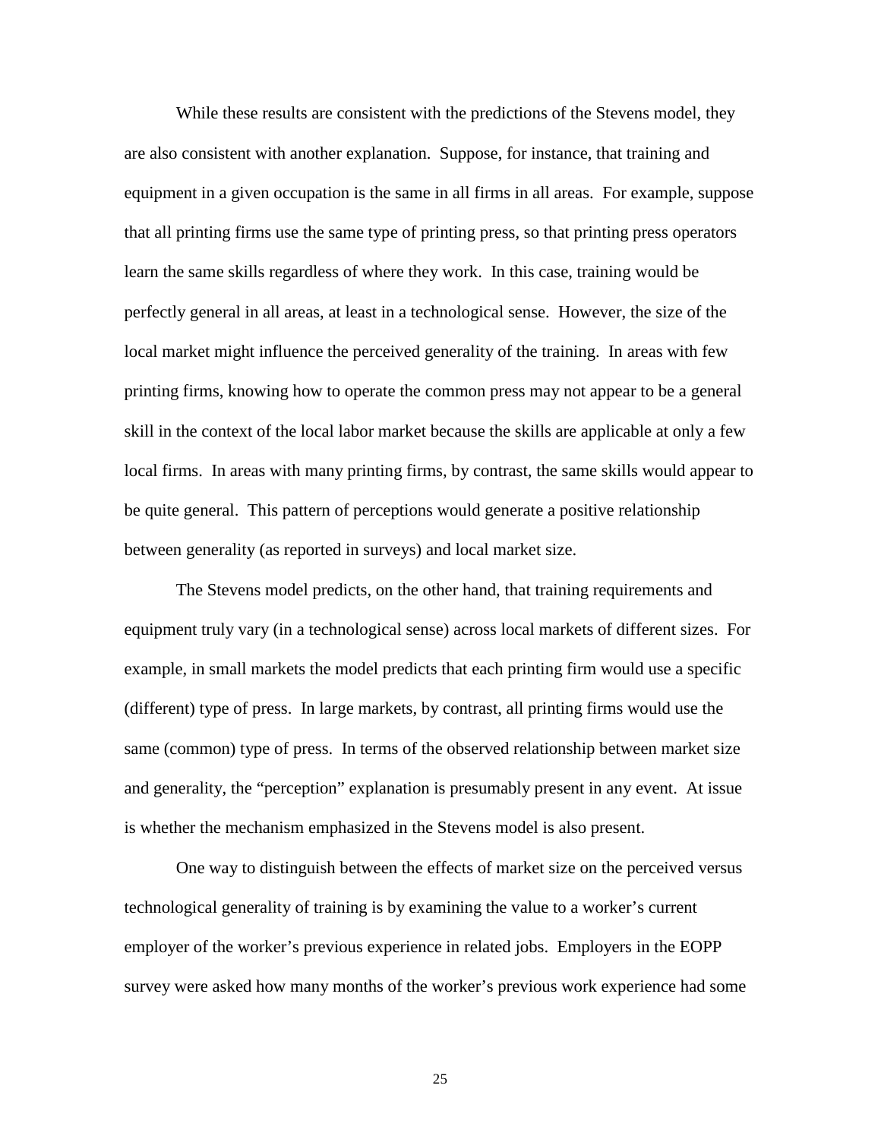While these results are consistent with the predictions of the Stevens model, they are also consistent with another explanation. Suppose, for instance, that training and equipment in a given occupation is the same in all firms in all areas. For example, suppose that all printing firms use the same type of printing press, so that printing press operators learn the same skills regardless of where they work. In this case, training would be perfectly general in all areas, at least in a technological sense. However, the size of the local market might influence the perceived generality of the training. In areas with few printing firms, knowing how to operate the common press may not appear to be a general skill in the context of the local labor market because the skills are applicable at only a few local firms. In areas with many printing firms, by contrast, the same skills would appear to be quite general. This pattern of perceptions would generate a positive relationship between generality (as reported in surveys) and local market size.

The Stevens model predicts, on the other hand, that training requirements and equipment truly vary (in a technological sense) across local markets of different sizes. For example, in small markets the model predicts that each printing firm would use a specific (different) type of press. In large markets, by contrast, all printing firms would use the same (common) type of press. In terms of the observed relationship between market size and generality, the "perception" explanation is presumably present in any event. At issue is whether the mechanism emphasized in the Stevens model is also present.

One way to distinguish between the effects of market size on the perceived versus technological generality of training is by examining the value to a worker's current employer of the worker's previous experience in related jobs. Employers in the EOPP survey were asked how many months of the worker's previous work experience had some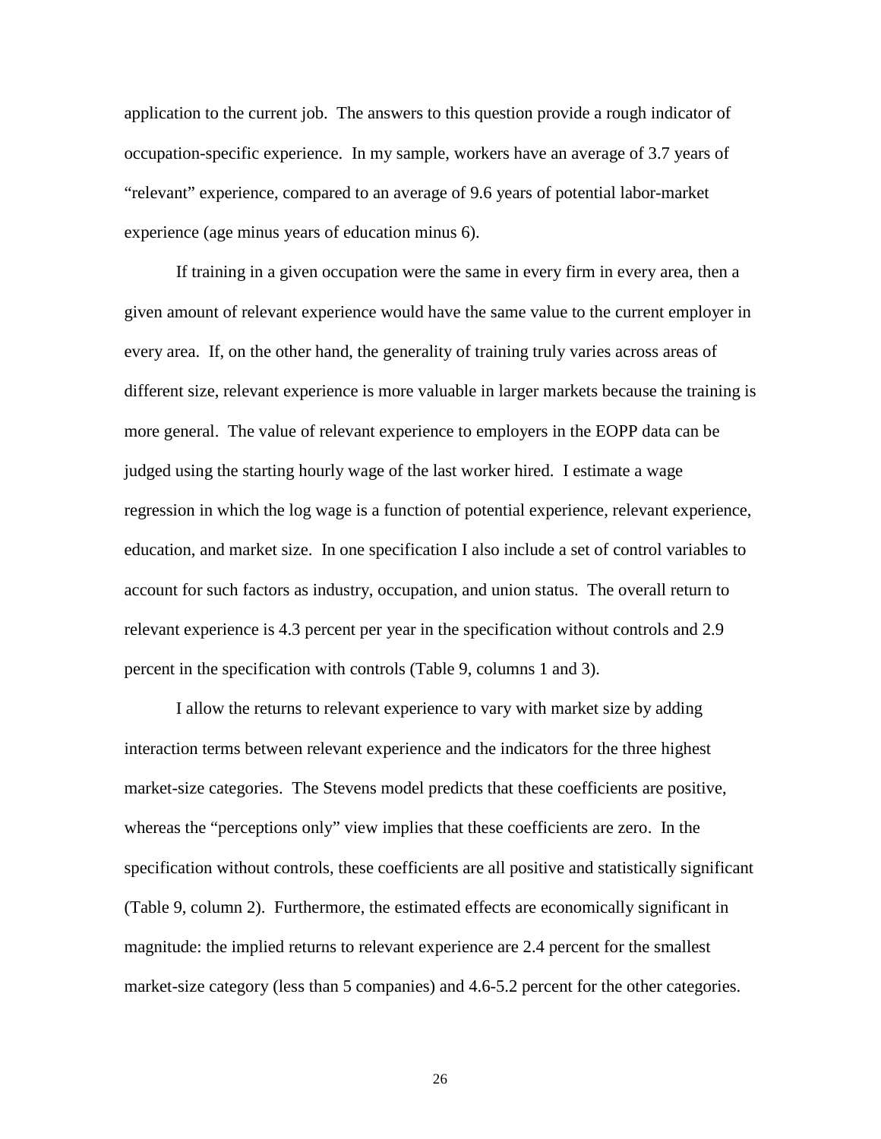application to the current job. The answers to this question provide a rough indicator of occupation-specific experience. In my sample, workers have an average of 3.7 years of "relevant" experience, compared to an average of 9.6 years of potential labor-market experience (age minus years of education minus 6).

If training in a given occupation were the same in every firm in every area, then a given amount of relevant experience would have the same value to the current employer in every area. If, on the other hand, the generality of training truly varies across areas of different size, relevant experience is more valuable in larger markets because the training is more general. The value of relevant experience to employers in the EOPP data can be judged using the starting hourly wage of the last worker hired. I estimate a wage regression in which the log wage is a function of potential experience, relevant experience, education, and market size. In one specification I also include a set of control variables to account for such factors as industry, occupation, and union status. The overall return to relevant experience is 4.3 percent per year in the specification without controls and 2.9 percent in the specification with controls (Table 9, columns 1 and 3).

I allow the returns to relevant experience to vary with market size by adding interaction terms between relevant experience and the indicators for the three highest market-size categories. The Stevens model predicts that these coefficients are positive, whereas the "perceptions only" view implies that these coefficients are zero. In the specification without controls, these coefficients are all positive and statistically significant (Table 9, column 2). Furthermore, the estimated effects are economically significant in magnitude: the implied returns to relevant experience are 2.4 percent for the smallest market-size category (less than 5 companies) and 4.6-5.2 percent for the other categories.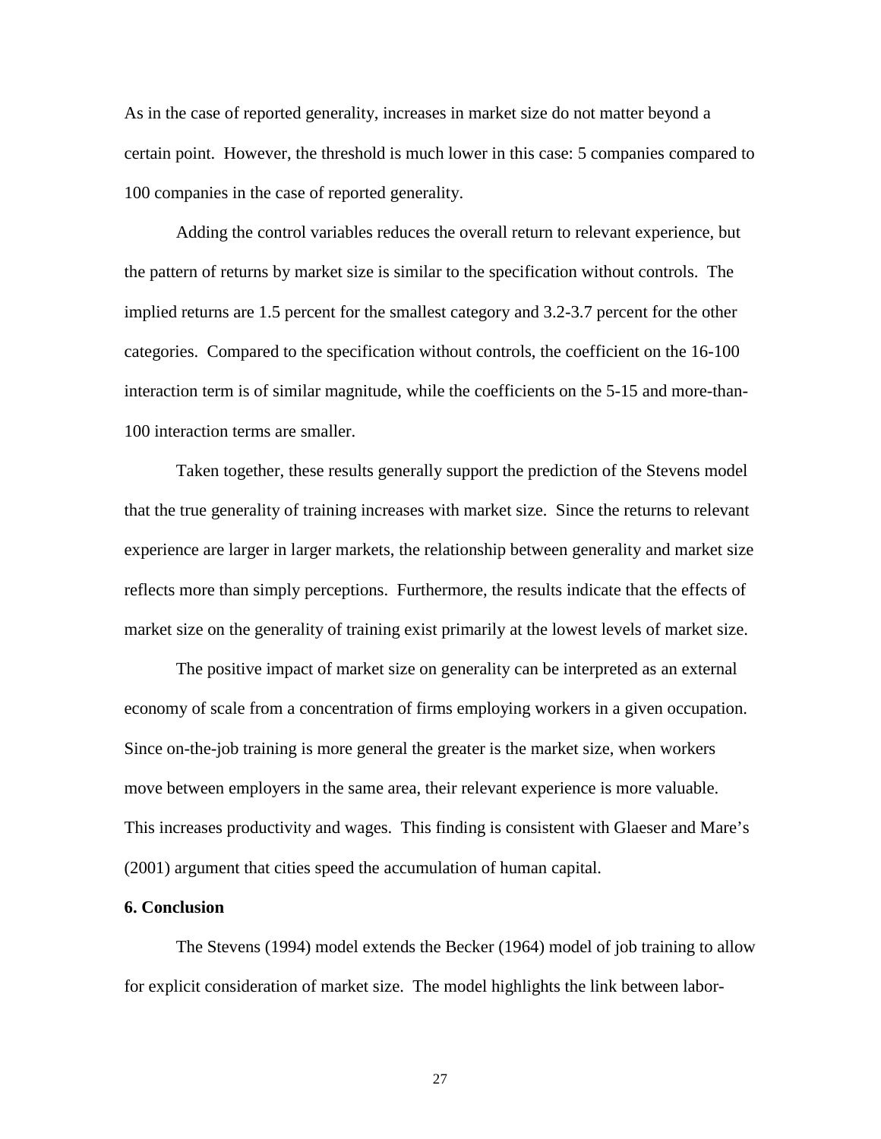As in the case of reported generality, increases in market size do not matter beyond a certain point. However, the threshold is much lower in this case: 5 companies compared to 100 companies in the case of reported generality.

Adding the control variables reduces the overall return to relevant experience, but the pattern of returns by market size is similar to the specification without controls. The implied returns are 1.5 percent for the smallest category and 3.2-3.7 percent for the other categories. Compared to the specification without controls, the coefficient on the 16-100 interaction term is of similar magnitude, while the coefficients on the 5-15 and more-than-100 interaction terms are smaller.

Taken together, these results generally support the prediction of the Stevens model that the true generality of training increases with market size. Since the returns to relevant experience are larger in larger markets, the relationship between generality and market size reflects more than simply perceptions. Furthermore, the results indicate that the effects of market size on the generality of training exist primarily at the lowest levels of market size.

The positive impact of market size on generality can be interpreted as an external economy of scale from a concentration of firms employing workers in a given occupation. Since on-the-job training is more general the greater is the market size, when workers move between employers in the same area, their relevant experience is more valuable. This increases productivity and wages. This finding is consistent with Glaeser and Mare's (2001) argument that cities speed the accumulation of human capital.

#### **6. Conclusion**

 The Stevens (1994) model extends the Becker (1964) model of job training to allow for explicit consideration of market size. The model highlights the link between labor-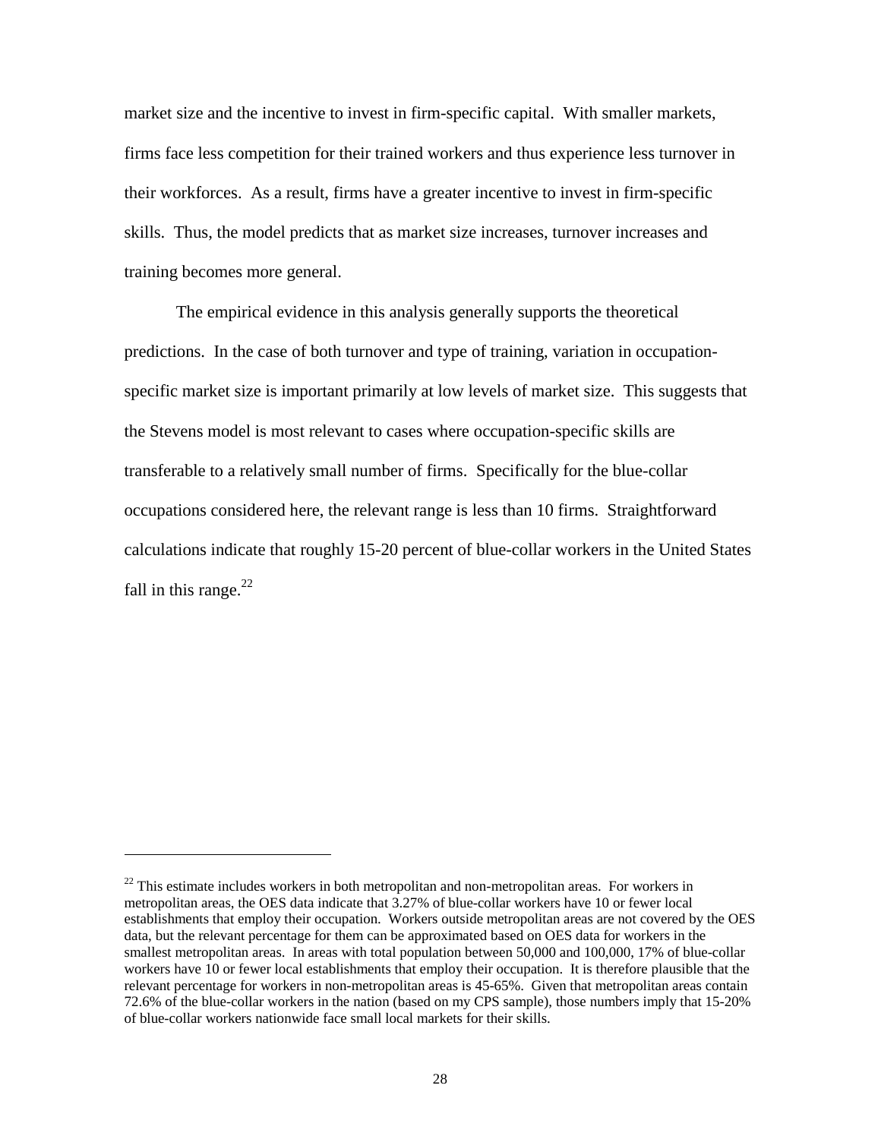market size and the incentive to invest in firm-specific capital. With smaller markets, firms face less competition for their trained workers and thus experience less turnover in their workforces. As a result, firms have a greater incentive to invest in firm-specific skills. Thus, the model predicts that as market size increases, turnover increases and training becomes more general.

The empirical evidence in this analysis generally supports the theoretical predictions. In the case of both turnover and type of training, variation in occupationspecific market size is important primarily at low levels of market size. This suggests that the Stevens model is most relevant to cases where occupation-specific skills are transferable to a relatively small number of firms. Specifically for the blue-collar occupations considered here, the relevant range is less than 10 firms. Straightforward calculations indicate that roughly 15-20 percent of blue-collar workers in the United States fall in this range. $^{22}$ 

-

<sup>&</sup>lt;sup>22</sup> This estimate includes workers in both metropolitan and non-metropolitan areas. For workers in metropolitan areas, the OES data indicate that 3.27% of blue-collar workers have 10 or fewer local establishments that employ their occupation. Workers outside metropolitan areas are not covered by the OES data, but the relevant percentage for them can be approximated based on OES data for workers in the smallest metropolitan areas. In areas with total population between 50,000 and 100,000, 17% of blue-collar workers have 10 or fewer local establishments that employ their occupation. It is therefore plausible that the relevant percentage for workers in non-metropolitan areas is 45-65%. Given that metropolitan areas contain 72.6% of the blue-collar workers in the nation (based on my CPS sample), those numbers imply that 15-20% of blue-collar workers nationwide face small local markets for their skills.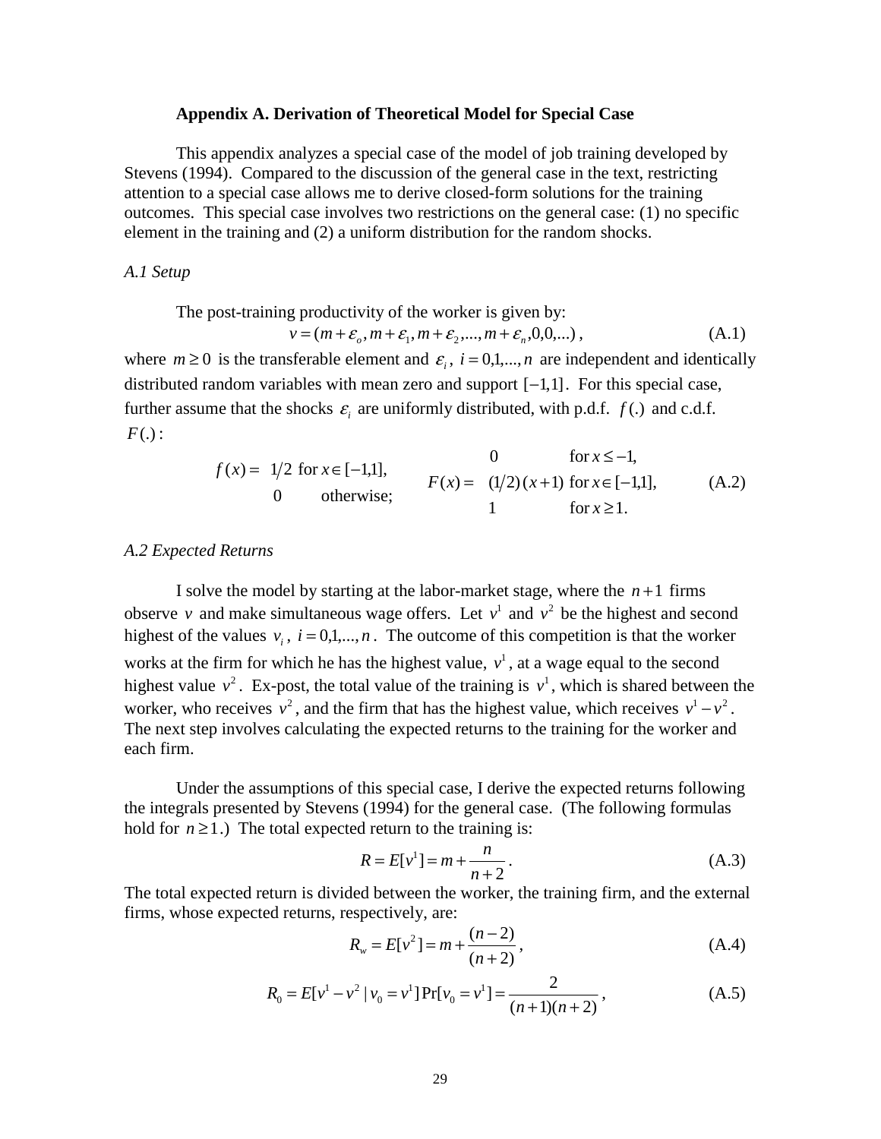#### **Appendix A. Derivation of Theoretical Model for Special Case**

 This appendix analyzes a special case of the model of job training developed by Stevens (1994). Compared to the discussion of the general case in the text, restricting attention to a special case allows me to derive closed-form solutions for the training outcomes. This special case involves two restrictions on the general case: (1) no specific element in the training and (2) a uniform distribution for the random shocks.

*A.1 Setup* 

The post-training productivity of the worker is given by:  
\n
$$
v = (m + \varepsilon_o, m + \varepsilon_1, m + \varepsilon_2, ..., m + \varepsilon_n, 0, 0, ...),
$$
\n(A.1)

where  $m \ge 0$  is the transferable element and  $\varepsilon_i$ ,  $i = 0,1,...,n$  are independent and identically distributed random variables with mean zero and support [−1,1]. For this special case, further assume that the shocks  $\varepsilon$  are uniformly distributed, with p.d.f.  $f(.)$  and c.d.f. *F*(.) :

0 otherwise; *<sup>f</sup>* (*x*) <sup>=</sup> <sup>1</sup> <sup>2</sup> for *<sup>x</sup>*∈[<sup>−</sup>1,1], 1 for 1. ≥ *x* ( ) (1 2)( 1) for [ 1,1], 0 for 1, ≤ − *x* = + ∈ − *F x x x* (A.2)

#### *A.2 Expected Returns*

I solve the model by starting at the labor-market stage, where the  $n+1$  firms observe *v* and make simultaneous wage offers. Let  $v^1$  and  $v^2$  be the highest and second highest of the values  $v_i$ ,  $i = 0,1,...,n$ . The outcome of this competition is that the worker works at the firm for which he has the highest value,  $v<sup>1</sup>$ , at a wage equal to the second highest value  $v^2$ . Ex-post, the total value of the training is  $v^1$ , which is shared between the worker, who receives  $v^2$ , and the firm that has the highest value, which receives  $v^1 - v^2$ . The next step involves calculating the expected returns to the training for the worker and each firm.

 Under the assumptions of this special case, I derive the expected returns following the integrals presented by Stevens (1994) for the general case. (The following formulas hold for  $n \ge 1$ .) The total expected return to the training is:

$$
R = E[v^1] = m + \frac{n}{n+2}.
$$
 (A.3)

The total expected return is divided between the worker, the training firm, and the external firms, whose expected returns, respectively, are:

$$
R_w = E[v^2] = m + \frac{(n-2)}{(n+2)},
$$
\n(A.4)

$$
R_0 = E[v^1 - v^2 | v_0 = v^1] Pr[v_0 = v^1] = \frac{2}{(n+1)(n+2)},
$$
\n(A.5)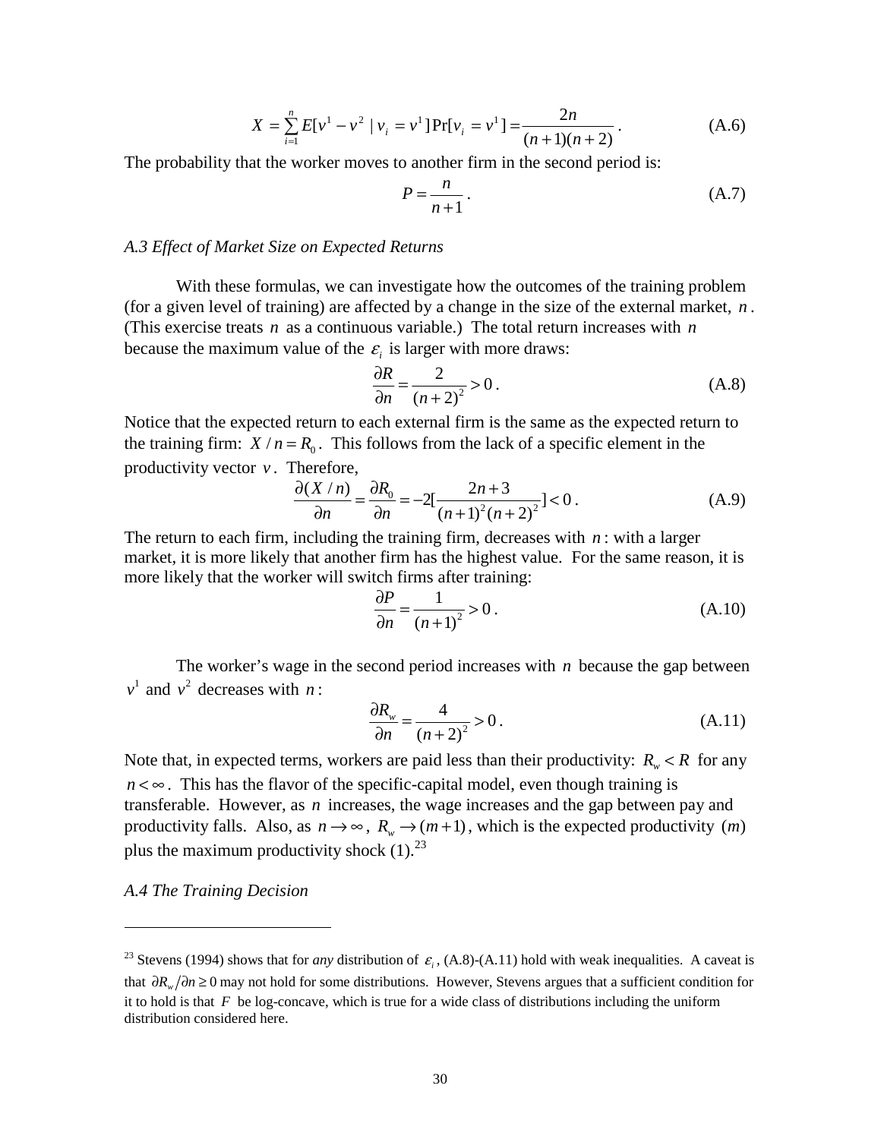$$
X = \sum_{i=1}^{n} E[v^1 - v^2 \mid v_i = v^1] Pr[v_i = v^1] = \frac{2n}{(n+1)(n+2)}.
$$
 (A.6)

The probability that the worker moves to another firm in the second period is:

$$
P = \frac{n}{n+1} \,. \tag{A.7}
$$

#### *A.3 Effect of Market Size on Expected Returns*

 With these formulas, we can investigate how the outcomes of the training problem (for a given level of training) are affected by a change in the size of the external market, *n* . (This exercise treats *n* as a continuous variable.) The total return increases with *n* because the maximum value of the  $\varepsilon$  is larger with more draws:

$$
\frac{\partial R}{\partial n} = \frac{2}{(n+2)^2} > 0.
$$
 (A.8)

Notice that the expected return to each external firm is the same as the expected return to the training firm:  $X / n = R_0$ . This follows from the lack of a specific element in the productivity vector  $v$ . Therefore,

$$
\frac{\partial (X/n)}{\partial n} = \frac{\partial R_0}{\partial n} = -2\left[\frac{2n+3}{(n+1)^2(n+2)^2}\right] < 0.
$$
 (A.9)

The return to each firm, including the training firm, decreases with *n* : with a larger market, it is more likely that another firm has the highest value. For the same reason, it is more likely that the worker will switch firms after training:

$$
\frac{\partial P}{\partial n} = \frac{1}{(n+1)^2} > 0.
$$
\n(A.10)

The worker's wage in the second period increases with *n* because the gap between  $v^1$  and  $v^2$  decreases with *n*:

$$
\frac{\partial R_w}{\partial n} = \frac{4}{(n+2)^2} > 0.
$$
 (A.11)

Note that, in expected terms, workers are paid less than their productivity:  $R_{w} < R$  for any  $n < \infty$ . This has the flavor of the specific-capital model, even though training is transferable. However, as *n* increases, the wage increases and the gap between pay and productivity falls. Also, as  $n \to \infty$ ,  $R_w \to (m+1)$ , which is the expected productivity  $(m)$ plus the maximum productivity shock  $(1)$ .<sup>23</sup>

#### *A.4 The Training Decision*

j

<sup>&</sup>lt;sup>23</sup> Stevens (1994) shows that for *any* distribution of  $\varepsilon$ , (A.8)-(A.11) hold with weak inequalities. A caveat is that ∂*R*<sub>*w*</sub>/∂*n* ≥ 0 may not hold for some distributions. However, Stevens argues that a sufficient condition for it to hold is that  $F$  be log-concave, which is true for a wide class of distributions including the uniform distribution considered here.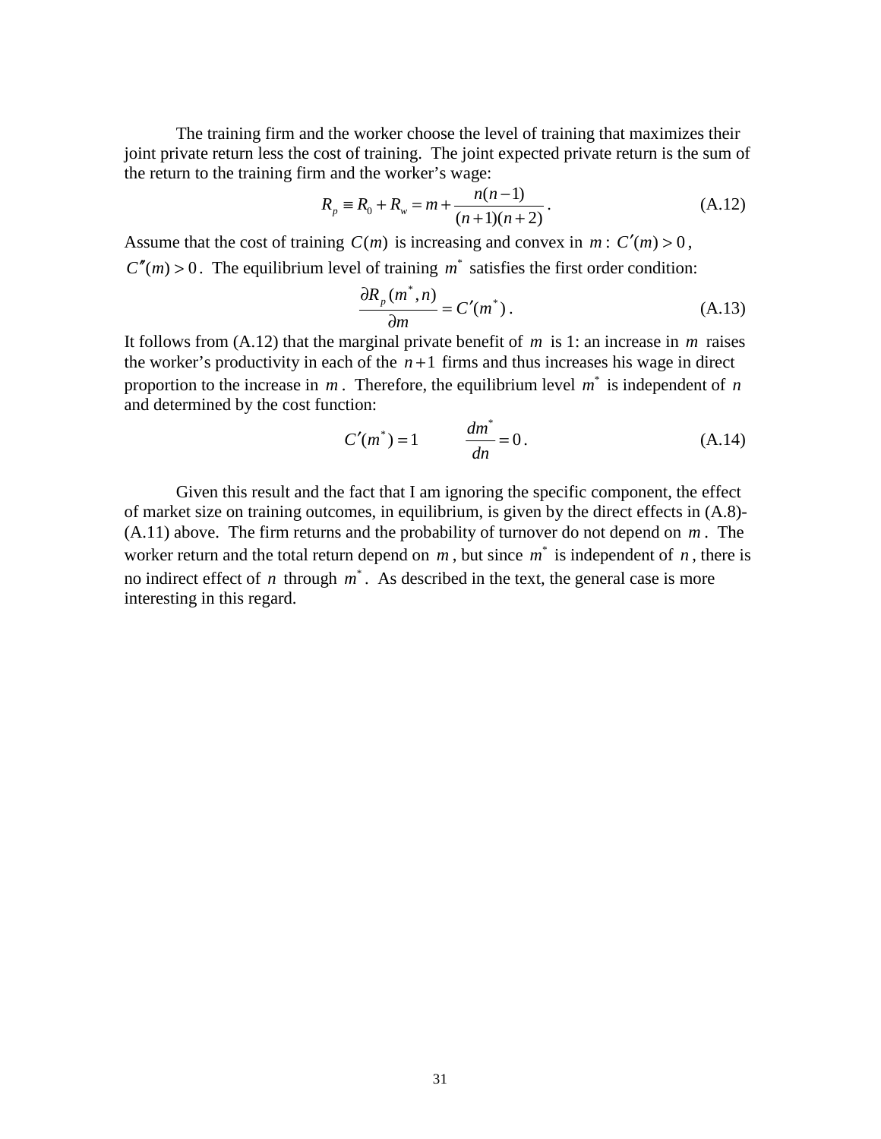The training firm and the worker choose the level of training that maximizes their joint private return less the cost of training. The joint expected private return is the sum of the return to the training firm and the worker's wage:

$$
R_p \equiv R_0 + R_w = m + \frac{n(n-1)}{(n+1)(n+2)}.
$$
 (A.12)

Assume that the cost of training  $C(m)$  is increasing and convex in  $m: C'(m) > 0$ ,  $C''(m) > 0$ . The equilibrium level of training  $m^*$  satisfies the first order condition:

$$
\frac{\partial R_p(m^*, n)}{\partial m} = C'(m^*).
$$
 (A.13)

It follows from (A.12) that the marginal private benefit of *m* is 1: an increase in *m* raises the worker's productivity in each of the  $n+1$  firms and thus increases his wage in direct proportion to the increase in  $m$ . Therefore, the equilibrium level  $m^*$  is independent of  $n$ and determined by the cost function:

$$
C'(m^*) = 1 \qquad \qquad \frac{dm^*}{dn} = 0. \tag{A.14}
$$

Given this result and the fact that I am ignoring the specific component, the effect of market size on training outcomes, in equilibrium, is given by the direct effects in (A.8)- (A.11) above. The firm returns and the probability of turnover do not depend on *m* . The worker return and the total return depend on  $m$ , but since  $m^*$  is independent of  $n$ , there is no indirect effect of *n* through  $m^*$ . As described in the text, the general case is more interesting in this regard.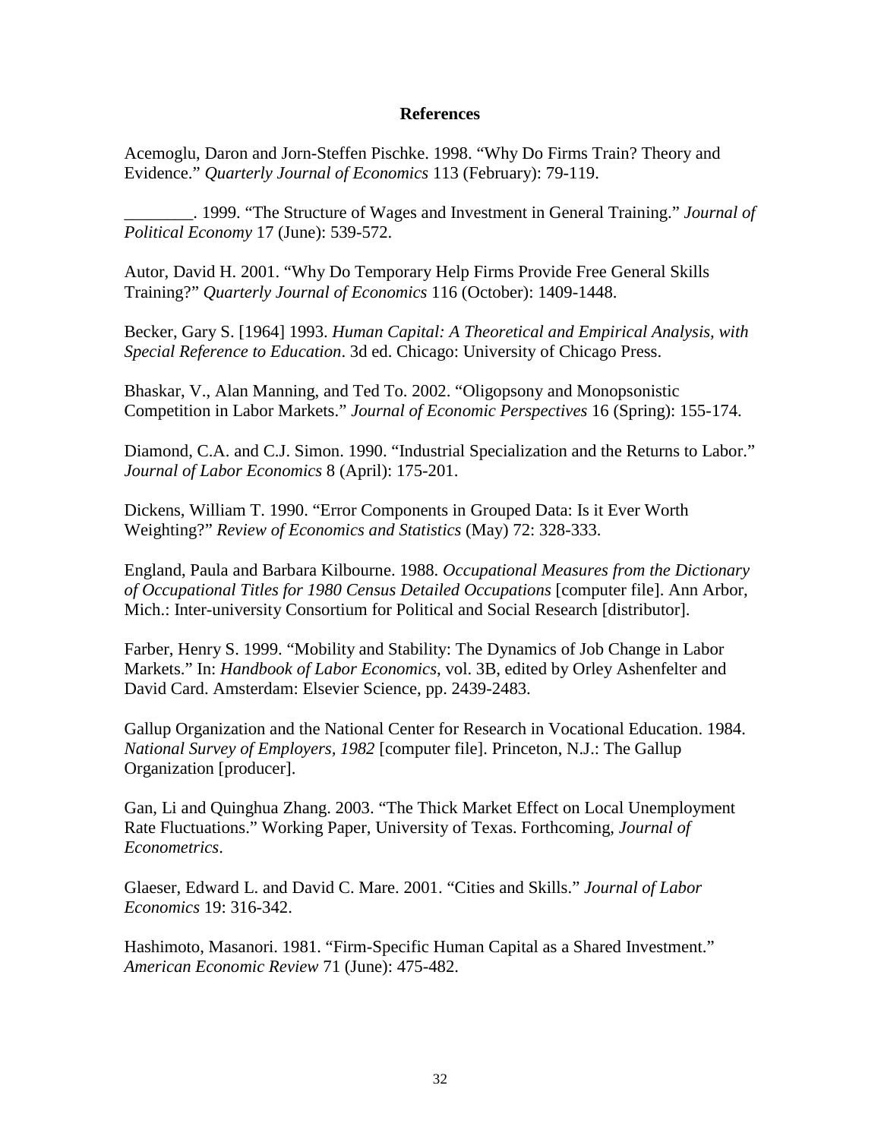# **References**

Acemoglu, Daron and Jorn-Steffen Pischke. 1998. "Why Do Firms Train? Theory and Evidence." *Quarterly Journal of Economics* 113 (February): 79-119.

\_\_\_\_\_\_\_\_. 1999. "The Structure of Wages and Investment in General Training." *Journal of Political Economy* 17 (June): 539-572.

Autor, David H. 2001. "Why Do Temporary Help Firms Provide Free General Skills Training?" *Quarterly Journal of Economics* 116 (October): 1409-1448.

Becker, Gary S. [1964] 1993. *Human Capital: A Theoretical and Empirical Analysis, with Special Reference to Education*. 3d ed. Chicago: University of Chicago Press.

Bhaskar, V., Alan Manning, and Ted To. 2002. "Oligopsony and Monopsonistic Competition in Labor Markets." *Journal of Economic Perspectives* 16 (Spring): 155-174.

Diamond, C.A. and C.J. Simon. 1990. "Industrial Specialization and the Returns to Labor." *Journal of Labor Economics* 8 (April): 175-201.

Dickens, William T. 1990. "Error Components in Grouped Data: Is it Ever Worth Weighting?" *Review of Economics and Statistics* (May) 72: 328-333.

England, Paula and Barbara Kilbourne. 1988. *Occupational Measures from the Dictionary of Occupational Titles for 1980 Census Detailed Occupations* [computer file]. Ann Arbor, Mich.: Inter-university Consortium for Political and Social Research [distributor].

Farber, Henry S. 1999. "Mobility and Stability: The Dynamics of Job Change in Labor Markets." In: *Handbook of Labor Economics*, vol. 3B, edited by Orley Ashenfelter and David Card. Amsterdam: Elsevier Science, pp. 2439-2483.

Gallup Organization and the National Center for Research in Vocational Education. 1984. *National Survey of Employers, 1982* [computer file]. Princeton, N.J.: The Gallup Organization [producer].

Gan, Li and Quinghua Zhang. 2003. "The Thick Market Effect on Local Unemployment Rate Fluctuations." Working Paper, University of Texas. Forthcoming, *Journal of Econometrics*.

Glaeser, Edward L. and David C. Mare. 2001. "Cities and Skills." *Journal of Labor Economics* 19: 316-342.

Hashimoto, Masanori. 1981. "Firm-Specific Human Capital as a Shared Investment." *American Economic Review* 71 (June): 475-482.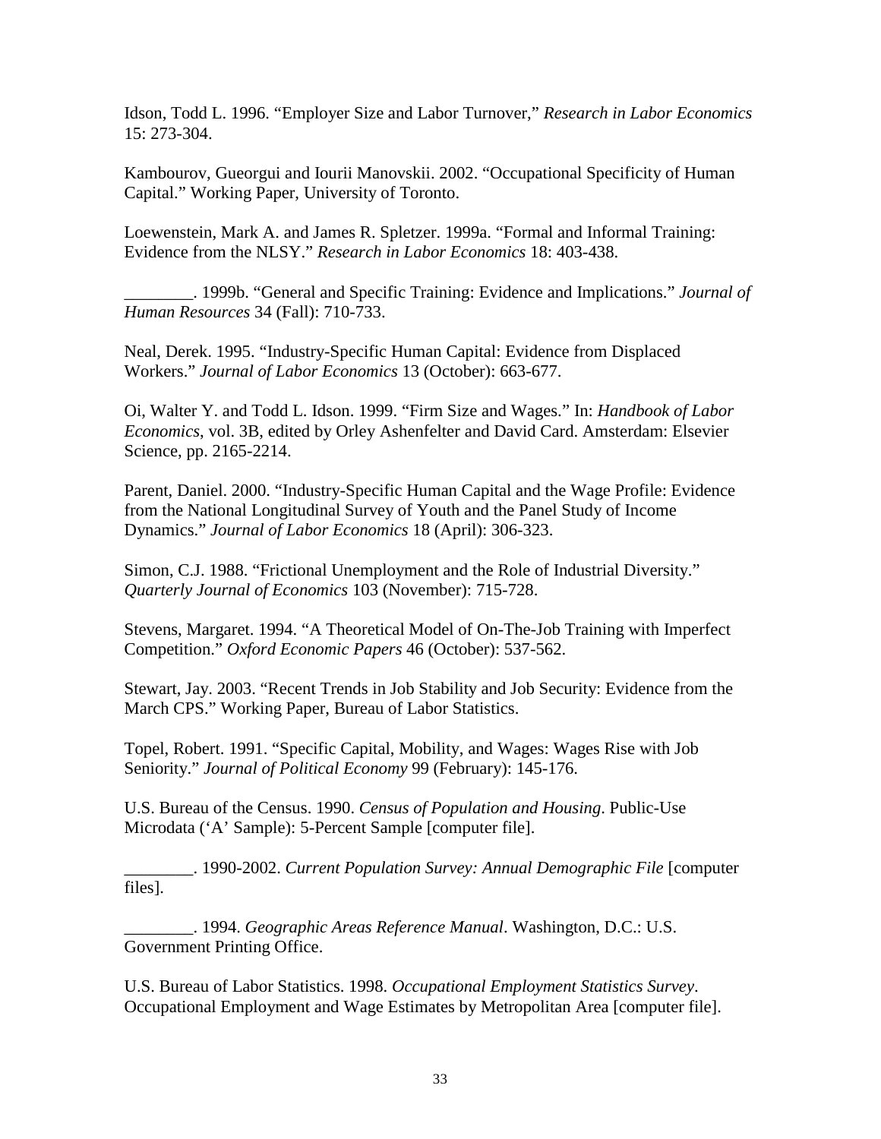Idson, Todd L. 1996. "Employer Size and Labor Turnover," *Research in Labor Economics* 15: 273-304.

Kambourov, Gueorgui and Iourii Manovskii. 2002. "Occupational Specificity of Human Capital." Working Paper, University of Toronto.

Loewenstein, Mark A. and James R. Spletzer. 1999a. "Formal and Informal Training: Evidence from the NLSY." *Research in Labor Economics* 18: 403-438.

\_\_\_\_\_\_\_\_. 1999b. "General and Specific Training: Evidence and Implications." *Journal of Human Resources* 34 (Fall): 710-733.

Neal, Derek. 1995. "Industry-Specific Human Capital: Evidence from Displaced Workers." *Journal of Labor Economics* 13 (October): 663-677.

Oi, Walter Y. and Todd L. Idson. 1999. "Firm Size and Wages." In: *Handbook of Labor Economics*, vol. 3B, edited by Orley Ashenfelter and David Card. Amsterdam: Elsevier Science, pp. 2165-2214.

Parent, Daniel. 2000. "Industry-Specific Human Capital and the Wage Profile: Evidence from the National Longitudinal Survey of Youth and the Panel Study of Income Dynamics." *Journal of Labor Economics* 18 (April): 306-323.

Simon, C.J. 1988. "Frictional Unemployment and the Role of Industrial Diversity." *Quarterly Journal of Economics* 103 (November): 715-728.

Stevens, Margaret. 1994. "A Theoretical Model of On-The-Job Training with Imperfect Competition." *Oxford Economic Papers* 46 (October): 537-562.

Stewart, Jay. 2003. "Recent Trends in Job Stability and Job Security: Evidence from the March CPS." Working Paper, Bureau of Labor Statistics.

Topel, Robert. 1991. "Specific Capital, Mobility, and Wages: Wages Rise with Job Seniority." *Journal of Political Economy* 99 (February): 145-176.

U.S. Bureau of the Census. 1990. *Census of Population and Housing*. Public-Use Microdata ('A' Sample): 5-Percent Sample [computer file].

\_\_\_\_\_\_\_\_. 1990-2002. *Current Population Survey: Annual Demographic File* [computer files].

\_\_\_\_\_\_\_\_. 1994. *Geographic Areas Reference Manual*. Washington, D.C.: U.S. Government Printing Office.

U.S. Bureau of Labor Statistics. 1998. *Occupational Employment Statistics Survey*. Occupational Employment and Wage Estimates by Metropolitan Area [computer file].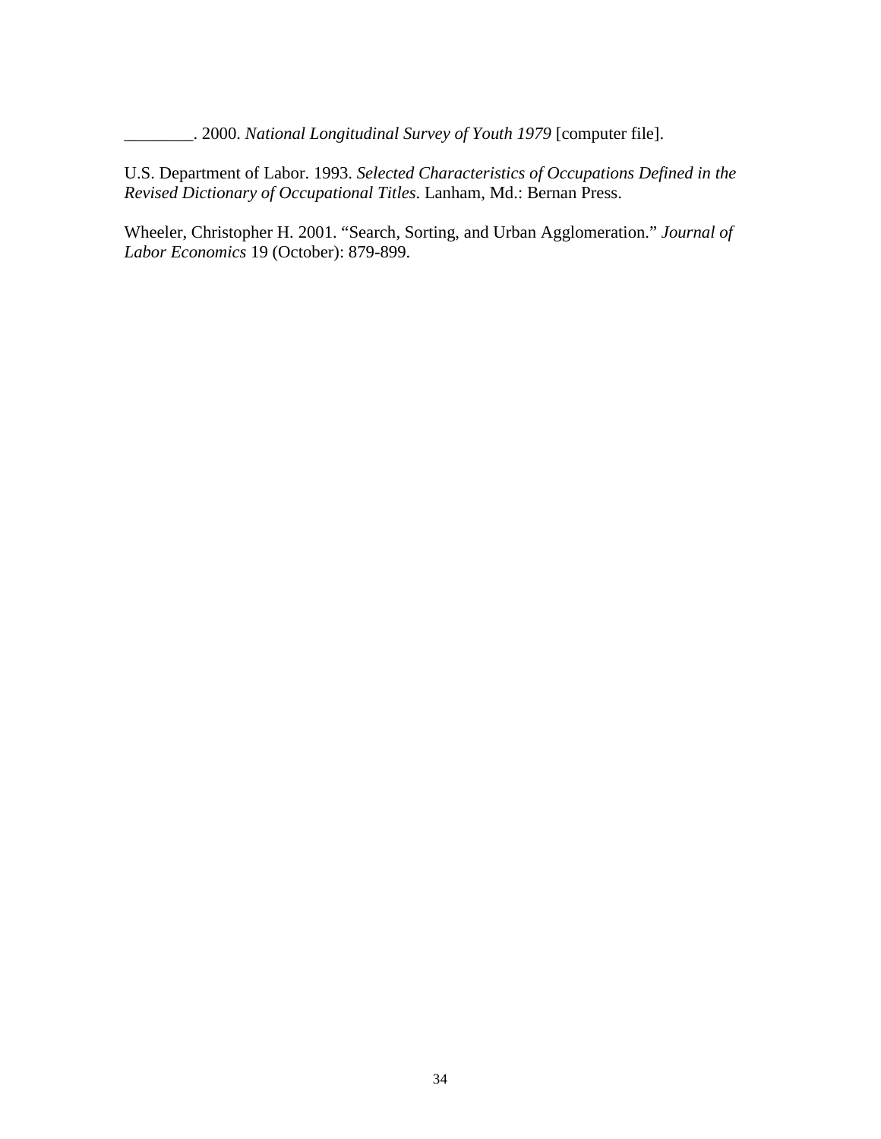\_\_\_\_\_\_\_\_. 2000. *National Longitudinal Survey of Youth 1979* [computer file].

U.S. Department of Labor. 1993. *Selected Characteristics of Occupations Defined in the Revised Dictionary of Occupational Titles*. Lanham, Md.: Bernan Press.

Wheeler, Christopher H. 2001. "Search, Sorting, and Urban Agglomeration." *Journal of Labor Economics* 19 (October): 879-899.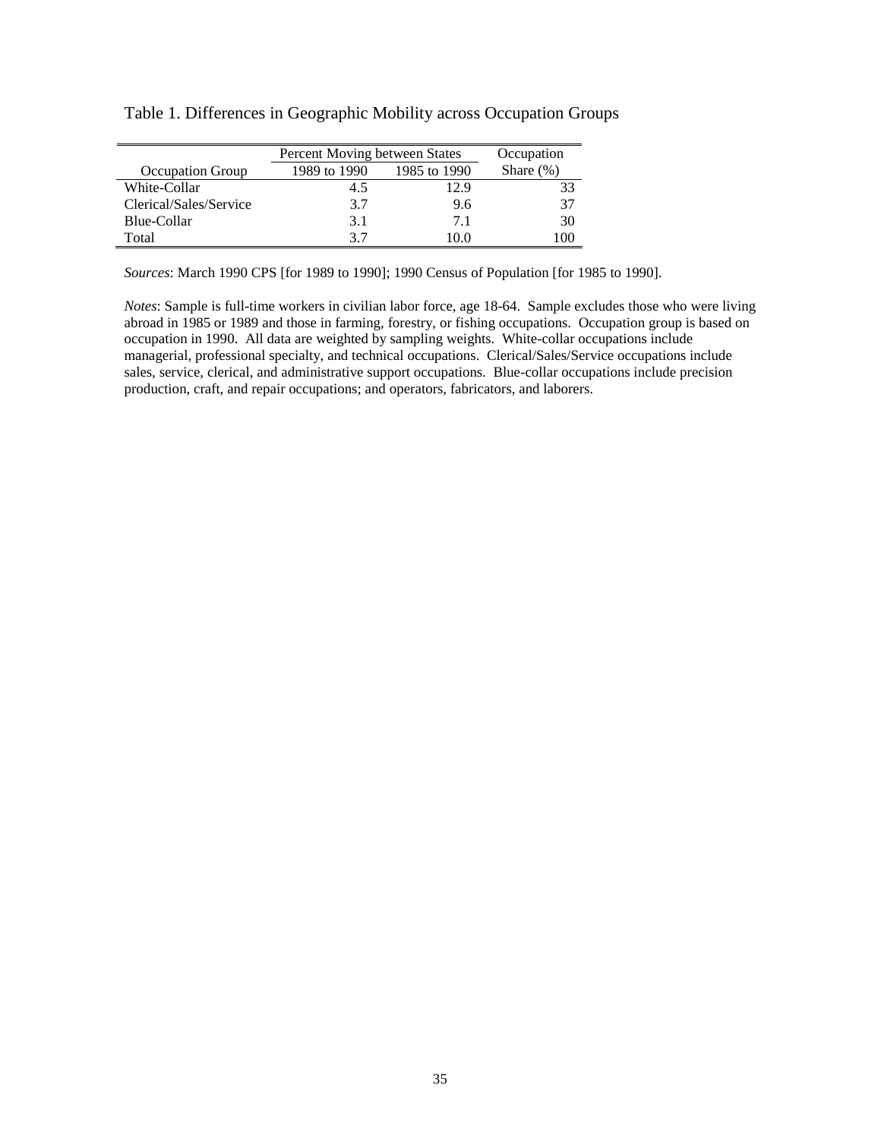|                         | Percent Moving between States | Occupation   |              |
|-------------------------|-------------------------------|--------------|--------------|
| <b>Occupation Group</b> | 1989 to 1990                  | 1985 to 1990 | Share $(\%)$ |
| White-Collar            | 4.5                           | 12.9         | 33           |
| Clerical/Sales/Service  | 3.7                           | 9.6          | 37           |
| Blue-Collar             | 3.1                           | 71           | 30           |
| Total                   | 37                            | 10.0         | $($ $()()$   |

Table 1. Differences in Geographic Mobility across Occupation Groups

*Sources*: March 1990 CPS [for 1989 to 1990]; 1990 Census of Population [for 1985 to 1990].

*Notes*: Sample is full-time workers in civilian labor force, age 18-64. Sample excludes those who were living abroad in 1985 or 1989 and those in farming, forestry, or fishing occupations. Occupation group is based on occupation in 1990. All data are weighted by sampling weights. White-collar occupations include managerial, professional specialty, and technical occupations. Clerical/Sales/Service occupations include sales, service, clerical, and administrative support occupations. Blue-collar occupations include precision production, craft, and repair occupations; and operators, fabricators, and laborers.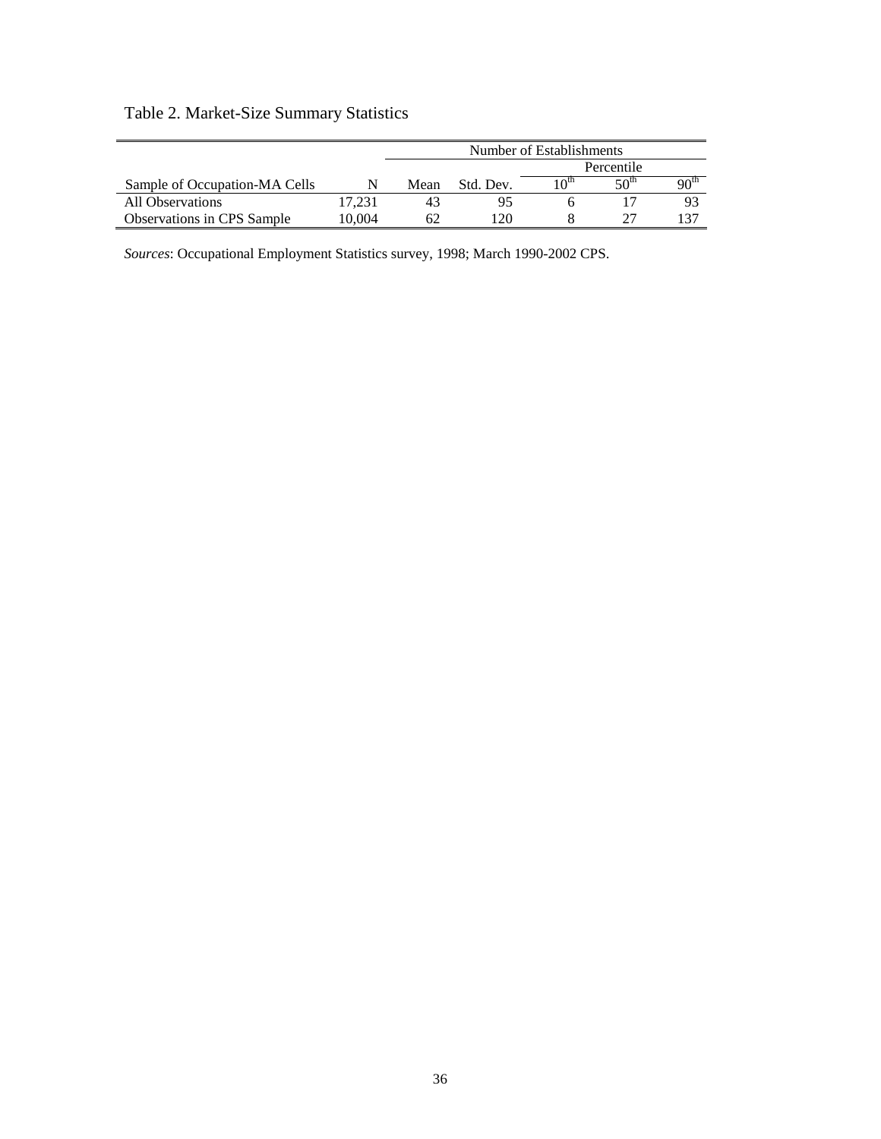# Table 2. Market-Size Summary Statistics

|                                   |        | Number of Establishments |           |            |                 |                  |
|-----------------------------------|--------|--------------------------|-----------|------------|-----------------|------------------|
|                                   |        |                          |           | Percentile |                 |                  |
| Sample of Occupation-MA Cells     |        | Mean                     | Std. Dev. | ւ Օա       | 50 <sup>m</sup> | 90 <sup>th</sup> |
| All Observations                  | 17.231 | 43                       |           |            |                 | 93               |
| <b>Observations in CPS Sample</b> | 10.004 | 62                       | 120       |            |                 |                  |

*Sources*: Occupational Employment Statistics survey, 1998; March 1990-2002 CPS.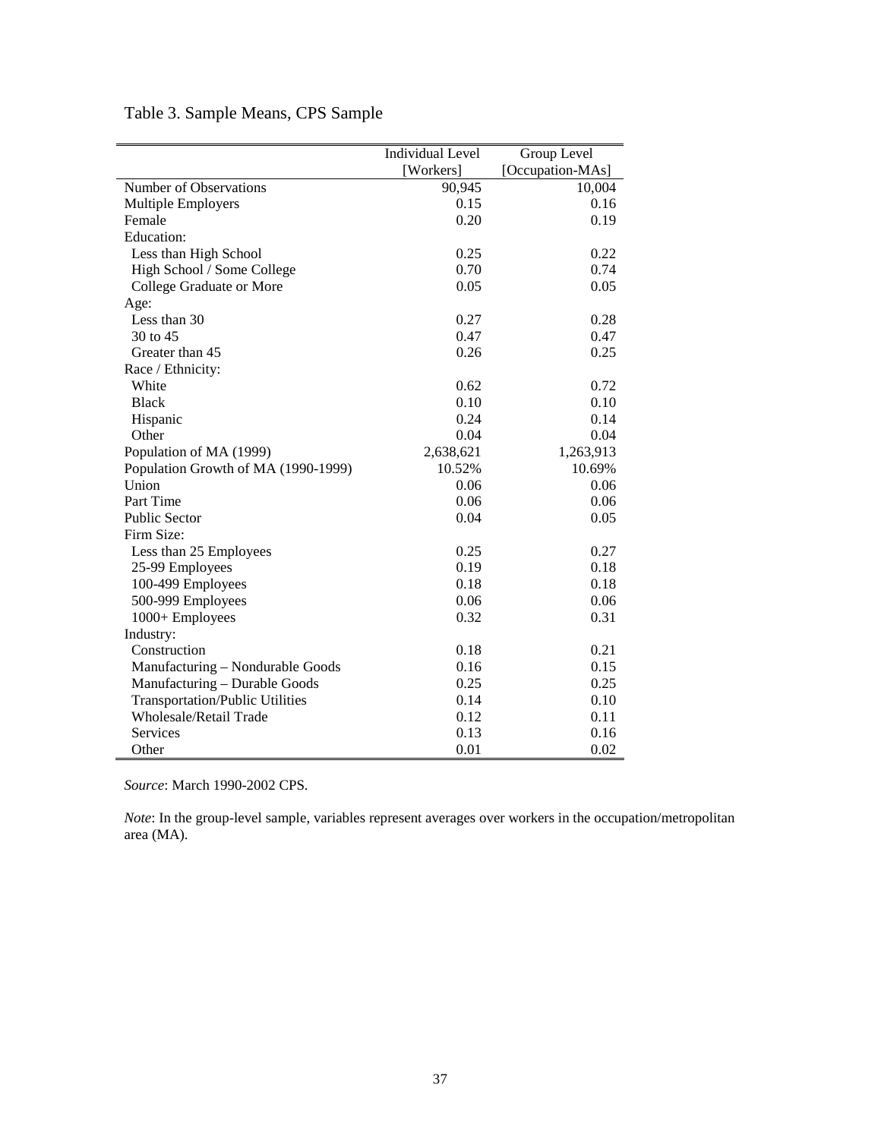|                                        | <b>Individual Level</b> | Group Level      |
|----------------------------------------|-------------------------|------------------|
|                                        | [Workers]               | [Occupation-MAs] |
| Number of Observations                 | 90,945                  | 10,004           |
| <b>Multiple Employers</b>              | 0.15                    | 0.16             |
| Female                                 | 0.20                    | 0.19             |
| Education:                             |                         |                  |
| Less than High School                  | 0.25                    | 0.22             |
| High School / Some College             | 0.70                    | 0.74             |
| College Graduate or More               | 0.05                    | 0.05             |
| Age:                                   |                         |                  |
| Less than 30                           | 0.27                    | 0.28             |
| 30 to 45                               | 0.47                    | 0.47             |
| Greater than 45                        | 0.26                    | 0.25             |
| Race / Ethnicity:                      |                         |                  |
| White                                  | 0.62                    | 0.72             |
| <b>Black</b>                           | 0.10                    | 0.10             |
| Hispanic                               | 0.24                    | 0.14             |
| Other                                  | 0.04                    | 0.04             |
| Population of MA (1999)                | 2,638,621               | 1,263,913        |
| Population Growth of MA (1990-1999)    | 10.52%                  | 10.69%           |
| Union                                  | 0.06                    | 0.06             |
| Part Time                              | 0.06                    | 0.06             |
| <b>Public Sector</b>                   | 0.04                    | 0.05             |
| Firm Size:                             |                         |                  |
| Less than 25 Employees                 | 0.25                    | 0.27             |
| 25-99 Employees                        | 0.19                    | 0.18             |
| 100-499 Employees                      | 0.18                    | 0.18             |
| 500-999 Employees                      | 0.06                    | 0.06             |
| 1000+ Employees                        | 0.32                    | 0.31             |
| Industry:                              |                         |                  |
| Construction                           | 0.18                    | 0.21             |
| Manufacturing - Nondurable Goods       | 0.16                    | 0.15             |
| Manufacturing - Durable Goods          | 0.25                    | 0.25             |
| <b>Transportation/Public Utilities</b> | 0.14                    | 0.10             |
| <b>Wholesale/Retail Trade</b>          | 0.12                    | 0.11             |
| Services                               | 0.13                    | 0.16             |
| Other                                  | 0.01                    | 0.02             |

Table 3. Sample Means, CPS Sample

*Source*: March 1990-2002 CPS.

*Note*: In the group-level sample, variables represent averages over workers in the occupation/metropolitan area (MA).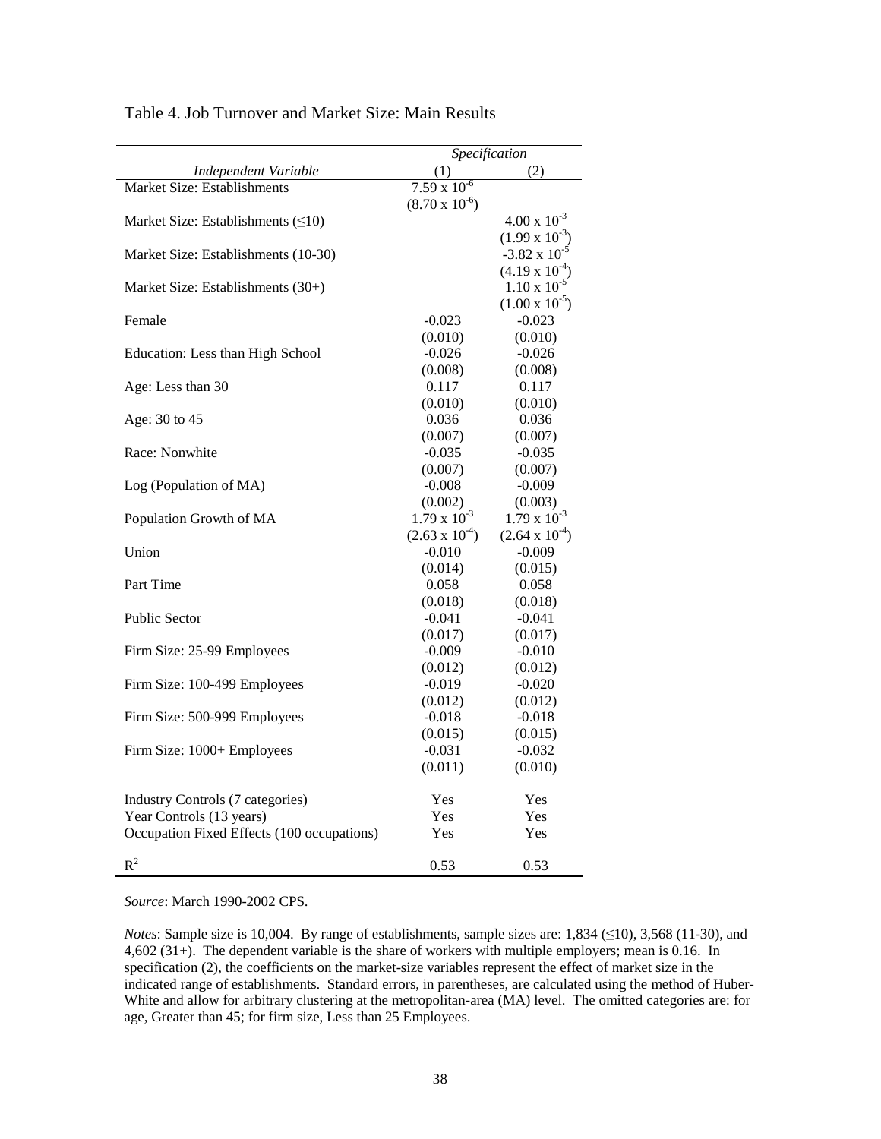|                                            | Specification           |                         |  |
|--------------------------------------------|-------------------------|-------------------------|--|
| Independent Variable                       | (2)<br>(1)              |                         |  |
| Market Size: Establishments                | $7.59 \times 10^{-6}$   |                         |  |
|                                            | $(8.70 \times 10^{-6})$ |                         |  |
| Market Size: Establishments $( \leq 10)$   |                         | $4.00 \times 10^{-3}$   |  |
|                                            |                         | $(1.99 \times 10^{-3})$ |  |
| Market Size: Establishments (10-30)        |                         | $-3.82 \times 10^{-5}$  |  |
|                                            |                         | $(4.19 \times 10^{-4})$ |  |
| Market Size: Establishments (30+)          |                         | $1.10 \times 10^{-5}$   |  |
|                                            |                         | $(1.00 \times 10^{-5})$ |  |
| Female                                     | $-0.023$                | $-0.023$                |  |
|                                            | (0.010)                 | (0.010)                 |  |
| Education: Less than High School           | $-0.026$                | $-0.026$                |  |
|                                            | (0.008)                 | (0.008)                 |  |
| Age: Less than 30                          | 0.117                   | 0.117                   |  |
|                                            | (0.010)                 | (0.010)                 |  |
| Age: 30 to 45                              | 0.036                   | 0.036                   |  |
|                                            | (0.007)                 | (0.007)                 |  |
| Race: Nonwhite                             | $-0.035$                | $-0.035$                |  |
|                                            | (0.007)                 | (0.007)                 |  |
| Log (Population of MA)                     | $-0.008$                | $-0.009$                |  |
|                                            | (0.002)                 | (0.003)                 |  |
| Population Growth of MA                    | $1.79 \times 10^{-3}$   | $1.79 \times 10^{-3}$   |  |
|                                            | $(2.63 \times 10^{-4})$ | $(2.64 \times 10^{-4})$ |  |
| Union                                      | $-0.010$                | $-0.009$                |  |
|                                            | (0.014)                 | (0.015)                 |  |
| Part Time                                  | 0.058                   | 0.058                   |  |
|                                            | (0.018)                 | (0.018)                 |  |
| <b>Public Sector</b>                       | $-0.041$                | $-0.041$                |  |
|                                            | (0.017)                 | (0.017)                 |  |
| Firm Size: 25-99 Employees                 | $-0.009$                | $-0.010$                |  |
|                                            | (0.012)                 | (0.012)                 |  |
| Firm Size: 100-499 Employees               | $-0.019$                | $-0.020$                |  |
|                                            | (0.012)                 | (0.012)                 |  |
| Firm Size: 500-999 Employees               | $-0.018$                | $-0.018$                |  |
|                                            | (0.015)<br>$-0.031$     | (0.015)                 |  |
| Firm Size: 1000+ Employees                 |                         | $-0.032$                |  |
|                                            | (0.011)                 | (0.010)                 |  |
| Industry Controls (7 categories)           | Yes                     | Yes                     |  |
| Year Controls (13 years)                   | Yes                     | Yes                     |  |
| Occupation Fixed Effects (100 occupations) | Yes                     | Yes                     |  |
|                                            |                         |                         |  |
| $R^2$                                      | 0.53                    | 0.53                    |  |

Table 4. Job Turnover and Market Size: Main Results

*Source*: March 1990-2002 CPS.

*Notes*: Sample size is 10,004. By range of establishments, sample sizes are: 1,834 (≤10), 3,568 (11-30), and 4,602 (31+). The dependent variable is the share of workers with multiple employers; mean is 0.16. In specification (2), the coefficients on the market-size variables represent the effect of market size in the indicated range of establishments. Standard errors, in parentheses, are calculated using the method of Huber-White and allow for arbitrary clustering at the metropolitan-area (MA) level. The omitted categories are: for age, Greater than 45; for firm size, Less than 25 Employees.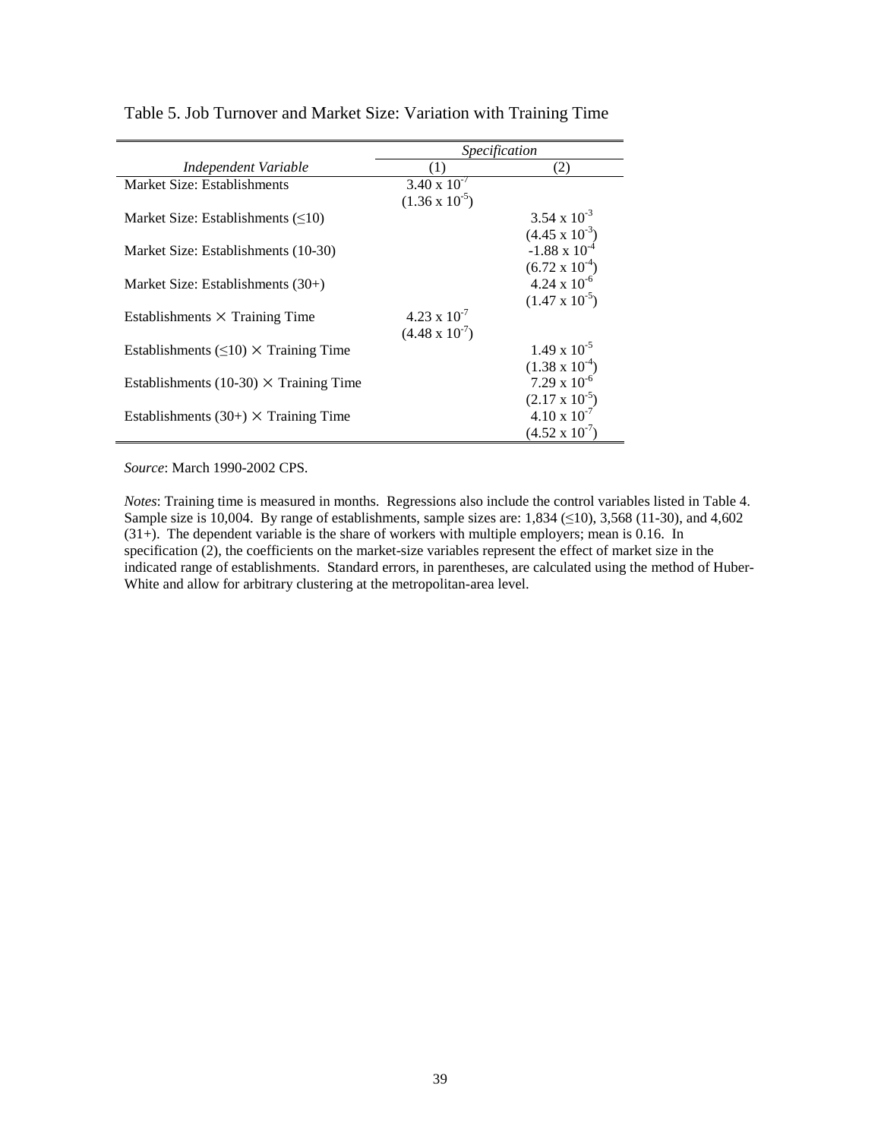|                                                 | <i>Specification</i>    |                         |  |  |
|-------------------------------------------------|-------------------------|-------------------------|--|--|
| Independent Variable                            |                         | (2)                     |  |  |
| Market Size: Establishments                     | $3.40 \times 10^{-7}$   |                         |  |  |
|                                                 | $(1.36 \times 10^{-5})$ | 3.54 x $10^{-3}$        |  |  |
| Market Size: Establishments $(\leq 10)$         |                         |                         |  |  |
|                                                 |                         | $(4.45 \times 10^{-3})$ |  |  |
| Market Size: Establishments (10-30)             |                         | $-1.88 \times 10^{-4}$  |  |  |
|                                                 |                         | $(6.72 \times 10^{-4})$ |  |  |
| Market Size: Establishments (30+)               |                         | $4.24 \times 10^{-6}$   |  |  |
|                                                 |                         | $(1.47 \times 10^{-5})$ |  |  |
| Establishments $\times$ Training Time           | $4.23 \times 10^{-7}$   |                         |  |  |
|                                                 | $(4.48 \times 10^{-7})$ |                         |  |  |
| Establishments $(\leq 10) \times$ Training Time |                         | $1.49 \times 10^{-5}$   |  |  |
|                                                 |                         | $(1.38 \times 10^{-4})$ |  |  |
| Establishments (10-30) $\times$ Training Time   |                         | $7.29 \times 10^{-6}$   |  |  |
|                                                 |                         | $(2.17 \times 10^{-5})$ |  |  |
| Establishments $(30+) \times$ Training Time     |                         | $4.10 \times 10^{-7}$   |  |  |
|                                                 |                         | $(4.52 \times 10^{-7})$ |  |  |

Table 5. Job Turnover and Market Size: Variation with Training Time

*Source*: March 1990-2002 CPS.

*Notes*: Training time is measured in months. Regressions also include the control variables listed in Table 4. Sample size is 10,004. By range of establishments, sample sizes are: 1,834 ( $\leq$ 10), 3,568 (11-30), and 4,602 (31+). The dependent variable is the share of workers with multiple employers; mean is 0.16. In specification (2), the coefficients on the market-size variables represent the effect of market size in the indicated range of establishments. Standard errors, in parentheses, are calculated using the method of Huber-White and allow for arbitrary clustering at the metropolitan-area level.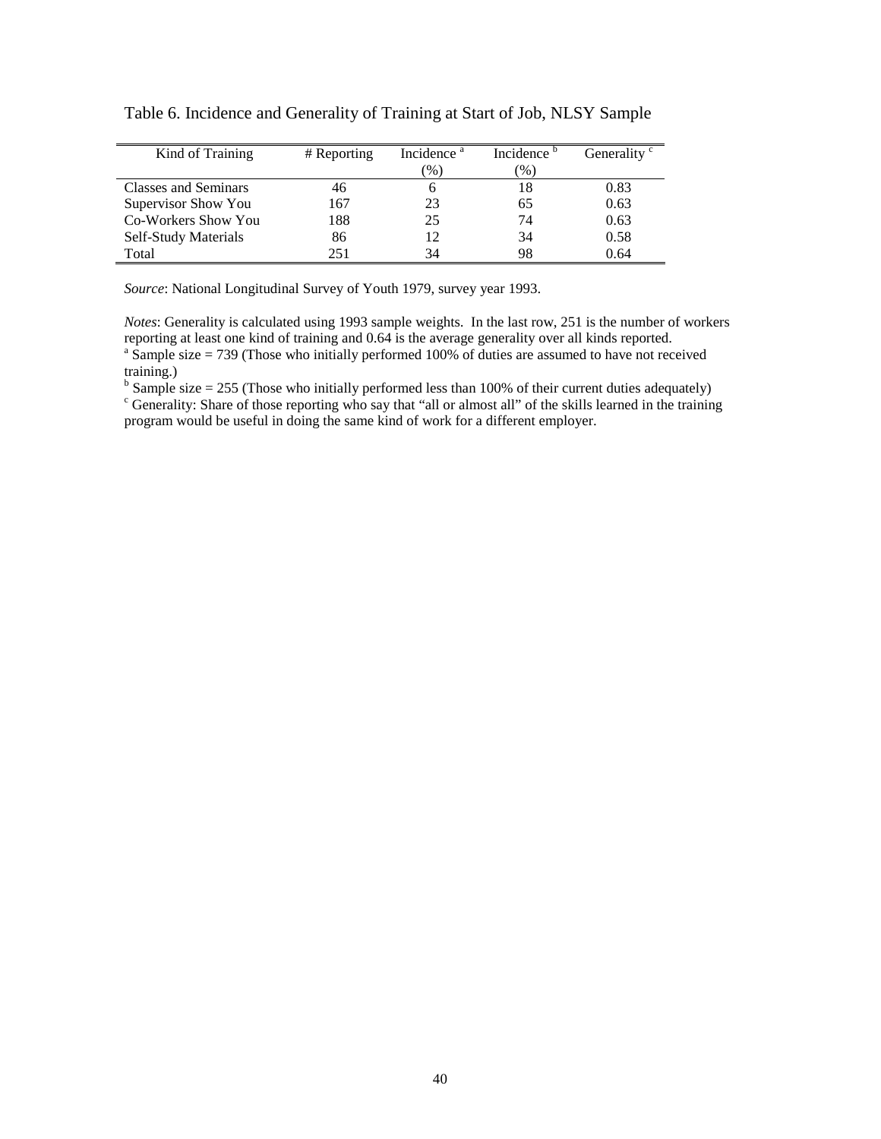| Kind of Training            | # Reporting | Incidence <sup>a</sup> | Incidence <sup>b</sup> | Generality <sup>c</sup> |
|-----------------------------|-------------|------------------------|------------------------|-------------------------|
|                             |             | $\frac{9}{6}$          | $(\%)$                 |                         |
| <b>Classes and Seminars</b> | 46          |                        | 18                     | 0.83                    |
| Supervisor Show You         | 167         | 23                     | 65                     | 0.63                    |
| Co-Workers Show You         | 188         | 25                     | 74                     | 0.63                    |
| Self-Study Materials        | 86          |                        | 34                     | 0.58                    |
| Total                       | 251         | 34                     | 98                     | 0.64                    |

Table 6. Incidence and Generality of Training at Start of Job, NLSY Sample

*Source*: National Longitudinal Survey of Youth 1979, survey year 1993.

*Notes*: Generality is calculated using 1993 sample weights. In the last row, 251 is the number of workers reporting at least one kind of training and 0.64 is the average generality over all kinds reported. <sup>a</sup> Sample size = 739 (Those who initially performed 100% of duties are assumed to have not received training.)

 $b$  Sample size = 255 (Those who initially performed less than 100% of their current duties adequately)

<sup>c</sup> Generality: Share of those reporting who say that "all or almost all" of the skills learned in the training program would be useful in doing the same kind of work for a different employer.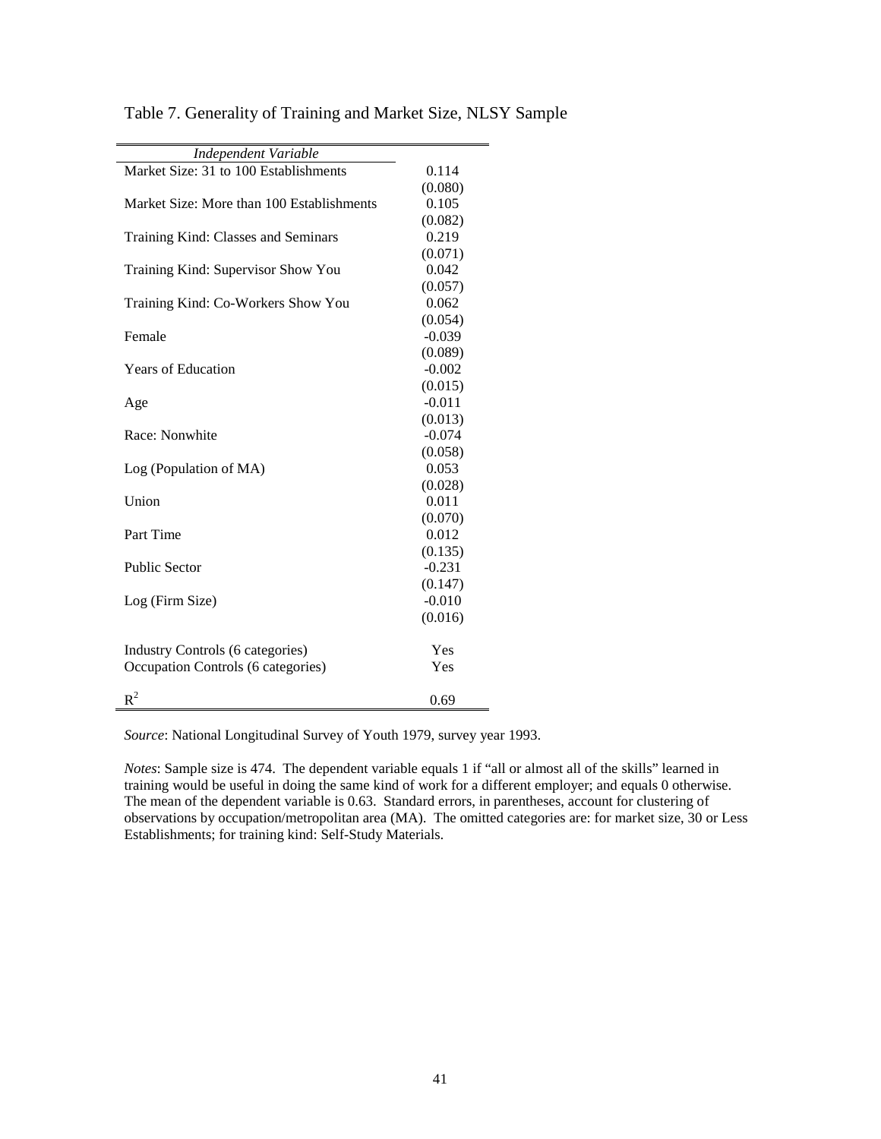| Independent Variable                      |          |
|-------------------------------------------|----------|
| Market Size: 31 to 100 Establishments     | 0.114    |
|                                           | (0.080)  |
| Market Size: More than 100 Establishments | 0.105    |
|                                           | (0.082)  |
| Training Kind: Classes and Seminars       | 0.219    |
|                                           | (0.071)  |
| Training Kind: Supervisor Show You        | 0.042    |
|                                           | (0.057)  |
| Training Kind: Co-Workers Show You        | 0.062    |
|                                           | (0.054)  |
| Female                                    | $-0.039$ |
|                                           | (0.089)  |
| <b>Years of Education</b>                 | $-0.002$ |
|                                           | (0.015)  |
| Age                                       | $-0.011$ |
|                                           | (0.013)  |
| Race: Nonwhite                            | $-0.074$ |
|                                           | (0.058)  |
| Log (Population of MA)                    | 0.053    |
|                                           | (0.028)  |
| Union                                     | 0.011    |
|                                           | (0.070)  |
| Part Time                                 | 0.012    |
|                                           | (0.135)  |
| <b>Public Sector</b>                      | $-0.231$ |
|                                           | (0.147)  |
| Log (Firm Size)                           | $-0.010$ |
|                                           | (0.016)  |
|                                           |          |
| Industry Controls (6 categories)          | Yes      |
| Occupation Controls (6 categories)        | Yes      |
|                                           |          |
| $R^2$                                     | 0.69     |

Table 7. Generality of Training and Market Size, NLSY Sample

*Source*: National Longitudinal Survey of Youth 1979, survey year 1993.

*Notes*: Sample size is 474. The dependent variable equals 1 if "all or almost all of the skills" learned in training would be useful in doing the same kind of work for a different employer; and equals 0 otherwise. The mean of the dependent variable is 0.63. Standard errors, in parentheses, account for clustering of observations by occupation/metropolitan area (MA). The omitted categories are: for market size, 30 or Less Establishments; for training kind: Self-Study Materials.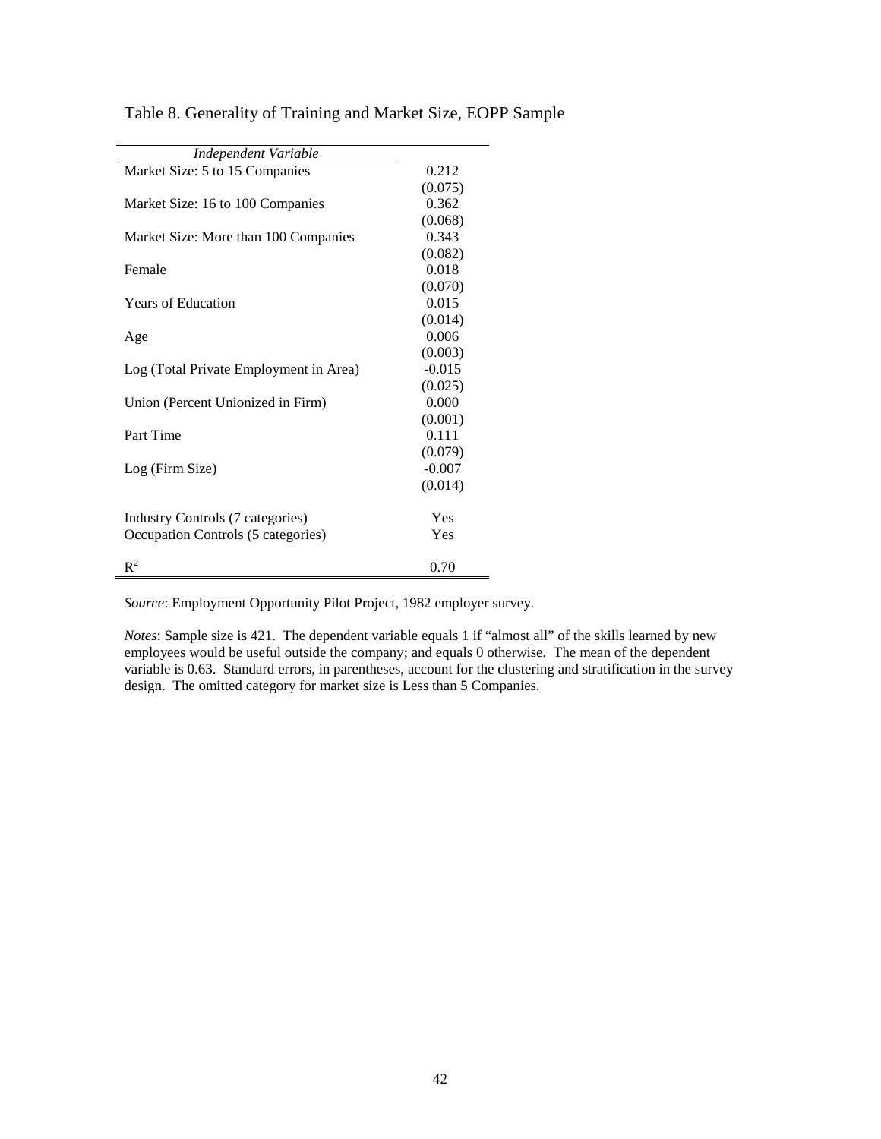| Independent Variable                   |          |
|----------------------------------------|----------|
| Market Size: 5 to 15 Companies         | 0.212    |
|                                        | (0.075)  |
| Market Size: 16 to 100 Companies       | 0.362    |
|                                        | (0.068)  |
| Market Size: More than 100 Companies   | 0.343    |
|                                        | (0.082)  |
| Female                                 | 0.018    |
|                                        | (0.070)  |
| <b>Years of Education</b>              | 0.015    |
|                                        | (0.014)  |
| Age                                    | 0.006    |
|                                        | (0.003)  |
| Log (Total Private Employment in Area) | $-0.015$ |
|                                        | (0.025)  |
| Union (Percent Unionized in Firm)      | 0.000    |
|                                        | (0.001)  |
| Part Time                              | 0.111    |
|                                        | (0.079)  |
| Log (Firm Size)                        | $-0.007$ |
|                                        | (0.014)  |
|                                        |          |
| Industry Controls (7 categories)       | Yes      |
| Occupation Controls (5 categories)     | Yes      |
|                                        |          |
| $R^2$                                  | 0.70     |

Table 8. Generality of Training and Market Size, EOPP Sample

*Source*: Employment Opportunity Pilot Project, 1982 employer survey.

*Notes*: Sample size is 421. The dependent variable equals 1 if "almost all" of the skills learned by new employees would be useful outside the company; and equals 0 otherwise. The mean of the dependent variable is 0.63. Standard errors, in parentheses, account for the clustering and stratification in the survey design. The omitted category for market size is Less than 5 Companies.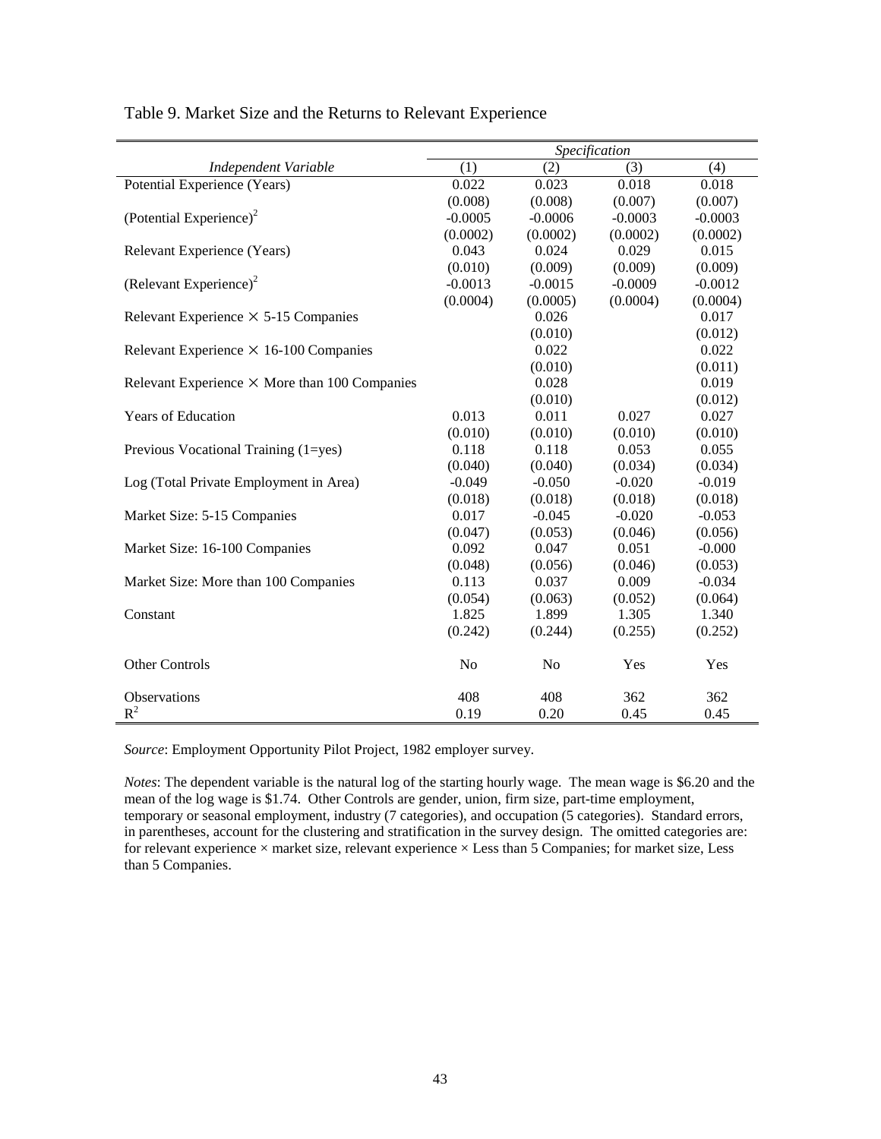|                                                      | Specification  |                |           |           |
|------------------------------------------------------|----------------|----------------|-----------|-----------|
| Independent Variable                                 | (1)            | (2)            | (3)       | (4)       |
| Potential Experience (Years)                         | 0.022          | 0.023          | 0.018     | 0.018     |
|                                                      | (0.008)        | (0.008)        | (0.007)   | (0.007)   |
| (Potential Experience) <sup>2</sup>                  | $-0.0005$      | $-0.0006$      | $-0.0003$ | $-0.0003$ |
|                                                      | (0.0002)       | (0.0002)       | (0.0002)  | (0.0002)  |
| Relevant Experience (Years)                          | 0.043          | 0.024          | 0.029     | 0.015     |
|                                                      | (0.010)        | (0.009)        | (0.009)   | (0.009)   |
| (Relevant Experience) <sup>2</sup>                   | $-0.0013$      | $-0.0015$      | $-0.0009$ | $-0.0012$ |
|                                                      | (0.0004)       | (0.0005)       | (0.0004)  | (0.0004)  |
| Relevant Experience $\times$ 5-15 Companies          |                | 0.026          |           | 0.017     |
|                                                      |                | (0.010)        |           | (0.012)   |
| Relevant Experience $\times$ 16-100 Companies        |                | 0.022          |           | 0.022     |
|                                                      |                | (0.010)        |           | (0.011)   |
| Relevant Experience $\times$ More than 100 Companies |                | 0.028          |           | 0.019     |
|                                                      |                | (0.010)        |           | (0.012)   |
| Years of Education                                   | 0.013          | 0.011          | 0.027     | 0.027     |
|                                                      | (0.010)        | (0.010)        | (0.010)   | (0.010)   |
| Previous Vocational Training (1=yes)                 | 0.118          | 0.118          | 0.053     | 0.055     |
|                                                      | (0.040)        | (0.040)        | (0.034)   | (0.034)   |
| Log (Total Private Employment in Area)               | $-0.049$       | $-0.050$       | $-0.020$  | $-0.019$  |
|                                                      | (0.018)        | (0.018)        | (0.018)   | (0.018)   |
| Market Size: 5-15 Companies                          | 0.017          | $-0.045$       | $-0.020$  | $-0.053$  |
|                                                      | (0.047)        | (0.053)        | (0.046)   | (0.056)   |
| Market Size: 16-100 Companies                        | 0.092          | 0.047          | 0.051     | $-0.000$  |
|                                                      | (0.048)        | (0.056)        | (0.046)   | (0.053)   |
| Market Size: More than 100 Companies                 | 0.113          | 0.037          | 0.009     | $-0.034$  |
|                                                      | (0.054)        | (0.063)        | (0.052)   | (0.064)   |
| Constant                                             | 1.825          | 1.899          | 1.305     | 1.340     |
|                                                      | (0.242)        | (0.244)        | (0.255)   | (0.252)   |
| Other Controls                                       | N <sub>0</sub> | N <sub>o</sub> | Yes       | Yes       |
| Observations                                         | 408            | 408            | 362       | 362       |
| $R^2$                                                | 0.19           | 0.20           | 0.45      | 0.45      |

Table 9. Market Size and the Returns to Relevant Experience

*Source*: Employment Opportunity Pilot Project, 1982 employer survey.

*Notes*: The dependent variable is the natural log of the starting hourly wage. The mean wage is \$6.20 and the mean of the log wage is \$1.74. Other Controls are gender, union, firm size, part-time employment, temporary or seasonal employment, industry (7 categories), and occupation (5 categories). Standard errors, in parentheses, account for the clustering and stratification in the survey design. The omitted categories are: for relevant experience  $\times$  market size, relevant experience  $\times$  Less than 5 Companies; for market size, Less than 5 Companies.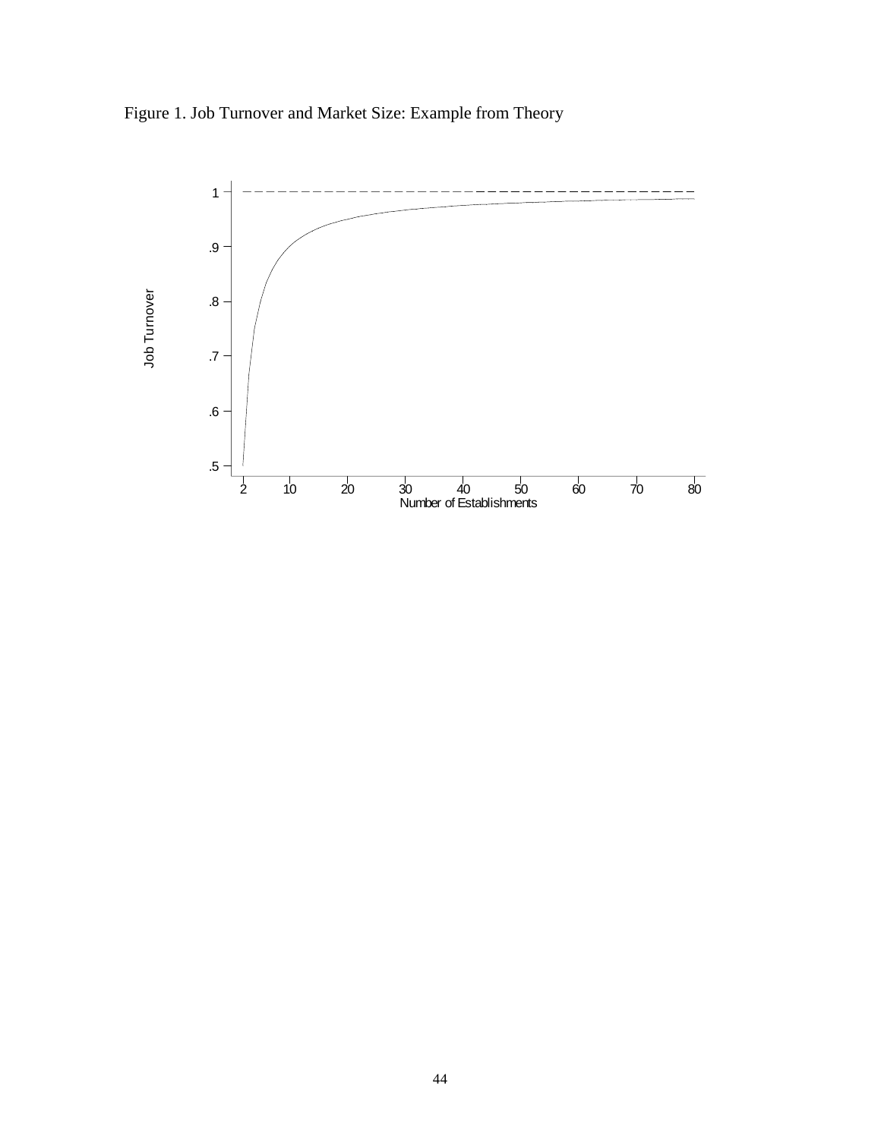